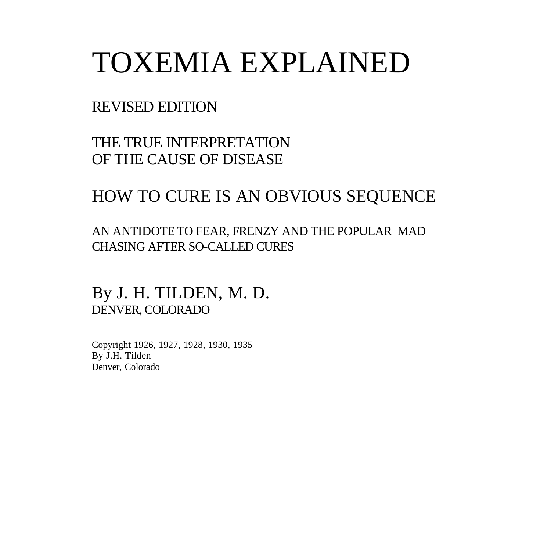# TOXEMIA EXPLAINED

#### REVISED EDITION

THE TRUE INTERPRETATION OF THE CAUSE OF DISEASE

#### HOW TO CURE IS AN OBVIOUS SEQUENCE

AN ANTIDOTE TO FEAR, FRENZY AND THE POPULAR MAD CHASING AFTER SO-CALLED CURES

By J. H. TILDEN, M. D. DENVER, COLORADO

Copyright 1926, 1927, 1928, 1930, 1935 By J.H. Tilden Denver, Colorado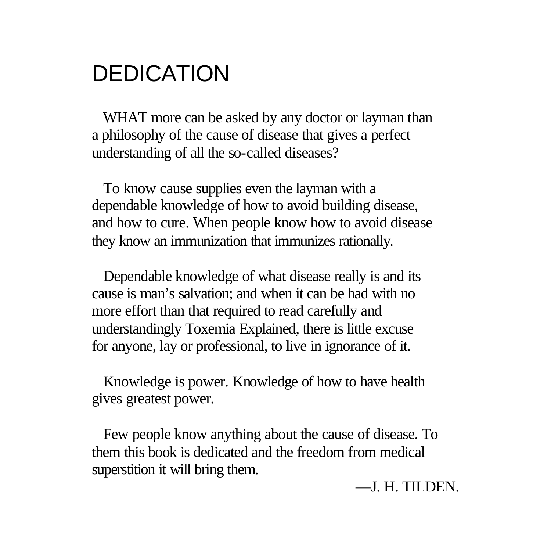### DEDICATION

WHAT more can be asked by any doctor or layman than a philosophy of the cause of disease that gives a perfect understanding of all the so-called diseases?

 To know cause supplies even the layman with a dependable knowledge of how to avoid building disease, and how to cure. When people know how to avoid disease they know an immunization that immunizes rationally.

 Dependable knowledge of what disease really is and its cause is man's salvation; and when it can be had with no more effort than that required to read carefully and understandingly Toxemia Explained, there is little excuse for anyone, lay or professional, to live in ignorance of it.

 Knowledge is power. Knowledge of how to have health gives greatest power.

 Few people know anything about the cause of disease. To them this book is dedicated and the freedom from medical superstition it will bring them.

#### —J. H. TILDEN.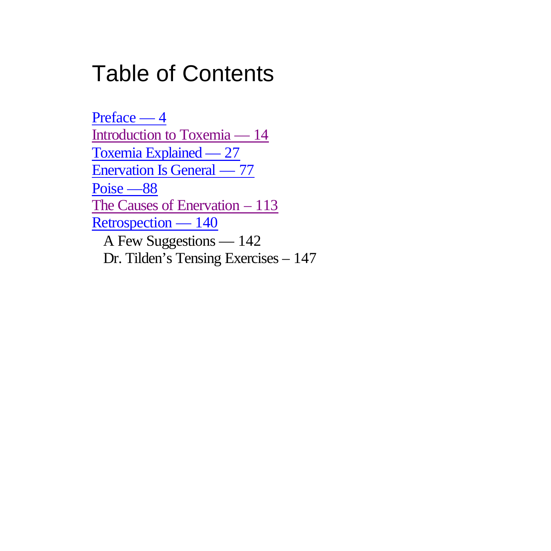## Table of Contents

Preface — 4 Introduction to Toxemia — 14 Toxemia Explained — 27 Enervation Is General — 77 Poise —88 The Causes of Enervation - 113 Retrospection — 140 A Few Suggestions — 142 Dr. Tilden's Tensing Exercises – 147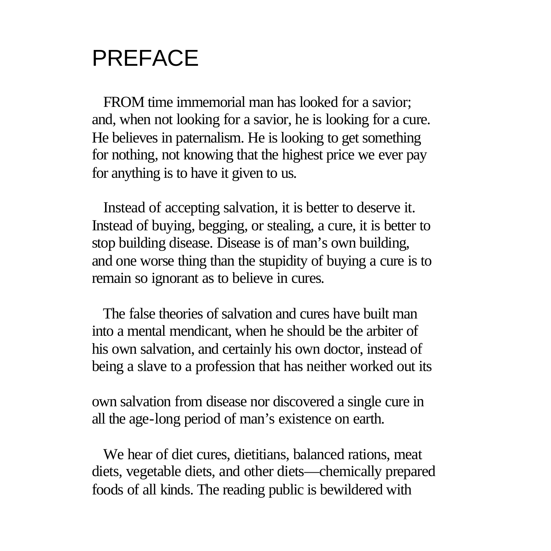# PREFACE

 FROM time immemorial man has looked for a savior; and, when not looking for a savior, he is looking for a cure. He believes in paternalism. He is looking to get something for nothing, not knowing that the highest price we ever pay for anything is to have it given to us.

 Instead of accepting salvation, it is better to deserve it. Instead of buying, begging, or stealing, a cure, it is better to stop building disease. Disease is of man's own building, and one worse thing than the stupidity of buying a cure is to remain so ignorant as to believe in cures.

 The false theories of salvation and cures have built man into a mental mendicant, when he should be the arbiter of his own salvation, and certainly his own doctor, instead of being a slave to a profession that has neither worked out its

own salvation from disease nor discovered a single cure in all the age-long period of man's existence on earth.

 We hear of diet cures, dietitians, balanced rations, meat diets, vegetable diets, and other diets—chemically prepared foods of all kinds. The reading public is bewildered with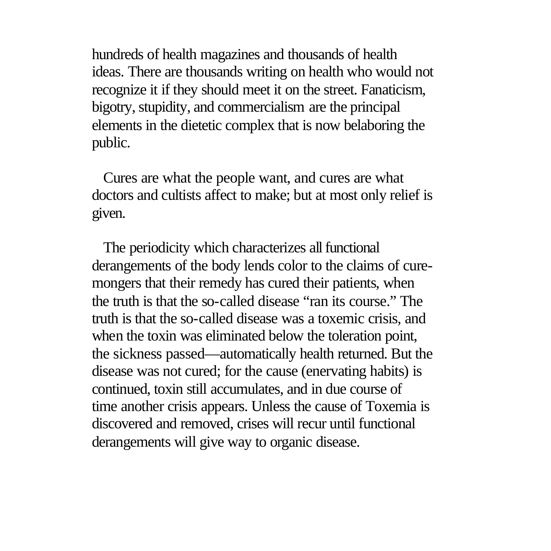hundreds of health magazines and thousands of health ideas. There are thousands writing on health who would not recognize it if they should meet it on the street. Fanaticism, bigotry, stupidity, and commercialism are the principal elements in the dietetic complex that is now belaboring the public.

 Cures are what the people want, and cures are what doctors and cultists affect to make; but at most only relief is given.

 The periodicity which characterizes all functional derangements of the body lends color to the claims of curemongers that their remedy has cured their patients, when the truth is that the so-called disease "ran its course." The truth is that the so-called disease was a toxemic crisis, and when the toxin was eliminated below the toleration point, the sickness passed—automatically health returned. But the disease was not cured; for the cause (enervating habits) is continued, toxin still accumulates, and in due course of time another crisis appears. Unless the cause of Toxemia is discovered and removed, crises will recur until functional derangements will give way to organic disease.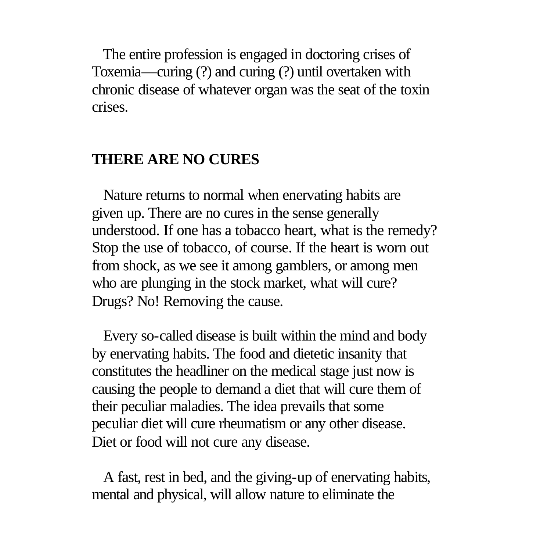The entire profession is engaged in doctoring crises of Toxemia—curing (?) and curing (?) until overtaken with chronic disease of whatever organ was the seat of the toxin crises.

#### **THERE ARE NO CURES**

 Nature returns to normal when enervating habits are given up. There are no cures in the sense generally understood. If one has a tobacco heart, what is the remedy? Stop the use of tobacco, of course. If the heart is worn out from shock, as we see it among gamblers, or among men who are plunging in the stock market, what will cure? Drugs? No! Removing the cause.

 Every so-called disease is built within the mind and body by enervating habits. The food and dietetic insanity that constitutes the headliner on the medical stage just now is causing the people to demand a diet that will cure them of their peculiar maladies. The idea prevails that some peculiar diet will cure rheumatism or any other disease. Diet or food will not cure any disease.

 A fast, rest in bed, and the giving-up of enervating habits, mental and physical, will allow nature to eliminate the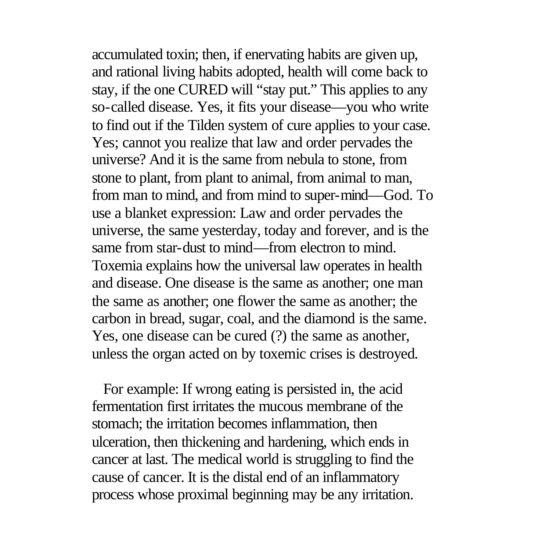accumulated toxin; then, if enervating habits are given up, and rational living habits adopted, health will come back to stay, if the one CURED will "stay put." This applies to any so-called disease. Yes, it fits your disease—you who write to find out if the Tilden system of cure applies to your case. Yes; cannot you realize that law and order pervades the universe? And it is the same from nebula to stone, from stone to plant, from plant to animal, from animal to man, from man to mind, and from mind to super-mind—God. To use a blanket expression: Law and order pervades the universe, the same yesterday, today and forever, and is the same from star-dust to mind—from electron to mind. Toxemia explains how the universal law operates in health and disease. One disease is the same as another; one man the same as another; one flower the same as another; the carbon in bread, sugar, coal, and the diamond is the same. Yes, one disease can be cured (?) the same as another, unless the organ acted on by toxemic crises is destroyed.

 For example: If wrong eating is persisted in, the acid fermentation first irritates the mucous membrane of the stomach; the irritation becomes inflammation, then ulceration, then thickening and hardening, which ends in cancer at last. The medical world is struggling to find the cause of cancer. It is the distal end of an inflammatory process whose proximal beginning may be any irritation.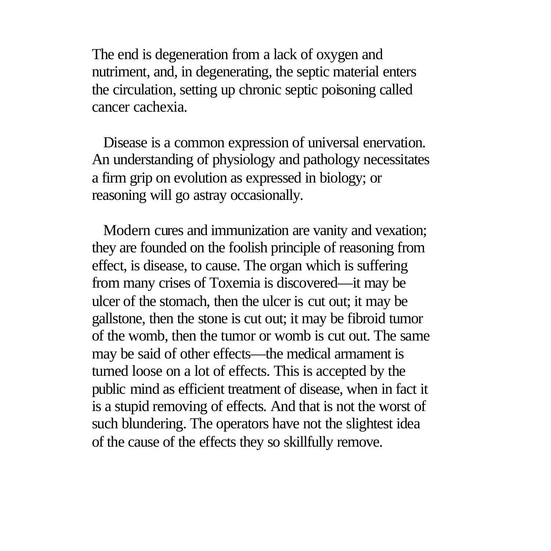The end is degeneration from a lack of oxygen and nutriment, and, in degenerating, the septic material enters the circulation, setting up chronic septic poisoning called cancer cachexia.

 Disease is a common expression of universal enervation. An understanding of physiology and pathology necessitates a firm grip on evolution as expressed in biology; or reasoning will go astray occasionally.

 Modern cures and immunization are vanity and vexation; they are founded on the foolish principle of reasoning from effect, is disease, to cause. The organ which is suffering from many crises of Toxemia is discovered—it may be ulcer of the stomach, then the ulcer is cut out; it may be gallstone, then the stone is cut out; it may be fibroid tumor of the womb, then the tumor or womb is cut out. The same may be said of other effects—the medical armament is turned loose on a lot of effects. This is accepted by the public mind as efficient treatment of disease, when in fact it is a stupid removing of effects. And that is not the worst of such blundering. The operators have not the slightest idea of the cause of the effects they so skillfully remove.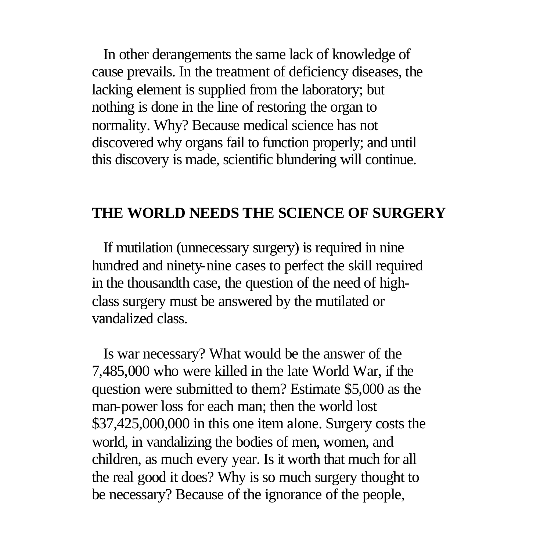In other derangements the same lack of knowledge of cause prevails. In the treatment of deficiency diseases, the lacking element is supplied from the laboratory; but nothing is done in the line of restoring the organ to normality. Why? Because medical science has not discovered why organs fail to function properly; and until this discovery is made, scientific blundering will continue.

#### **THE WORLD NEEDS THE SCIENCE OF SURGERY**

 If mutilation (unnecessary surgery) is required in nine hundred and ninety-nine cases to perfect the skill required in the thousandth case, the question of the need of highclass surgery must be answered by the mutilated or vandalized class.

 Is war necessary? What would be the answer of the 7,485,000 who were killed in the late World War, if the question were submitted to them? Estimate \$5,000 as the man-power loss for each man; then the world lost \$37,425,000,000 in this one item alone. Surgery costs the world, in vandalizing the bodies of men, women, and children, as much every year. Is it worth that much for all the real good it does? Why is so much surgery thought to be necessary? Because of the ignorance of the people,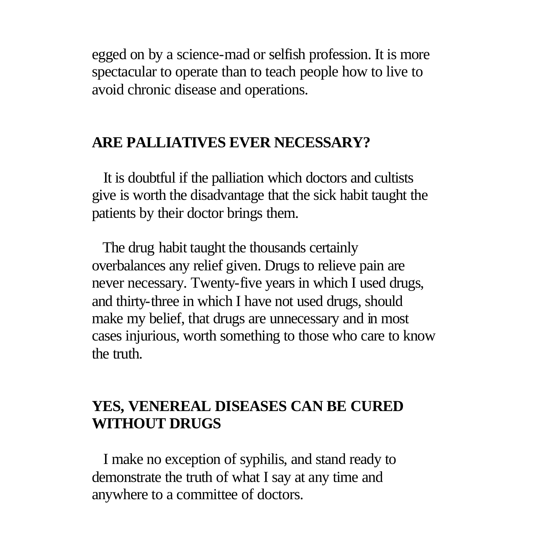egged on by a science-mad or selfish profession. It is more spectacular to operate than to teach people how to live to avoid chronic disease and operations.

#### **ARE PALLIATIVES EVER NECESSARY?**

 It is doubtful if the palliation which doctors and cultists give is worth the disadvantage that the sick habit taught the patients by their doctor brings them.

 The drug habit taught the thousands certainly overbalances any relief given. Drugs to relieve pain are never necessary. Twenty-five years in which I used drugs, and thirty-three in which I have not used drugs, should make my belief, that drugs are unnecessary and in most cases injurious, worth something to those who care to know the truth.

#### **YES, VENEREAL DISEASES CAN BE CURED WITHOUT DRUGS**

 I make no exception of syphilis, and stand ready to demonstrate the truth of what I say at any time and anywhere to a committee of doctors.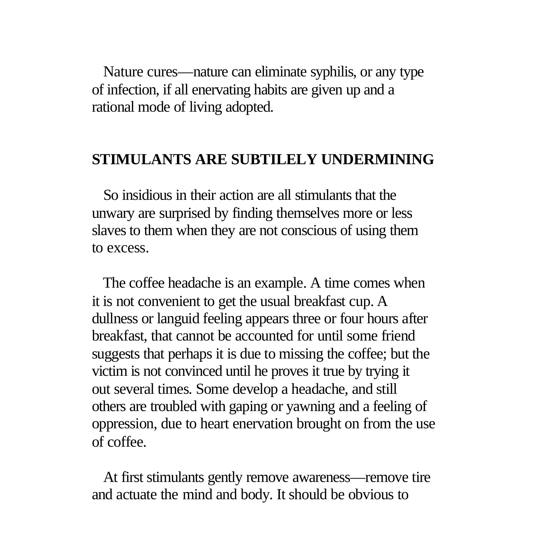Nature cures—nature can eliminate syphilis, or any type of infection, if all enervating habits are given up and a rational mode of living adopted.

#### **STIMULANTS ARE SUBTILELY UNDERMINING**

 So insidious in their action are all stimulants that the unwary are surprised by finding themselves more or less slaves to them when they are not conscious of using them to excess.

 The coffee headache is an example. A time comes when it is not convenient to get the usual breakfast cup. A dullness or languid feeling appears three or four hours after breakfast, that cannot be accounted for until some friend suggests that perhaps it is due to missing the coffee; but the victim is not convinced until he proves it true by trying it out several times. Some develop a headache, and still others are troubled with gaping or yawning and a feeling of oppression, due to heart enervation brought on from the use of coffee.

 At first stimulants gently remove awareness—remove tire and actuate the mind and body. It should be obvious to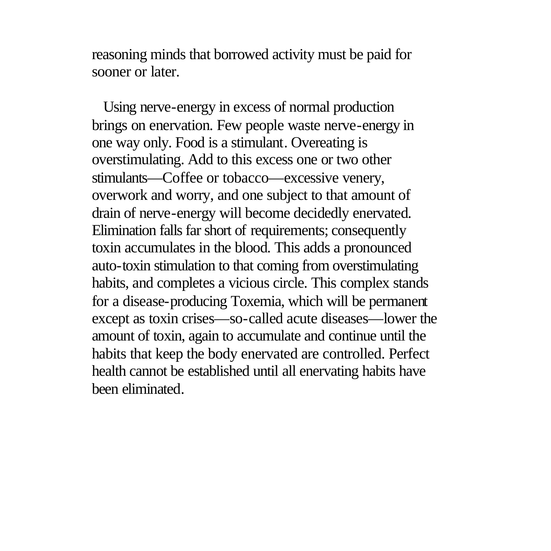reasoning minds that borrowed activity must be paid for sooner or later.

 Using nerve-energy in excess of normal production brings on enervation. Few people waste nerve-energy in one way only. Food is a stimulant. Overeating is overstimulating. Add to this excess one or two other stimulants—Coffee or tobacco—excessive venery, overwork and worry, and one subject to that amount of drain of nerve-energy will become decidedly enervated. Elimination falls far short of requirements; consequently toxin accumulates in the blood. This adds a pronounced auto-toxin stimulation to that coming from overstimulating habits, and completes a vicious circle. This complex stands for a disease-producing Toxemia, which will be permanent except as toxin crises—so-called acute diseases—lower the amount of toxin, again to accumulate and continue until the habits that keep the body enervated are controlled. Perfect health cannot be established until all enervating habits have been eliminated.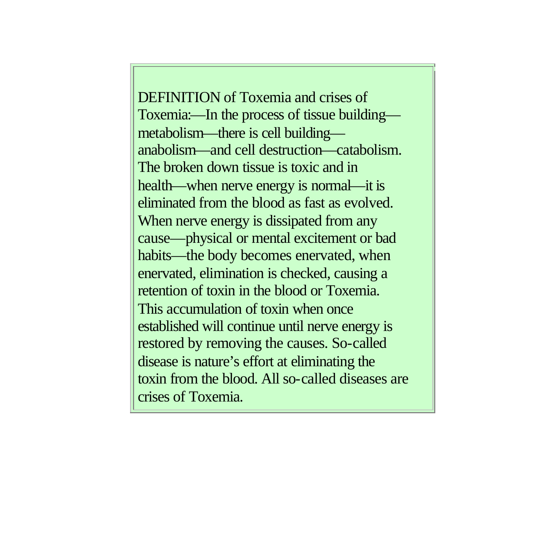DEFINITION of Toxemia and crises of Toxemia:—In the process of tissue building metabolism—there is cell building anabolism—and cell destruction—catabolism. The broken down tissue is toxic and in health—when nerve energy is normal—it is eliminated from the blood as fast as evolved. When nerve energy is dissipated from any cause—physical or mental excitement or bad habits—the body becomes enervated, when enervated, elimination is checked, causing a retention of toxin in the blood or Toxemia. This accumulation of toxin when once established will continue until nerve energy is restored by removing the causes. So-called disease is nature's effort at eliminating the toxin from the blood. All so-called diseases are crises of Toxemia.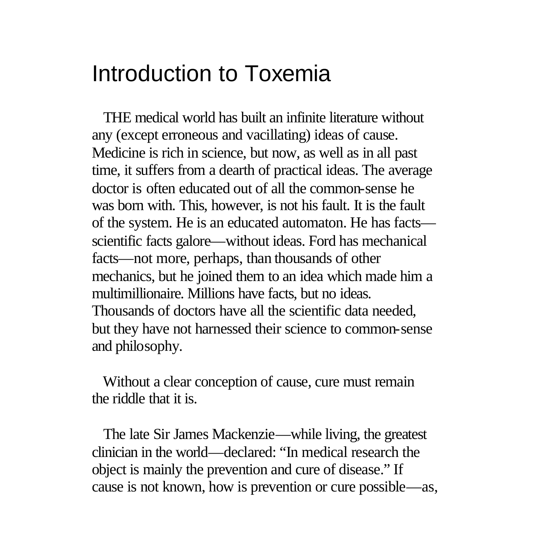### Introduction to Toxemia

 THE medical world has built an infinite literature without any (except erroneous and vacillating) ideas of cause. Medicine is rich in science, but now, as well as in all past time, it suffers from a dearth of practical ideas. The average doctor is often educated out of all the common-sense he was born with. This, however, is not his fault. It is the fault of the system. He is an educated automaton. He has facts scientific facts galore—without ideas. Ford has mechanical facts—not more, perhaps, than thousands of other mechanics, but he joined them to an idea which made him a multimillionaire. Millions have facts, but no ideas. Thousands of doctors have all the scientific data needed, but they have not harnessed their science to common-sense and philosophy.

 Without a clear conception of cause, cure must remain the riddle that it is.

 The late Sir James Mackenzie—while living, the greatest clinician in the world—declared: "In medical research the object is mainly the prevention and cure of disease." If cause is not known, how is prevention or cure possible—as,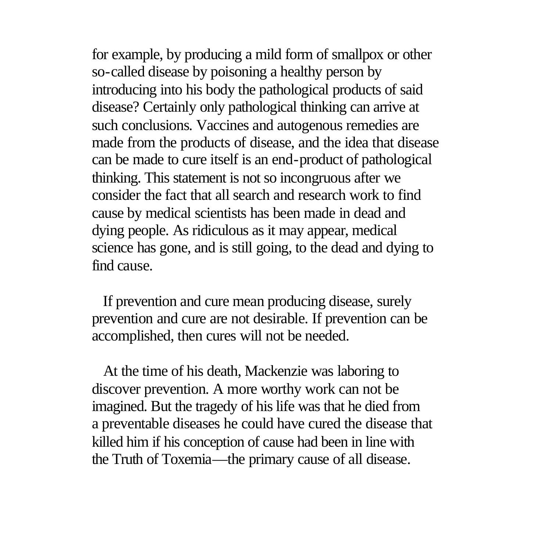for example, by producing a mild form of smallpox or other so-called disease by poisoning a healthy person by introducing into his body the pathological products of said disease? Certainly only pathological thinking can arrive at such conclusions. Vaccines and autogenous remedies are made from the products of disease, and the idea that disease can be made to cure itself is an end-product of pathological thinking. This statement is not so incongruous after we consider the fact that all search and research work to find cause by medical scientists has been made in dead and dying people. As ridiculous as it may appear, medical science has gone, and is still going, to the dead and dying to find cause.

 If prevention and cure mean producing disease, surely prevention and cure are not desirable. If prevention can be accomplished, then cures will not be needed.

 At the time of his death, Mackenzie was laboring to discover prevention. A more worthy work can not be imagined. But the tragedy of his life was that he died from a preventable diseases he could have cured the disease that killed him if his conception of cause had been in line with the Truth of Toxemia—the primary cause of all disease.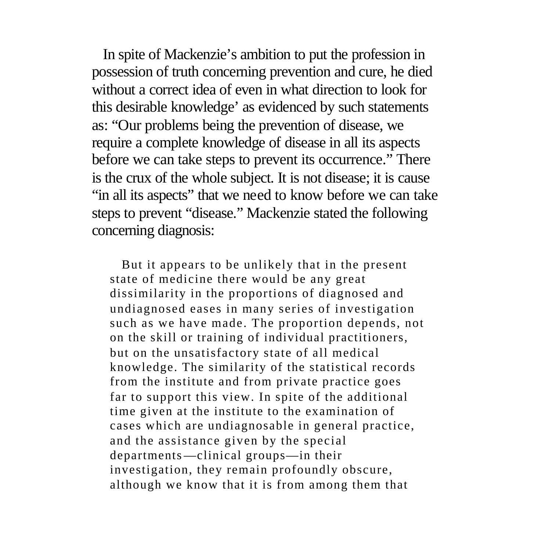In spite of Mackenzie's ambition to put the profession in possession of truth concerning prevention and cure, he died without a correct idea of even in what direction to look for this desirable knowledge' as evidenced by such statements as: "Our problems being the prevention of disease, we require a complete knowledge of disease in all its aspects before we can take steps to prevent its occurrence." There is the crux of the whole subject. It is not disease; it is cause "in all its aspects" that we need to know before we can take steps to prevent "disease." Mackenzie stated the following concerning diagnosis:

 But it appears to be unlikely that in the present state of medicine there would be any great dissimilarity in the proportions of diagnosed and undiagnosed eases in many series of investigation such as we have made. The proportion depends, not on the skill or training of individual practitioners, but on the unsatisfactory state of all medical knowledge. The similarity of the statistical records from the institute and from private practice goes far to support this view. In spite of the additional time given at the institute to the examination of cases which are undiagnosable in general practice, and the assistance given by the special departments—clinical groups—in their investigation, they remain profoundly obscure, although we know that it is from among them that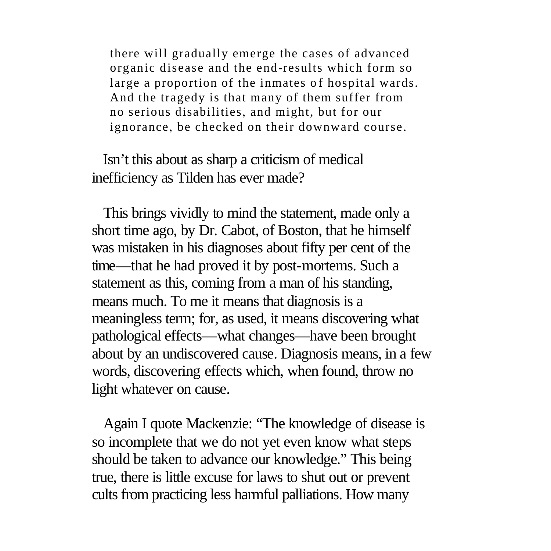there will gradually emerge the cases of advanced organic disease and the end-results which form so large a proportion of the inmates of hospital wards. And the tragedy is that many of them suffer from no serious disabilities, and might, but for our ignorance, be checked on their downward course.

 Isn't this about as sharp a criticism of medical inefficiency as Tilden has ever made?

 This brings vividly to mind the statement, made only a short time ago, by Dr. Cabot, of Boston, that he himself was mistaken in his diagnoses about fifty per cent of the time—that he had proved it by post-mortems. Such a statement as this, coming from a man of his standing, means much. To me it means that diagnosis is a meaningless term; for, as used, it means discovering what pathological effects—what changes—have been brought about by an undiscovered cause. Diagnosis means, in a few words, discovering effects which, when found, throw no light whatever on cause.

 Again I quote Mackenzie: "The knowledge of disease is so incomplete that we do not yet even know what steps should be taken to advance our knowledge." This being true, there is little excuse for laws to shut out or prevent cults from practicing less harmful palliations. How many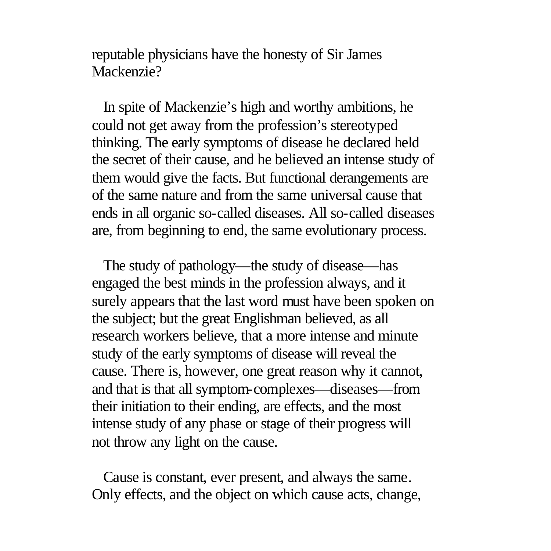reputable physicians have the honesty of Sir James Mackenzie?

 In spite of Mackenzie's high and worthy ambitions, he could not get away from the profession's stereotyped thinking. The early symptoms of disease he declared held the secret of their cause, and he believed an intense study of them would give the facts. But functional derangements are of the same nature and from the same universal cause that ends in all organic so-called diseases. All so-called diseases are, from beginning to end, the same evolutionary process.

 The study of pathology—the study of disease—has engaged the best minds in the profession always, and it surely appears that the last word must have been spoken on the subject; but the great Englishman believed, as all research workers believe, that a more intense and minute study of the early symptoms of disease will reveal the cause. There is, however, one great reason why it cannot, and that is that all symptom-complexes—diseases—from their initiation to their ending, are effects, and the most intense study of any phase or stage of their progress will not throw any light on the cause.

 Cause is constant, ever present, and always the same. Only effects, and the object on which cause acts, change,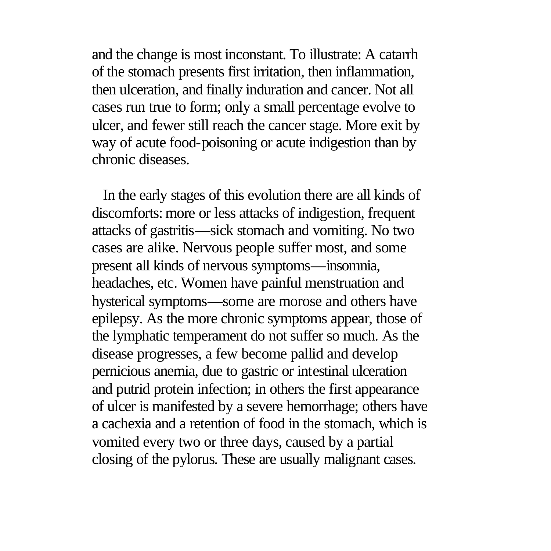and the change is most inconstant. To illustrate: A catarrh of the stomach presents first irritation, then inflammation, then ulceration, and finally induration and cancer. Not all cases run true to form; only a small percentage evolve to ulcer, and fewer still reach the cancer stage. More exit by way of acute food-poisoning or acute indigestion than by chronic diseases.

 In the early stages of this evolution there are all kinds of discomforts: more or less attacks of indigestion, frequent attacks of gastritis—sick stomach and vomiting. No two cases are alike. Nervous people suffer most, and some present all kinds of nervous symptoms—insomnia, headaches, etc. Women have painful menstruation and hysterical symptoms—some are morose and others have epilepsy. As the more chronic symptoms appear, those of the lymphatic temperament do not suffer so much. As the disease progresses, a few become pallid and develop pernicious anemia, due to gastric or intestinal ulceration and putrid protein infection; in others the first appearance of ulcer is manifested by a severe hemorrhage; others have a cachexia and a retention of food in the stomach, which is vomited every two or three days, caused by a partial closing of the pylorus. These are usually malignant cases.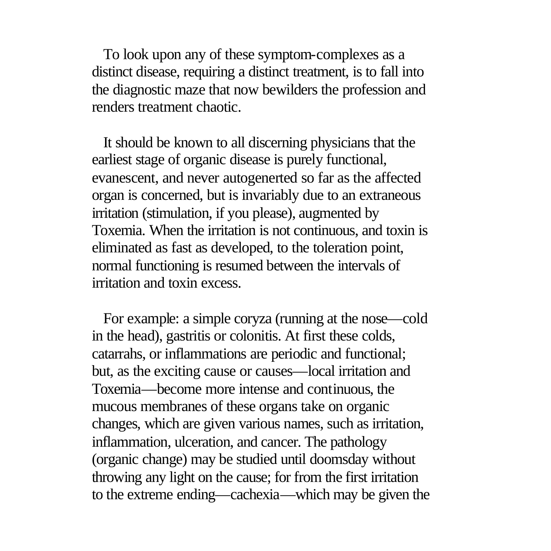To look upon any of these symptom-complexes as a distinct disease, requiring a distinct treatment, is to fall into the diagnostic maze that now bewilders the profession and renders treatment chaotic.

 It should be known to all discerning physicians that the earliest stage of organic disease is purely functional, evanescent, and never autogenerted so far as the affected organ is concerned, but is invariably due to an extraneous irritation (stimulation, if you please), augmented by Toxemia. When the irritation is not continuous, and toxin is eliminated as fast as developed, to the toleration point, normal functioning is resumed between the intervals of irritation and toxin excess.

 For example: a simple coryza (running at the nose—cold in the head), gastritis or colonitis. At first these colds, catarrahs, or inflammations are periodic and functional; but, as the exciting cause or causes—local irritation and Toxemia—become more intense and continuous, the mucous membranes of these organs take on organic changes, which are given various names, such as irritation, inflammation, ulceration, and cancer. The pathology (organic change) may be studied until doomsday without throwing any light on the cause; for from the first irritation to the extreme ending—cachexia—which may be given the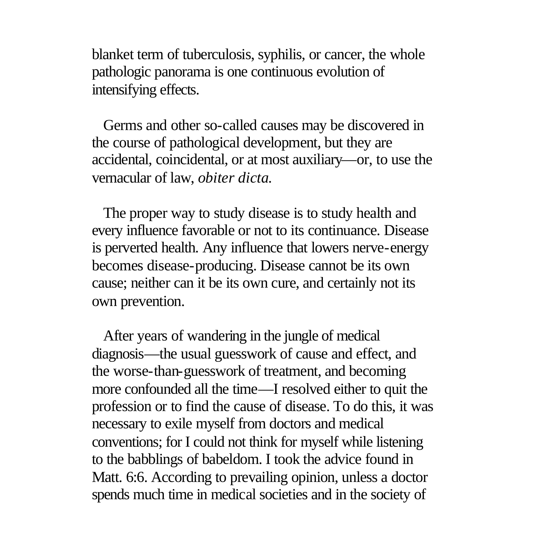blanket term of tuberculosis, syphilis, or cancer, the whole pathologic panorama is one continuous evolution of intensifying effects.

 Germs and other so-called causes may be discovered in the course of pathological development, but they are accidental, coincidental, or at most auxiliary—or, to use the vernacular of law, *obiter dicta.*

 The proper way to study disease is to study health and every influence favorable or not to its continuance. Disease is perverted health. Any influence that lowers nerve-energy becomes disease-producing. Disease cannot be its own cause; neither can it be its own cure, and certainly not its own prevention.

 After years of wandering in the jungle of medical diagnosis—the usual guesswork of cause and effect, and the worse-than-guesswork of treatment, and becoming more confounded all the time—I resolved either to quit the profession or to find the cause of disease. To do this, it was necessary to exile myself from doctors and medical conventions; for I could not think for myself while listening to the babblings of babeldom. I took the advice found in Matt. 6:6. According to prevailing opinion, unless a doctor spends much time in medical societies and in the society of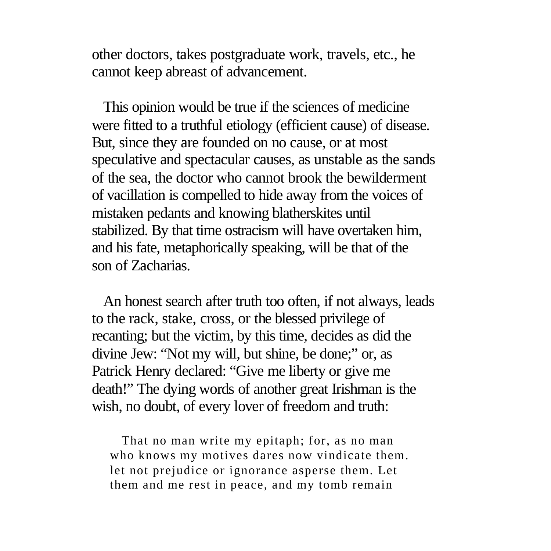other doctors, takes postgraduate work, travels, etc., he cannot keep abreast of advancement.

 This opinion would be true if the sciences of medicine were fitted to a truthful etiology (efficient cause) of disease. But, since they are founded on no cause, or at most speculative and spectacular causes, as unstable as the sands of the sea, the doctor who cannot brook the bewilderment of vacillation is compelled to hide away from the voices of mistaken pedants and knowing blatherskites until stabilized. By that time ostracism will have overtaken him, and his fate, metaphorically speaking, will be that of the son of Zacharias.

 An honest search after truth too often, if not always, leads to the rack, stake, cross, or the blessed privilege of recanting; but the victim, by this time, decides as did the divine Jew: "Not my will, but shine, be done;" or, as Patrick Henry declared: "Give me liberty or give me death!" The dying words of another great Irishman is the wish, no doubt, of every lover of freedom and truth:

 That no man write my epitaph; for, as no man who knows my motives dares now vindicate them. let not prejudice or ignorance asperse them. Let them and me rest in peace, and my tomb remain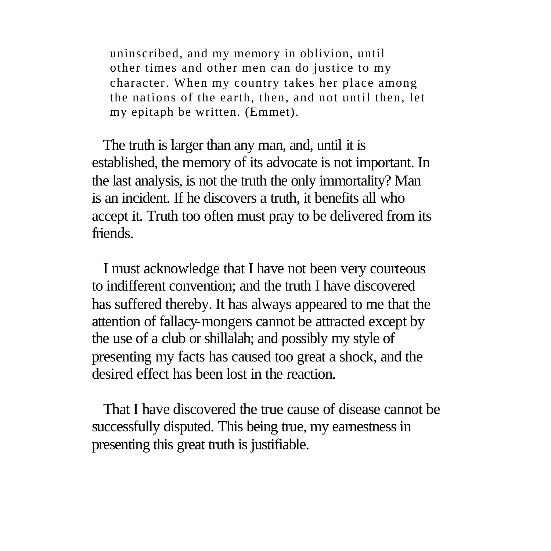uninscribed, and my memory in oblivion, until other times and other men can do justice to my character. When my country takes her place among the nations of the earth, then, and not until then, let my epitaph be written. (Emmet).

 The truth is larger than any man, and, until it is established, the memory of its advocate is not important. In the last analysis, is not the truth the only immortality? Man is an incident. If he discovers a truth, it benefits all who accept it. Truth too often must pray to be delivered from its friends.

 I must acknowledge that I have not been very courteous to indifferent convention; and the truth I have discovered has suffered thereby. It has always appeared to me that the attention of fallacy-mongers cannot be attracted except by the use of a club or shillalah; and possibly my style of presenting my facts has caused too great a shock, and the desired effect has been lost in the reaction.

 That I have discovered the true cause of disease cannot be successfully disputed. This being true, my earnestness in presenting this great truth is justifiable.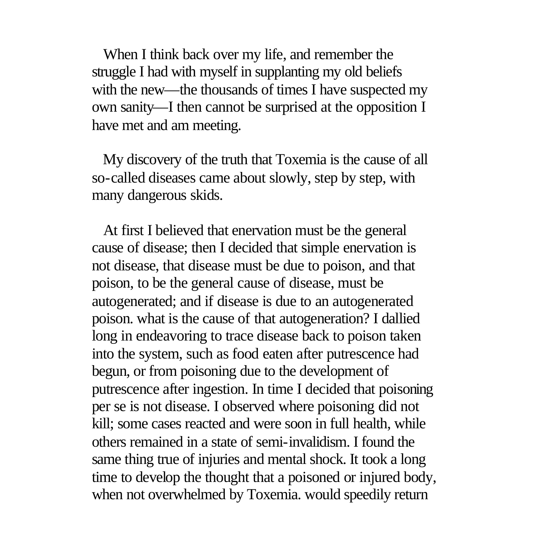When I think back over my life, and remember the struggle I had with myself in supplanting my old beliefs with the new—the thousands of times I have suspected my own sanity—I then cannot be surprised at the opposition I have met and am meeting.

 My discovery of the truth that Toxemia is the cause of all so-called diseases came about slowly, step by step, with many dangerous skids.

 At first I believed that enervation must be the general cause of disease; then I decided that simple enervation is not disease, that disease must be due to poison, and that poison, to be the general cause of disease, must be autogenerated; and if disease is due to an autogenerated poison. what is the cause of that autogeneration? I dallied long in endeavoring to trace disease back to poison taken into the system, such as food eaten after putrescence had begun, or from poisoning due to the development of putrescence after ingestion. In time I decided that poisoning per se is not disease. I observed where poisoning did not kill; some cases reacted and were soon in full health, while others remained in a state of semi-invalidism. I found the same thing true of injuries and mental shock. It took a long time to develop the thought that a poisoned or injured body, when not overwhelmed by Toxemia. would speedily return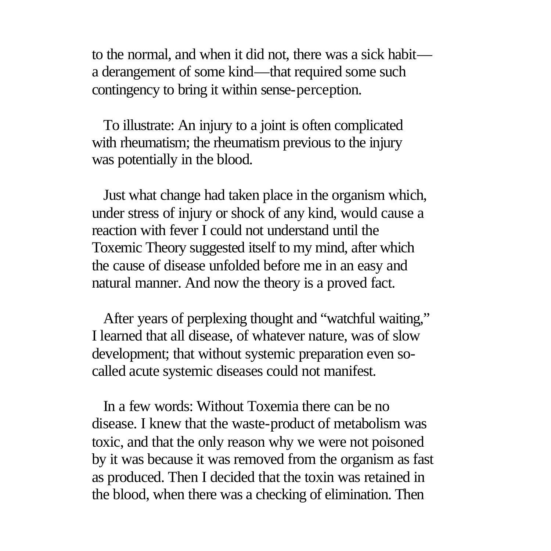to the normal, and when it did not, there was a sick habit a derangement of some kind—that required some such contingency to bring it within sense-perception.

 To illustrate: An injury to a joint is often complicated with rheumatism; the rheumatism previous to the injury was potentially in the blood.

 Just what change had taken place in the organism which, under stress of injury or shock of any kind, would cause a reaction with fever I could not understand until the Toxemic Theory suggested itself to my mind, after which the cause of disease unfolded before me in an easy and natural manner. And now the theory is a proved fact.

 After years of perplexing thought and "watchful waiting," I learned that all disease, of whatever nature, was of slow development; that without systemic preparation even socalled acute systemic diseases could not manifest.

 In a few words: Without Toxemia there can be no disease. I knew that the waste-product of metabolism was toxic, and that the only reason why we were not poisoned by it was because it was removed from the organism as fast as produced. Then I decided that the toxin was retained in the blood, when there was a checking of elimination. Then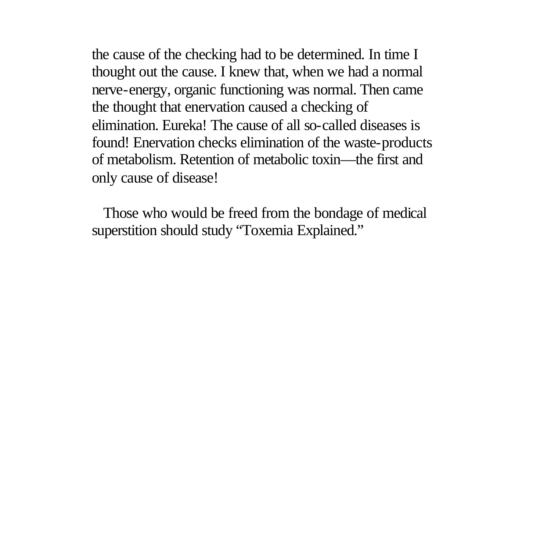the cause of the checking had to be determined. In time I thought out the cause. I knew that, when we had a normal nerve-energy, organic functioning was normal. Then came the thought that enervation caused a checking of elimination. Eureka! The cause of all so-called diseases is found! Enervation checks elimination of the waste-products of metabolism. Retention of metabolic toxin—the first and only cause of disease!

 Those who would be freed from the bondage of medical superstition should study "Toxemia Explained."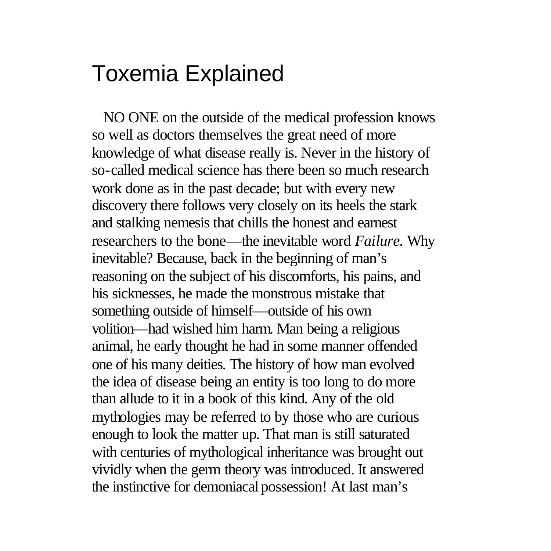### Toxemia Explained

 NO ONE on the outside of the medical profession knows so well as doctors themselves the great need of more knowledge of what disease really is. Never in the history of so-called medical science has there been so much research work done as in the past decade; but with every new discovery there follows very closely on its heels the stark and stalking nemesis that chills the honest and earnest researchers to the bone—the inevitable word *Failure.* Why inevitable? Because, back in the beginning of man's reasoning on the subject of his discomforts, his pains, and his sicknesses, he made the monstrous mistake that something outside of himself—outside of his own volition—had wished him harm. Man being a religious animal, he early thought he had in some manner offended one of his many deities. The history of how man evolved the idea of disease being an entity is too long to do more than allude to it in a book of this kind. Any of the old mythologies may be referred to by those who are curious enough to look the matter up. That man is still saturated with centuries of mythological inheritance was brought out vividly when the germ theory was introduced. It answered the instinctive for demoniacal possession! At last man's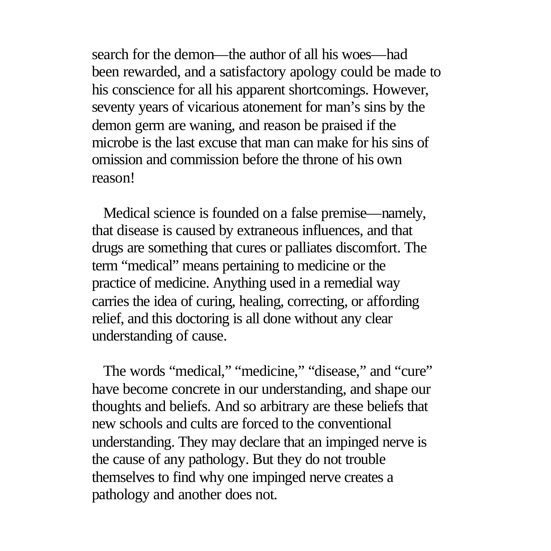search for the demon—the author of all his woes—had been rewarded, and a satisfactory apology could be made to his conscience for all his apparent shortcomings. However, seventy years of vicarious atonement for man's sins by the demon germ are waning, and reason be praised if the microbe is the last excuse that man can make for his sins of omission and commission before the throne of his own reason!

 Medical science is founded on a false premise—namely, that disease is caused by extraneous influences, and that drugs are something that cures or palliates discomfort. The term "medical" means pertaining to medicine or the practice of medicine. Anything used in a remedial way carries the idea of curing, healing, correcting, or affording relief, and this doctoring is all done without any clear understanding of cause.

The words "medical," "medicine," "disease," and "cure" have become concrete in our understanding, and shape our thoughts and beliefs. And so arbitrary are these beliefs that new schools and cults are forced to the conventional understanding. They may declare that an impinged nerve is the cause of any pathology. But they do not trouble themselves to find why one impinged nerve creates a pathology and another does not.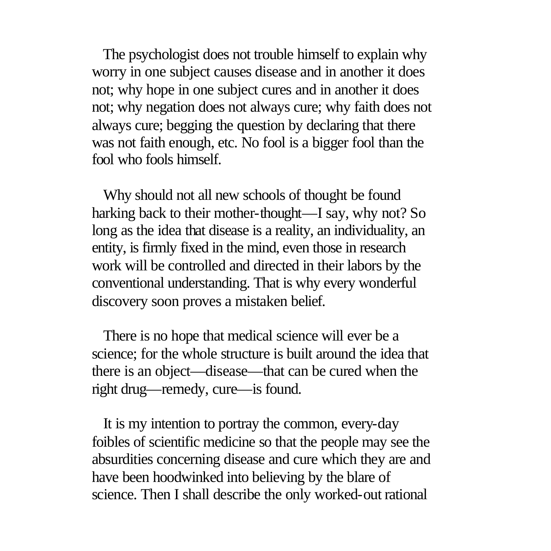The psychologist does not trouble himself to explain why worry in one subject causes disease and in another it does not; why hope in one subject cures and in another it does not; why negation does not always cure; why faith does not always cure; begging the question by declaring that there was not faith enough, etc. No fool is a bigger fool than the fool who fools himself.

 Why should not all new schools of thought be found harking back to their mother-thought—I say, why not? So long as the idea that disease is a reality, an individuality, an entity, is firmly fixed in the mind, even those in research work will be controlled and directed in their labors by the conventional understanding. That is why every wonderful discovery soon proves a mistaken belief.

 There is no hope that medical science will ever be a science; for the whole structure is built around the idea that there is an object—disease—that can be cured when the right drug—remedy, cure—is found.

 It is my intention to portray the common, every-day foibles of scientific medicine so that the people may see the absurdities concerning disease and cure which they are and have been hoodwinked into believing by the blare of science. Then I shall describe the only worked-out rational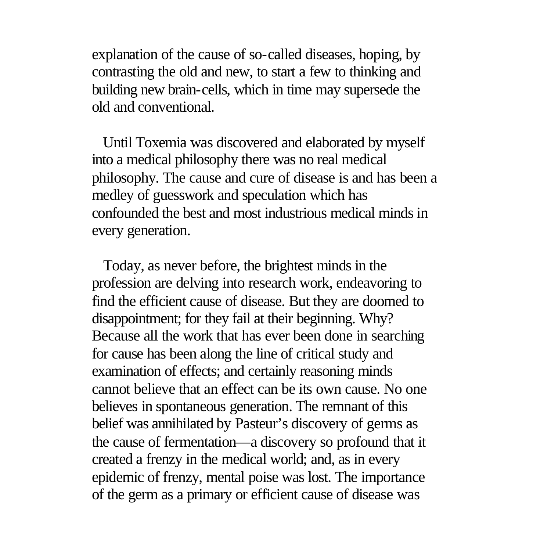explanation of the cause of so-called diseases, hoping, by contrasting the old and new, to start a few to thinking and building new brain-cells, which in time may supersede the old and conventional.

 Until Toxemia was discovered and elaborated by myself into a medical philosophy there was no real medical philosophy. The cause and cure of disease is and has been a medley of guesswork and speculation which has confounded the best and most industrious medical minds in every generation.

 Today, as never before, the brightest minds in the profession are delving into research work, endeavoring to find the efficient cause of disease. But they are doomed to disappointment; for they fail at their beginning. Why? Because all the work that has ever been done in searching for cause has been along the line of critical study and examination of effects; and certainly reasoning minds cannot believe that an effect can be its own cause. No one believes in spontaneous generation. The remnant of this belief was annihilated by Pasteur's discovery of germs as the cause of fermentation—a discovery so profound that it created a frenzy in the medical world; and, as in every epidemic of frenzy, mental poise was lost. The importance of the germ as a primary or efficient cause of disease was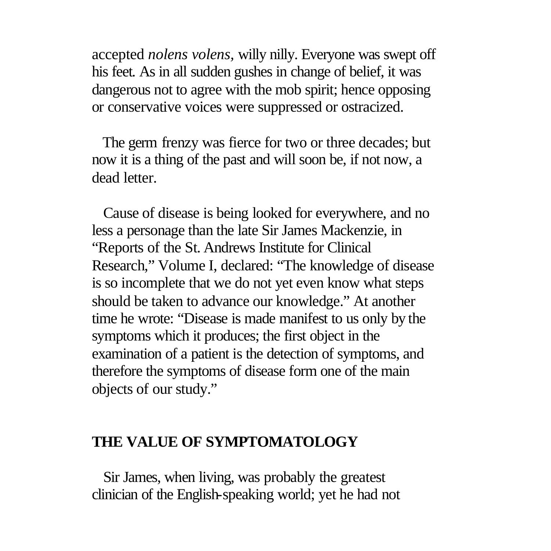accepted *nolens volens,* willy nilly. Everyone was swept off his feet. As in all sudden gushes in change of belief, it was dangerous not to agree with the mob spirit; hence opposing or conservative voices were suppressed or ostracized.

 The germ frenzy was fierce for two or three decades; but now it is a thing of the past and will soon be, if not now, a dead letter.

 Cause of disease is being looked for everywhere, and no less a personage than the late Sir James Mackenzie, in "Reports of the St. Andrews Institute for Clinical Research," Volume I, declared: "The knowledge of disease is so incomplete that we do not yet even know what steps should be taken to advance our knowledge." At another time he wrote: "Disease is made manifest to us only by the symptoms which it produces; the first object in the examination of a patient is the detection of symptoms, and therefore the symptoms of disease form one of the main objects of our study."

#### **THE VALUE OF SYMPTOMATOLOGY**

 Sir James, when living, was probably the greatest clinician of the English-speaking world; yet he had not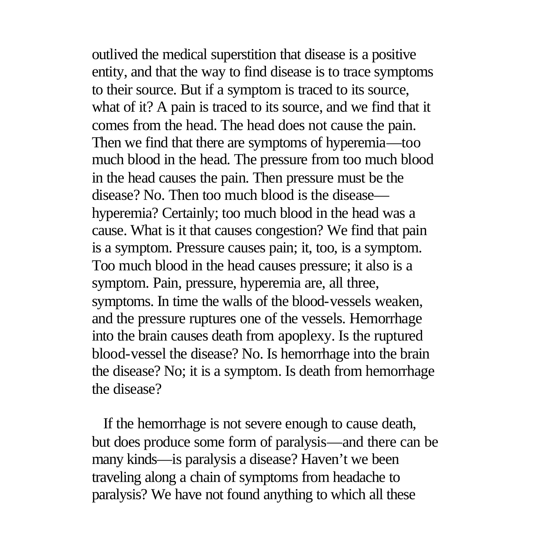outlived the medical superstition that disease is a positive entity, and that the way to find disease is to trace symptoms to their source. But if a symptom is traced to its source, what of it? A pain is traced to its source, and we find that it comes from the head. The head does not cause the pain. Then we find that there are symptoms of hyperemia—too much blood in the head. The pressure from too much blood in the head causes the pain. Then pressure must be the disease? No. Then too much blood is the disease hyperemia? Certainly; too much blood in the head was a cause. What is it that causes congestion? We find that pain is a symptom. Pressure causes pain; it, too, is a symptom. Too much blood in the head causes pressure; it also is a symptom. Pain, pressure, hyperemia are, all three, symptoms. In time the walls of the blood-vessels weaken, and the pressure ruptures one of the vessels. Hemorrhage into the brain causes death from apoplexy. Is the ruptured blood-vessel the disease? No. Is hemorrhage into the brain the disease? No; it is a symptom. Is death from hemorrhage the disease?

 If the hemorrhage is not severe enough to cause death, but does produce some form of paralysis—and there can be many kinds—is paralysis a disease? Haven't we been traveling along a chain of symptoms from headache to paralysis? We have not found anything to which all these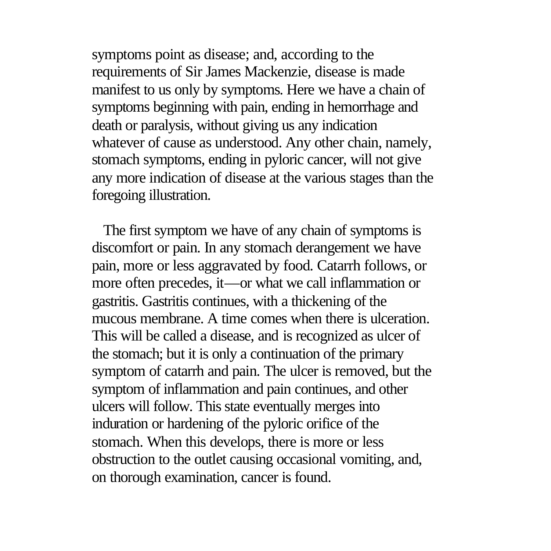symptoms point as disease; and, according to the requirements of Sir James Mackenzie, disease is made manifest to us only by symptoms. Here we have a chain of symptoms beginning with pain, ending in hemorrhage and death or paralysis, without giving us any indication whatever of cause as understood. Any other chain, namely, stomach symptoms, ending in pyloric cancer, will not give any more indication of disease at the various stages than the foregoing illustration.

 The first symptom we have of any chain of symptoms is discomfort or pain. In any stomach derangement we have pain, more or less aggravated by food. Catarrh follows, or more often precedes, it—or what we call inflammation or gastritis. Gastritis continues, with a thickening of the mucous membrane. A time comes when there is ulceration. This will be called a disease, and is recognized as ulcer of the stomach; but it is only a continuation of the primary symptom of catarrh and pain. The ulcer is removed, but the symptom of inflammation and pain continues, and other ulcers will follow. This state eventually merges into induration or hardening of the pyloric orifice of the stomach. When this develops, there is more or less obstruction to the outlet causing occasional vomiting, and, on thorough examination, cancer is found.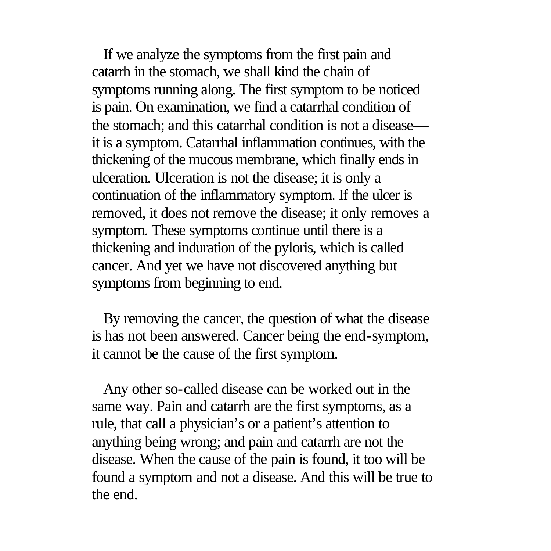If we analyze the symptoms from the first pain and catarrh in the stomach, we shall kind the chain of symptoms running along. The first symptom to be noticed is pain. On examination, we find a catarrhal condition of the stomach; and this catarrhal condition is not a disease it is a symptom. Catarrhal inflammation continues, with the thickening of the mucous membrane, which finally ends in ulceration. Ulceration is not the disease; it is only a continuation of the inflammatory symptom. If the ulcer is removed, it does not remove the disease; it only removes a symptom. These symptoms continue until there is a thickening and induration of the pyloris, which is called cancer. And yet we have not discovered anything but symptoms from beginning to end.

 By removing the cancer, the question of what the disease is has not been answered. Cancer being the end-symptom, it cannot be the cause of the first symptom.

 Any other so-called disease can be worked out in the same way. Pain and catarrh are the first symptoms, as a rule, that call a physician's or a patient's attention to anything being wrong; and pain and catarrh are not the disease. When the cause of the pain is found, it too will be found a symptom and not a disease. And this will be true to the end.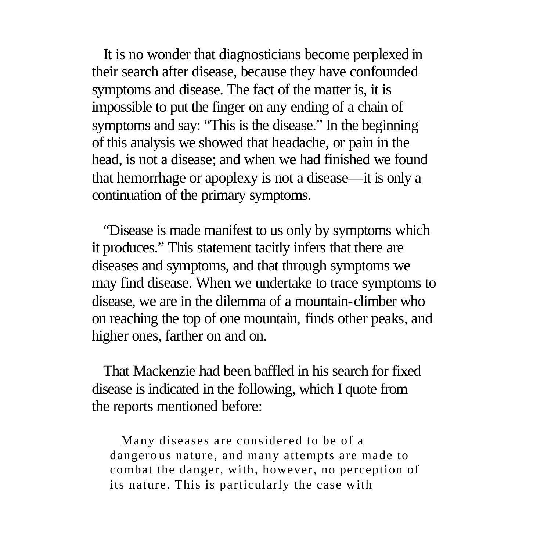It is no wonder that diagnosticians become perplexed in their search after disease, because they have confounded symptoms and disease. The fact of the matter is, it is impossible to put the finger on any ending of a chain of symptoms and say: "This is the disease." In the beginning of this analysis we showed that headache, or pain in the head, is not a disease; and when we had finished we found that hemorrhage or apoplexy is not a disease—it is only a continuation of the primary symptoms.

 "Disease is made manifest to us only by symptoms which it produces." This statement tacitly infers that there are diseases and symptoms, and that through symptoms we may find disease. When we undertake to trace symptoms to disease, we are in the dilemma of a mountain-climber who on reaching the top of one mountain, finds other peaks, and higher ones, farther on and on.

 That Mackenzie had been baffled in his search for fixed disease is indicated in the following, which I quote from the reports mentioned before:

 Many diseases are considered to be of a dangero us nature, and many attempts are made to combat the danger, with, however, no perception of its nature. This is particularly the case with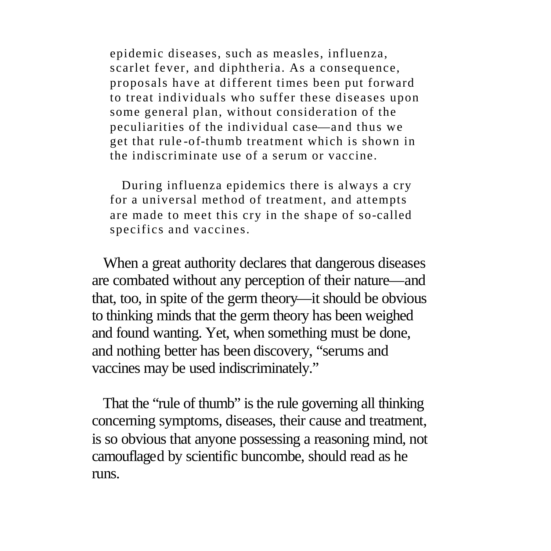epidemic diseases, such as measles, influenza, scarlet fever, and diphtheria. As a consequence, proposals have at different times been put forward to treat individuals who suffer these diseases upon some general plan, without consideration of the peculiarities of the individual case—and thus we get that rule -of-thumb treatment which is shown in the indiscriminate use of a serum or vaccine.

 During influenza epidemics there is always a cry for a universal method of treatment, and attempts are made to meet this cry in the shape of so-called specifics and vaccines.

 When a great authority declares that dangerous diseases are combated without any perception of their nature—and that, too, in spite of the germ theory—it should be obvious to thinking minds that the germ theory has been weighed and found wanting. Yet, when something must be done, and nothing better has been discovery, "serums and vaccines may be used indiscriminately."

 That the "rule of thumb" is the rule governing all thinking concerning symptoms, diseases, their cause and treatment, is so obvious that anyone possessing a reasoning mind, not camouflaged by scientific buncombe, should read as he runs.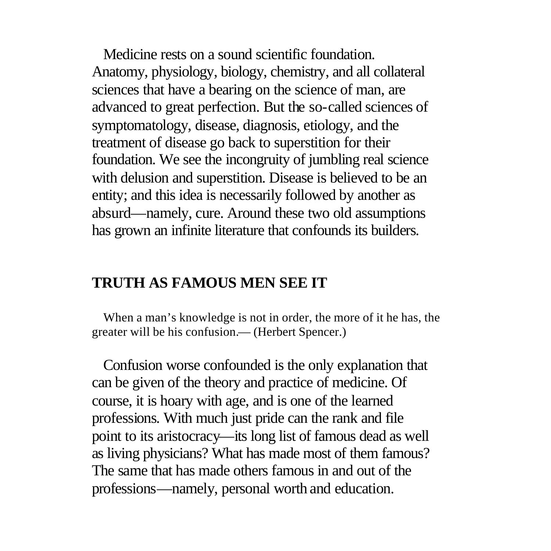Medicine rests on a sound scientific foundation. Anatomy, physiology, biology, chemistry, and all collateral sciences that have a bearing on the science of man, are advanced to great perfection. But the so-called sciences of symptomatology, disease, diagnosis, etiology, and the treatment of disease go back to superstition for their foundation. We see the incongruity of jumbling real science with delusion and superstition. Disease is believed to be an entity; and this idea is necessarily followed by another as absurd—namely, cure. Around these two old assumptions has grown an infinite literature that confounds its builders.

### **TRUTH AS FAMOUS MEN SEE IT**

 When a man's knowledge is not in order, the more of it he has, the greater will be his confusion.— (Herbert Spencer.)

 Confusion worse confounded is the only explanation that can be given of the theory and practice of medicine. Of course, it is hoary with age, and is one of the learned professions. With much just pride can the rank and file point to its aristocracy—its long list of famous dead as well as living physicians? What has made most of them famous? The same that has made others famous in and out of the professions—namely, personal worth and education.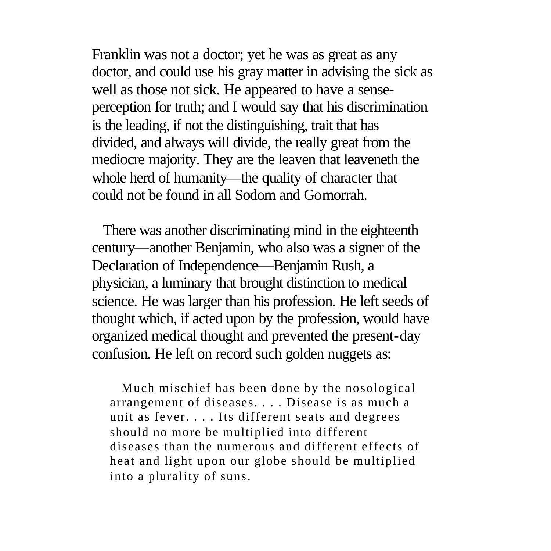Franklin was not a doctor; yet he was as great as any doctor, and could use his gray matter in advising the sick as well as those not sick. He appeared to have a senseperception for truth; and I would say that his discrimination is the leading, if not the distinguishing, trait that has divided, and always will divide, the really great from the mediocre majority. They are the leaven that leaveneth the whole herd of humanity—the quality of character that could not be found in all Sodom and Gomorrah.

 There was another discriminating mind in the eighteenth century—another Benjamin, who also was a signer of the Declaration of Independence—Benjamin Rush, a physician, a luminary that brought distinction to medical science. He was larger than his profession. He left seeds of thought which, if acted upon by the profession, would have organized medical thought and prevented the present-day confusion. He left on record such golden nuggets as:

 Much mischief has been done by the nosological arrangement of diseases. . . . Disease is as much a unit as fever. . . . Its different seats and degrees should no more be multiplied into different diseases than the numerous and different effects of heat and light upon our globe should be multiplied into a plurality of suns.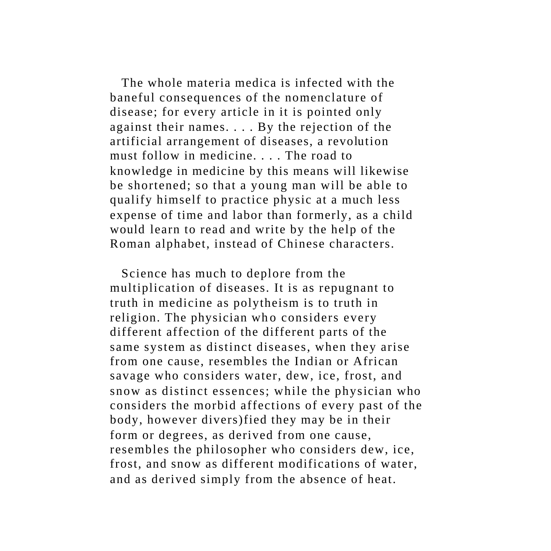The whole materia medica is infected with the baneful consequences of the nomenclature of disease; for every article in it is pointed only against their names. . . . By the rejection of the artificial arrangement of diseases, a revolution must follow in medicine. . . . The road to knowledge in medicine by this means will likewise be shortened; so that a young man will be able to qualify himself to practice physic at a much less expense of time and labor than formerly, as a child would learn to read and write by the help of the Roman alphabet, instead of Chinese characters.

 Science has much to deplore from the multiplication of diseases. It is as repugnant to truth in medicine as polytheism is to truth in religion. The physician who considers every different affection of the different parts of the same system as distinct diseases, when they arise from one cause, resembles the Indian or African savage who considers water, dew, ice, frost, and snow as distinct essences; while the physician who considers the morbid affections of every past of the body, however divers)fied they may be in their form or degrees, as derived from one cause, resembles the philosopher who considers dew, ice, frost, and snow as different modifications of water, and as derived simply from the absence of heat.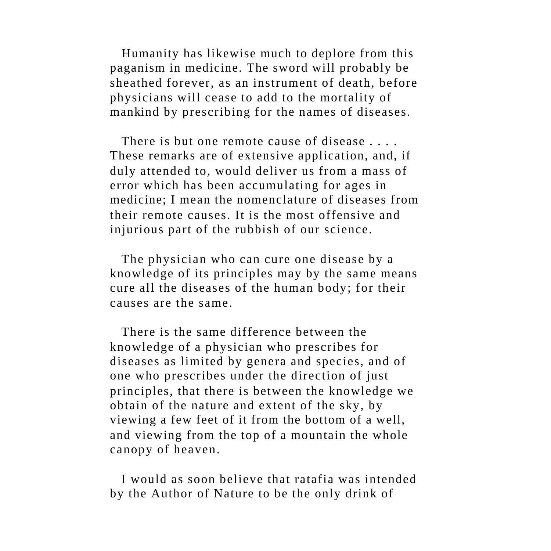Humanity has likewise much to deplore from this paganism in medicine. The sword will probably be sheathed forever, as an instrument of death, before physicians will cease to add to the mortality of mankind by prescribing for the names of diseases.

 There is but one remote cause of disease . . . . These remarks are of extensive application, and, if duly attended to, would deliver us from a mass of error which has been accumulating for ages in medicine; I mean the nomenclature of diseases from their remote causes. It is the most offensive and injurious part of the rubbish of our science.

 The physician who can cure one disease by a knowledge of its principles may by the same means cure all the diseases of the human body; for their causes are the same.

 There is the same difference between the knowledge of a physician who prescribes for diseases as limited by genera and species, and of one who prescribes under the direction of just principles, that there is between the knowledge we obtain of the nature and extent of the sky, by viewing a few feet of it from the bottom of a well, and viewing from the top of a mountain the whole canopy of heaven.

 I would as soon believe that ratafia was intended by the Author of Nature to be the only drink of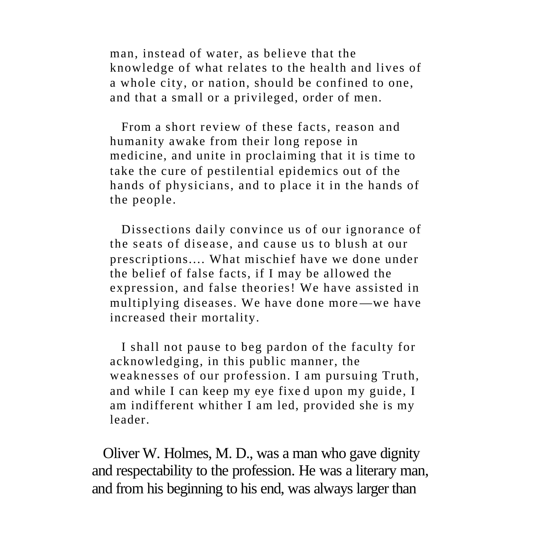man, instead of water, as believe that the knowledge of what relates to the health and lives of a whole city, or nation, should be confined to one, and that a small or a privileged, order of men.

 From a short review of these facts, reason and humanity awake from their long repose in medicine, and unite in proclaiming that it is time to take the cure of pestilential epidemics out of the hands of physicians, and to place it in the hands of the people.

 Dissections daily convince us of our ignorance of the seats of disease, and cause us to blush at our prescriptions.... What mischief have we done under the belief of false facts, if I may be allowed the expression, and false theories! We have assisted in multiplying diseases. We have done more—we have increased their mortality.

 I shall not pause to beg pardon of the faculty for acknowledging, in this public manner, the weaknesses of our profession. I am pursuing Truth, and while I can keep my eye fixe d upon my guide, I am indifferent whither I am led, provided she is my leader.

 Oliver W. Holmes, M. D., was a man who gave dignity and respectability to the profession. He was a literary man, and from his beginning to his end, was always larger than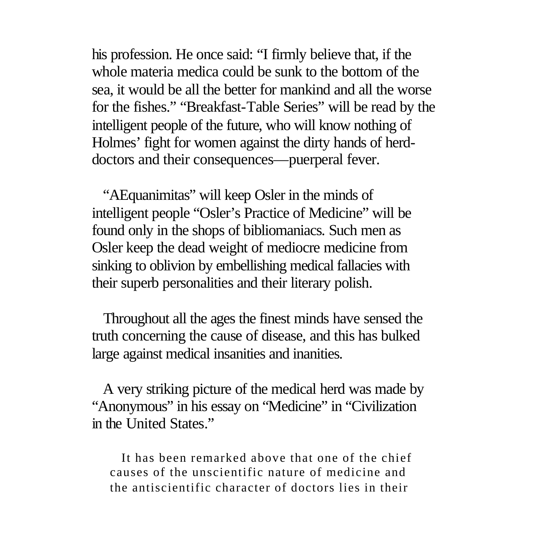his profession. He once said: "I firmly believe that, if the whole materia medica could be sunk to the bottom of the sea, it would be all the better for mankind and all the worse for the fishes." "Breakfast-Table Series" will be read by the intelligent people of the future, who will know nothing of Holmes' fight for women against the dirty hands of herddoctors and their consequences—puerperal fever.

 "AEquanimitas" will keep Osler in the minds of intelligent people "Osler's Practice of Medicine" will be found only in the shops of bibliomaniacs. Such men as Osler keep the dead weight of mediocre medicine from sinking to oblivion by embellishing medical fallacies with their superb personalities and their literary polish.

 Throughout all the ages the finest minds have sensed the truth concerning the cause of disease, and this has bulked large against medical insanities and inanities.

 A very striking picture of the medical herd was made by "Anonymous" in his essay on "Medicine" in "Civilization in the United States."

 It has been remarked above that one of the chief causes of the unscientific nature of medicine and the antiscientific character of doctors lies in their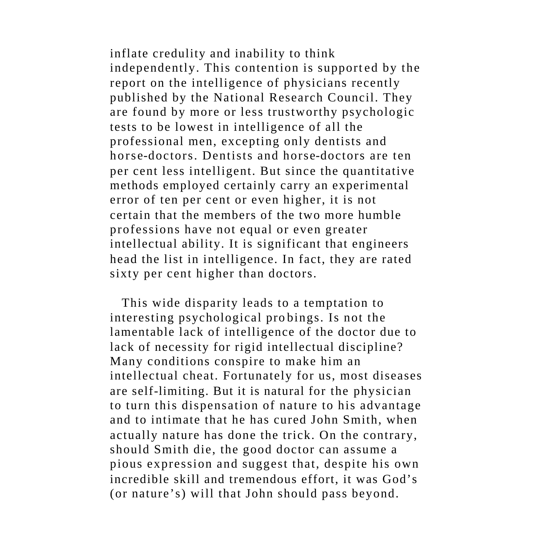inflate credulity and inability to think independently. This contention is supported by the report on the intelligence of physicians recently published by the National Research Council. They are found by more or less trustworthy psychologic tests to be lowest in intelligence of all the professional men, excepting only dentists and horse-doctors. Dentists and horse-doctors are ten per cent less intelligent. But since the quantitative methods employed certainly carry an experimental error of ten per cent or even higher, it is not certain that the members of the two more humble professions have not equal or even greater intellectual ability. It is significant that engineers head the list in intelligence. In fact, they are rated sixty per cent higher than doctors.

 This wide disparity leads to a temptation to interesting psychological pro bings. Is not the lamentable lack of intelligence of the doctor due to lack of necessity for rigid intellectual discipline? Many conditions conspire to make him an intellectual cheat. Fortunately for us, most diseases are self-limiting. But it is natural for the physician to turn this dispensation of nature to his advantage and to intimate that he has cured John Smith, when actually nature has done the trick. On the contrary, should Smith die, the good doctor can assume a pious expression and suggest that, despite his own incredible skill and tremendous effort, it was God's (or nature's) will that John should pass beyond.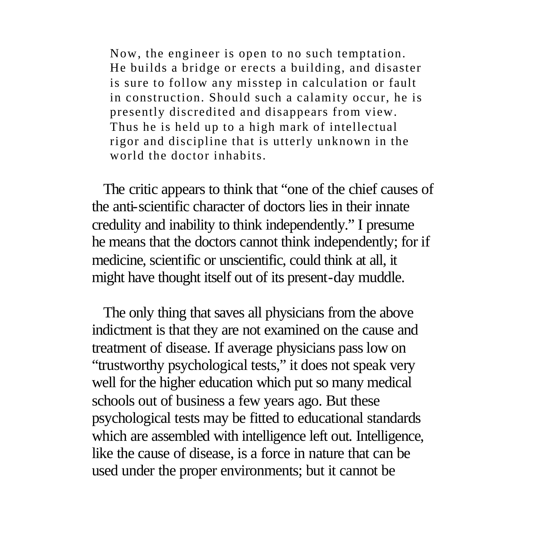Now, the engineer is open to no such temptation. He builds a bridge or erects a building, and disaster is sure to follow any misstep in calculation or fault in construction. Should such a calamity occur, he is presently discredited and disappears from view. Thus he is held up to a high mark of intellectual rigor and discipline that is utterly unknown in the world the doctor inhabits.

 The critic appears to think that "one of the chief causes of the anti-scientific character of doctors lies in their innate credulity and inability to think independently." I presume he means that the doctors cannot think independently; for if medicine, scientific or unscientific, could think at all, it might have thought itself out of its present-day muddle.

 The only thing that saves all physicians from the above indictment is that they are not examined on the cause and treatment of disease. If average physicians pass low on "trustworthy psychological tests," it does not speak very well for the higher education which put so many medical schools out of business a few years ago. But these psychological tests may be fitted to educational standards which are assembled with intelligence left out. Intelligence, like the cause of disease, is a force in nature that can be used under the proper environments; but it cannot be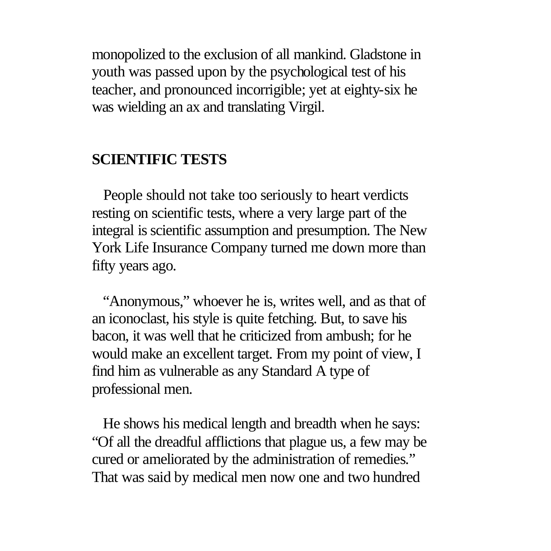monopolized to the exclusion of all mankind. Gladstone in youth was passed upon by the psychological test of his teacher, and pronounced incorrigible; yet at eighty-six he was wielding an ax and translating Virgil.

## **SCIENTIFIC TESTS**

 People should not take too seriously to heart verdicts resting on scientific tests, where a very large part of the integral is scientific assumption and presumption. The New York Life Insurance Company turned me down more than fifty years ago.

 "Anonymous," whoever he is, writes well, and as that of an iconoclast, his style is quite fetching. But, to save his bacon, it was well that he criticized from ambush; for he would make an excellent target. From my point of view, I find him as vulnerable as any Standard A type of professional men.

 He shows his medical length and breadth when he says: "Of all the dreadful afflictions that plague us, a few may be cured or ameliorated by the administration of remedies." That was said by medical men now one and two hundred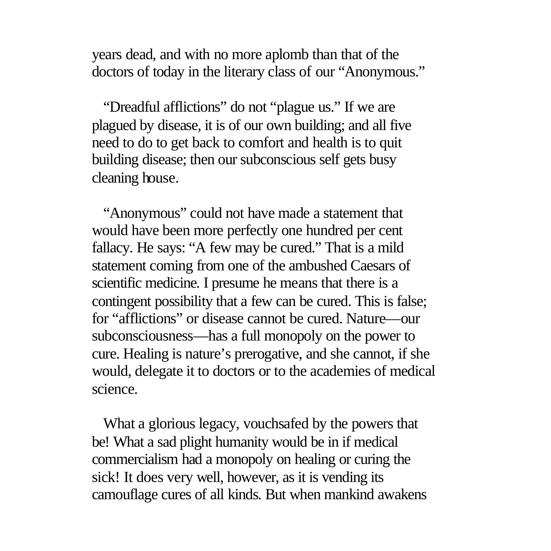years dead, and with no more aplomb than that of the doctors of today in the literary class of our "Anonymous."

 "Dreadful afflictions" do not "plague us." If we are plagued by disease, it is of our own building; and all five need to do to get back to comfort and health is to quit building disease; then our subconscious self gets busy cleaning house.

 "Anonymous" could not have made a statement that would have been more perfectly one hundred per cent fallacy. He says: "A few may be cured." That is a mild statement coming from one of the ambushed Caesars of scientific medicine. I presume he means that there is a contingent possibility that a few can be cured. This is false; for "afflictions" or disease cannot be cured. Nature—our subconsciousness—has a full monopoly on the power to cure. Healing is nature's prerogative, and she cannot, if she would, delegate it to doctors or to the academies of medical science.

 What a glorious legacy, vouchsafed by the powers that be! What a sad plight humanity would be in if medical commercialism had a monopoly on healing or curing the sick! It does very well, however, as it is vending its camouflage cures of all kinds. But when mankind awakens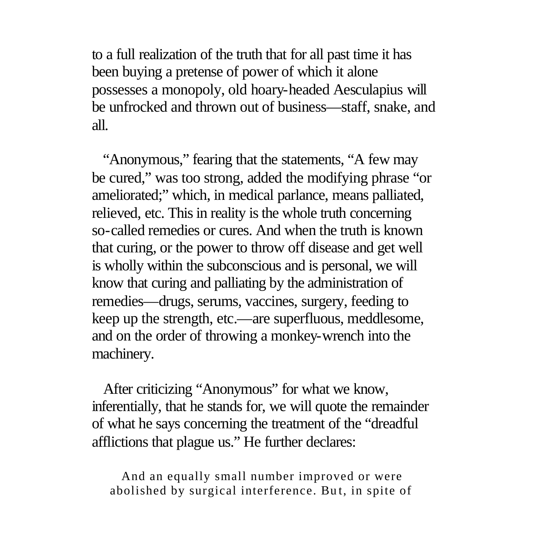to a full realization of the truth that for all past time it has been buying a pretense of power of which it alone possesses a monopoly, old hoary-headed Aesculapius will be unfrocked and thrown out of business—staff, snake, and all.

 "Anonymous," fearing that the statements, "A few may be cured," was too strong, added the modifying phrase "or ameliorated;" which, in medical parlance, means palliated, relieved, etc. This in reality is the whole truth concerning so-called remedies or cures. And when the truth is known that curing, or the power to throw off disease and get well is wholly within the subconscious and is personal, we will know that curing and palliating by the administration of remedies—drugs, serums, vaccines, surgery, feeding to keep up the strength, etc.—are superfluous, meddlesome, and on the order of throwing a monkey-wrench into the machinery.

 After criticizing "Anonymous" for what we know, inferentially, that he stands for, we will quote the remainder of what he says concerning the treatment of the "dreadful afflictions that plague us." He further declares:

 And an equally small number improved or were abolished by surgical interference. Bu t, in spite of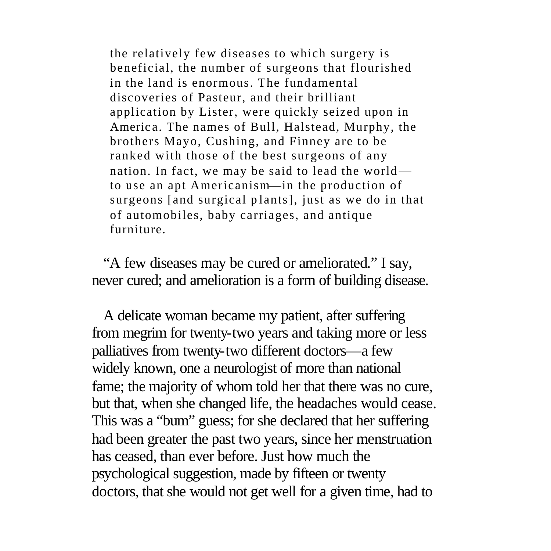the relatively few diseases to which surgery is beneficial, the number of surgeons that flourished in the land is enormous. The fundamental discoveries of Pasteur, and their brilliant application by Lister, were quickly seized upon in Americ a. The names of Bull, Halstead, Murphy, the brothers Mayo, Cushing, and Finney are to be ranked with those of the best surgeons of any nation. In fact, we may be said to lead the world to use an apt Americanism—in the production of surgeons [and surgical plants], just as we do in that of automobiles, baby carriages, and antique furniture.

 "A few diseases may be cured or ameliorated." I say, never cured; and amelioration is a form of building disease.

 A delicate woman became my patient, after suffering from megrim for twenty-two years and taking more or less palliatives from twenty-two different doctors—a few widely known, one a neurologist of more than national fame; the majority of whom told her that there was no cure, but that, when she changed life, the headaches would cease. This was a "bum" guess; for she declared that her suffering had been greater the past two years, since her menstruation has ceased, than ever before. Just how much the psychological suggestion, made by fifteen or twenty doctors, that she would not get well for a given time, had to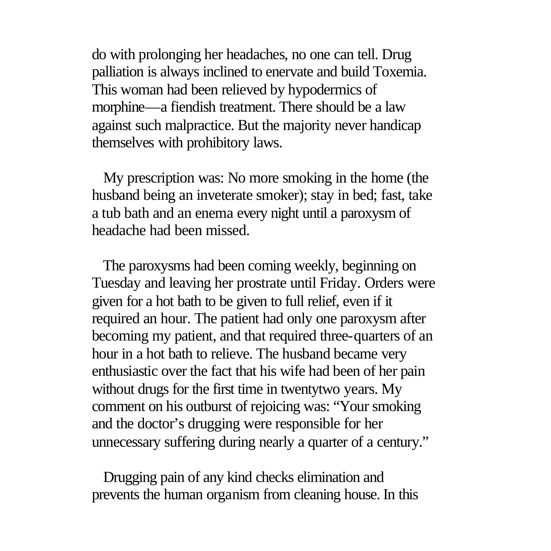do with prolonging her headaches, no one can tell. Drug palliation is always inclined to enervate and build Toxemia. This woman had been relieved by hypodermics of morphine—a fiendish treatment. There should be a law against such malpractice. But the majority never handicap themselves with prohibitory laws.

 My prescription was: No more smoking in the home (the husband being an inveterate smoker); stay in bed; fast, take a tub bath and an enema every night until a paroxysm of headache had been missed.

 The paroxysms had been coming weekly, beginning on Tuesday and leaving her prostrate until Friday. Orders were given for a hot bath to be given to full relief, even if it required an hour. The patient had only one paroxysm after becoming my patient, and that required three-quarters of an hour in a hot bath to relieve. The husband became very enthusiastic over the fact that his wife had been of her pain without drugs for the first time in twentytwo years. My comment on his outburst of rejoicing was: "Your smoking and the doctor's drugging were responsible for her unnecessary suffering during nearly a quarter of a century."

 Drugging pain of any kind checks elimination and prevents the human organism from cleaning house. In this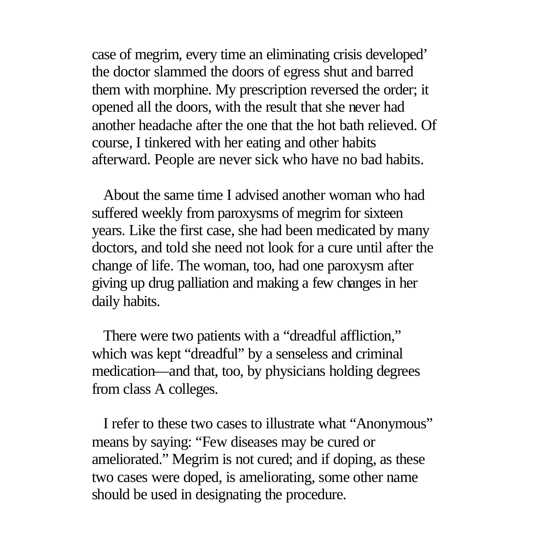case of megrim, every time an eliminating crisis developed' the doctor slammed the doors of egress shut and barred them with morphine. My prescription reversed the order; it opened all the doors, with the result that she never had another headache after the one that the hot bath relieved. Of course, I tinkered with her eating and other habits afterward. People are never sick who have no bad habits.

 About the same time I advised another woman who had suffered weekly from paroxysms of megrim for sixteen years. Like the first case, she had been medicated by many doctors, and told she need not look for a cure until after the change of life. The woman, too, had one paroxysm after giving up drug palliation and making a few changes in her daily habits.

 There were two patients with a "dreadful affliction," which was kept "dreadful" by a senseless and criminal medication—and that, too, by physicians holding degrees from class A colleges.

 I refer to these two cases to illustrate what "Anonymous" means by saying: "Few diseases may be cured or ameliorated." Megrim is not cured; and if doping, as these two cases were doped, is ameliorating, some other name should be used in designating the procedure.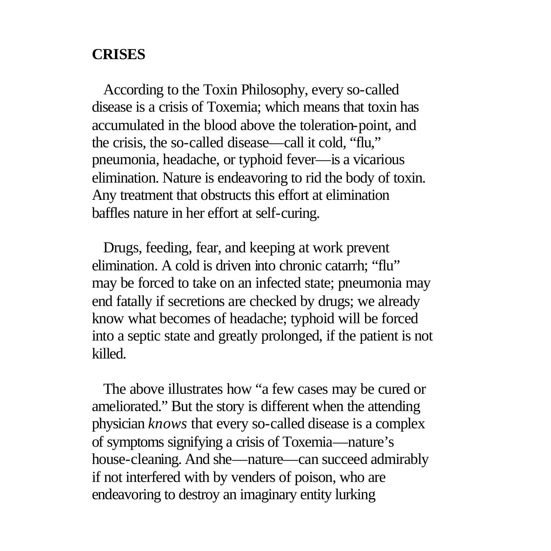#### **CRISES**

 According to the Toxin Philosophy, every so-called disease is a crisis of Toxemia; which means that toxin has accumulated in the blood above the toleration-point, and the crisis, the so-called disease—call it cold, "flu," pneumonia, headache, or typhoid fever—is a vicarious elimination. Nature is endeavoring to rid the body of toxin. Any treatment that obstructs this effort at elimination baffles nature in her effort at self-curing.

 Drugs, feeding, fear, and keeping at work prevent elimination. A cold is driven into chronic catarrh; "flu" may be forced to take on an infected state; pneumonia may end fatally if secretions are checked by drugs; we already know what becomes of headache; typhoid will be forced into a septic state and greatly prolonged, if the patient is not killed.

 The above illustrates how "a few cases may be cured or ameliorated." But the story is different when the attending physician *knows* that every so-called disease is a complex of symptoms signifying a crisis of Toxemia—nature's house-cleaning. And she—nature—can succeed admirably if not interfered with by venders of poison, who are endeavoring to destroy an imaginary entity lurking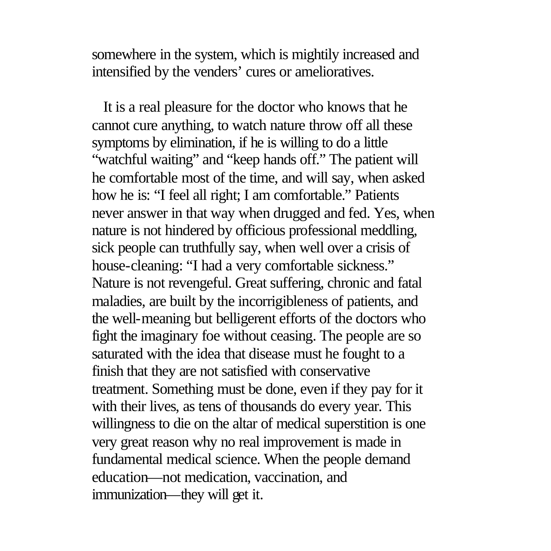somewhere in the system, which is mightily increased and intensified by the venders' cures or amelioratives.

 It is a real pleasure for the doctor who knows that he cannot cure anything, to watch nature throw off all these symptoms by elimination, if he is willing to do a little "watchful waiting" and "keep hands off." The patient will he comfortable most of the time, and will say, when asked how he is: "I feel all right; I am comfortable." Patients never answer in that way when drugged and fed. Yes, when nature is not hindered by officious professional meddling, sick people can truthfully say, when well over a crisis of house-cleaning: "I had a very comfortable sickness." Nature is not revengeful. Great suffering, chronic and fatal maladies, are built by the incorrigibleness of patients, and the well-meaning but belligerent efforts of the doctors who fight the imaginary foe without ceasing. The people are so saturated with the idea that disease must he fought to a finish that they are not satisfied with conservative treatment. Something must be done, even if they pay for it with their lives, as tens of thousands do every year. This willingness to die on the altar of medical superstition is one very great reason why no real improvement is made in fundamental medical science. When the people demand education—not medication, vaccination, and immunization—they will get it.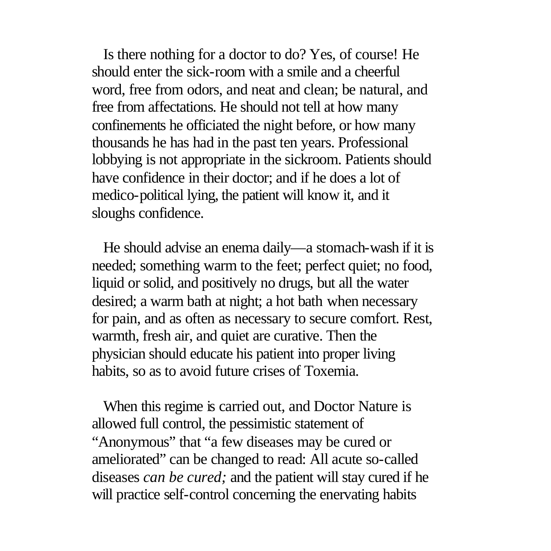Is there nothing for a doctor to do? Yes, of course! He should enter the sick-room with a smile and a cheerful word, free from odors, and neat and clean; be natural, and free from affectations. He should not tell at how many confinements he officiated the night before, or how many thousands he has had in the past ten years. Professional lobbying is not appropriate in the sickroom. Patients should have confidence in their doctor; and if he does a lot of medico-political lying, the patient will know it, and it sloughs confidence.

 He should advise an enema daily—a stomach-wash if it is needed; something warm to the feet; perfect quiet; no food, liquid or solid, and positively no drugs, but all the water desired; a warm bath at night; a hot bath when necessary for pain, and as often as necessary to secure comfort. Rest, warmth, fresh air, and quiet are curative. Then the physician should educate his patient into proper living habits, so as to avoid future crises of Toxemia.

 When this regime is carried out, and Doctor Nature is allowed full control, the pessimistic statement of "Anonymous" that "a few diseases may be cured or ameliorated" can be changed to read: All acute so-called diseases *can be cured;* and the patient will stay cured if he will practice self-control concerning the enervating habits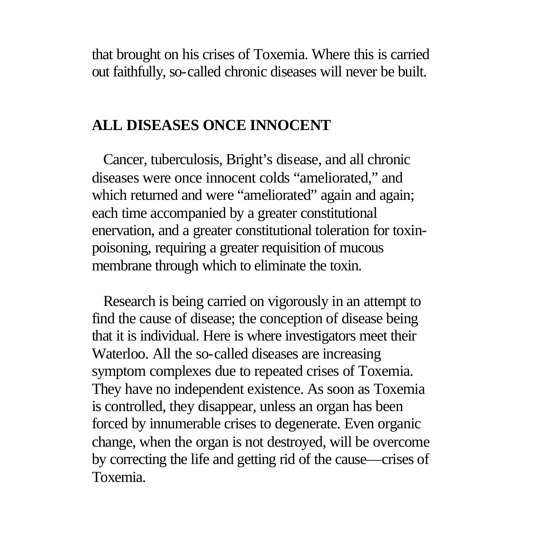that brought on his crises of Toxemia. Where this is carried out faithfully, so-called chronic diseases will never be built.

### **ALL DISEASES ONCE INNOCENT**

 Cancer, tuberculosis, Bright's disease, and all chronic diseases were once innocent colds "ameliorated," and which returned and were "ameliorated" again and again; each time accompanied by a greater constitutional enervation, and a greater constitutional toleration for toxinpoisoning, requiring a greater requisition of mucous membrane through which to eliminate the toxin.

 Research is being carried on vigorously in an attempt to find the cause of disease; the conception of disease being that it is individual. Here is where investigators meet their Waterloo. All the so-called diseases are increasing symptom complexes due to repeated crises of Toxemia. They have no independent existence. As soon as Toxemia is controlled, they disappear, unless an organ has been forced by innumerable crises to degenerate. Even organic change, when the organ is not destroyed, will be overcome by correcting the life and getting rid of the cause—crises of Toxemia.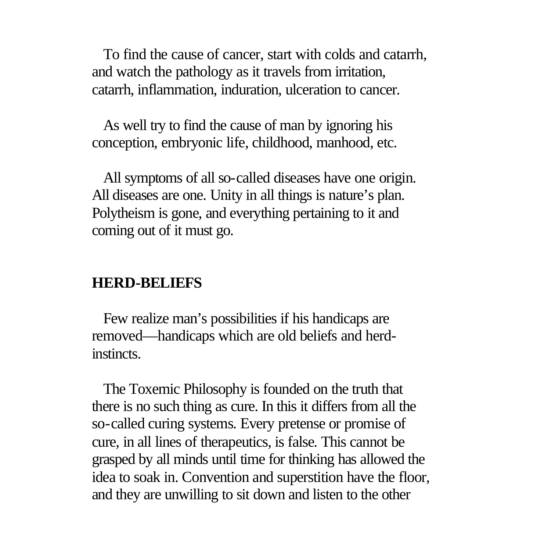To find the cause of cancer, start with colds and catarrh, and watch the pathology as it travels from irritation, catarrh, inflammation, induration, ulceration to cancer.

 As well try to find the cause of man by ignoring his conception, embryonic life, childhood, manhood, etc.

 All symptoms of all so-called diseases have one origin. All diseases are one. Unity in all things is nature's plan. Polytheism is gone, and everything pertaining to it and coming out of it must go.

### **HERD-BELIEFS**

 Few realize man's possibilities if his handicaps are removed—handicaps which are old beliefs and herdinstincts.

 The Toxemic Philosophy is founded on the truth that there is no such thing as cure. In this it differs from all the so-called curing systems. Every pretense or promise of cure, in all lines of therapeutics, is false. This cannot be grasped by all minds until time for thinking has allowed the idea to soak in. Convention and superstition have the floor, and they are unwilling to sit down and listen to the other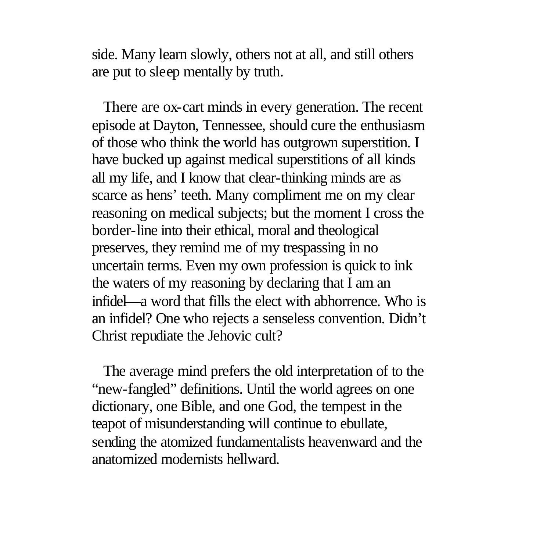side. Many learn slowly, others not at all, and still others are put to sleep mentally by truth.

 There are ox-cart minds in every generation. The recent episode at Dayton, Tennessee, should cure the enthusiasm of those who think the world has outgrown superstition. I have bucked up against medical superstitions of all kinds all my life, and I know that clear-thinking minds are as scarce as hens' teeth. Many compliment me on my clear reasoning on medical subjects; but the moment I cross the border-line into their ethical, moral and theological preserves, they remind me of my trespassing in no uncertain terms. Even my own profession is quick to ink the waters of my reasoning by declaring that I am an infidel—a word that fills the elect with abhorrence. Who is an infidel? One who rejects a senseless convention. Didn't Christ repudiate the Jehovic cult?

 The average mind prefers the old interpretation of to the "new-fangled" definitions. Until the world agrees on one dictionary, one Bible, and one God, the tempest in the teapot of misunderstanding will continue to ebullate, sending the atomized fundamentalists heavenward and the anatomized modernists hellward.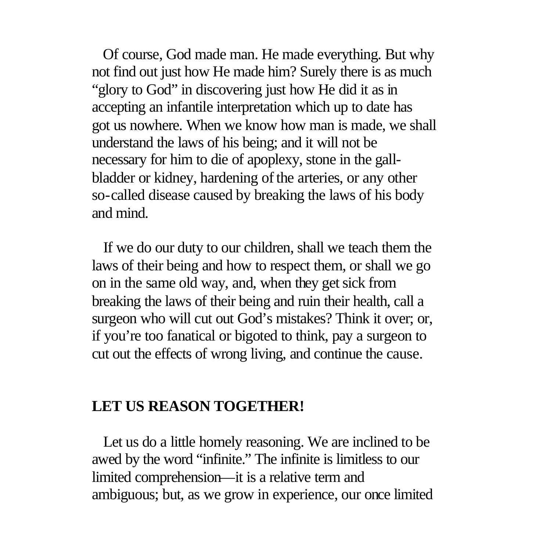Of course, God made man. He made everything. But why not find out just how He made him? Surely there is as much "glory to God" in discovering just how He did it as in accepting an infantile interpretation which up to date has got us nowhere. When we know how man is made, we shall understand the laws of his being; and it will not be necessary for him to die of apoplexy, stone in the gallbladder or kidney, hardening of the arteries, or any other so-called disease caused by breaking the laws of his body and mind.

 If we do our duty to our children, shall we teach them the laws of their being and how to respect them, or shall we go on in the same old way, and, when they get sick from breaking the laws of their being and ruin their health, call a surgeon who will cut out God's mistakes? Think it over; or, if you're too fanatical or bigoted to think, pay a surgeon to cut out the effects of wrong living, and continue the cause.

#### **LET US REASON TOGETHER!**

 Let us do a little homely reasoning. We are inclined to be awed by the word "infinite." The infinite is limitless to our limited comprehension—it is a relative term and ambiguous; but, as we grow in experience, our once limited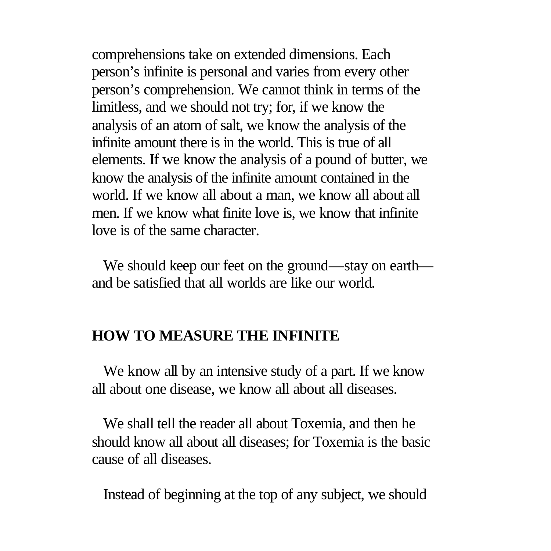comprehensions take on extended dimensions. Each person's infinite is personal and varies from every other person's comprehension. We cannot think in terms of the limitless, and we should not try; for, if we know the analysis of an atom of salt, we know the analysis of the infinite amount there is in the world. This is true of all elements. If we know the analysis of a pound of butter, we know the analysis of the infinite amount contained in the world. If we know all about a man, we know all about all men. If we know what finite love is, we know that infinite love is of the same character.

 We should keep our feet on the ground—stay on earth and be satisfied that all worlds are like our world.

## **HOW TO MEASURE THE INFINITE**

 We know all by an intensive study of a part. If we know all about one disease, we know all about all diseases.

 We shall tell the reader all about Toxemia, and then he should know all about all diseases; for Toxemia is the basic cause of all diseases.

Instead of beginning at the top of any subject, we should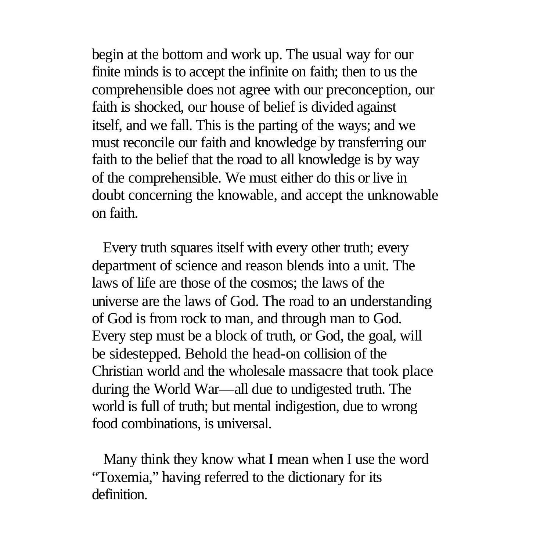begin at the bottom and work up. The usual way for our finite minds is to accept the infinite on faith; then to us the comprehensible does not agree with our preconception, our faith is shocked, our house of belief is divided against itself, and we fall. This is the parting of the ways; and we must reconcile our faith and knowledge by transferring our faith to the belief that the road to all knowledge is by way of the comprehensible. We must either do this or live in doubt concerning the knowable, and accept the unknowable on faith.

 Every truth squares itself with every other truth; every department of science and reason blends into a unit. The laws of life are those of the cosmos; the laws of the universe are the laws of God. The road to an understanding of God is from rock to man, and through man to God. Every step must be a block of truth, or God, the goal, will be sidestepped. Behold the head-on collision of the Christian world and the wholesale massacre that took place during the World War—all due to undigested truth. The world is full of truth; but mental indigestion, due to wrong food combinations, is universal.

 Many think they know what I mean when I use the word "Toxemia," having referred to the dictionary for its definition.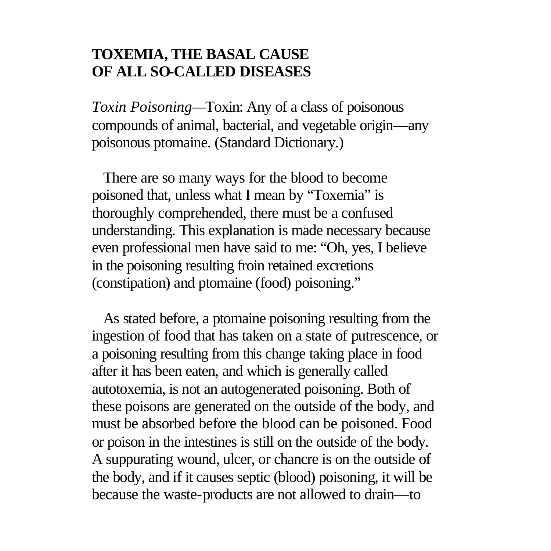# **TOXEMIA, THE BASAL CAUSE OF ALL SO-CALLED DISEASES**

*Toxin Poisoning—*Toxin: Any of a class of poisonous compounds of animal, bacterial, and vegetable origin—any poisonous ptomaine. (Standard Dictionary.)

 There are so many ways for the blood to become poisoned that, unless what I mean by "Toxemia" is thoroughly comprehended, there must be a confused understanding. This explanation is made necessary because even professional men have said to me: "Oh, yes, I believe in the poisoning resulting froin retained excretions (constipation) and ptomaine (food) poisoning."

 As stated before, a ptomaine poisoning resulting from the ingestion of food that has taken on a state of putrescence, or a poisoning resulting from this change taking place in food after it has been eaten, and which is generally called autotoxemia, is not an autogenerated poisoning. Both of these poisons are generated on the outside of the body, and must be absorbed before the blood can be poisoned. Food or poison in the intestines is still on the outside of the body. A suppurating wound, ulcer, or chancre is on the outside of the body, and if it causes septic (blood) poisoning, it will be because the waste-products are not allowed to drain—to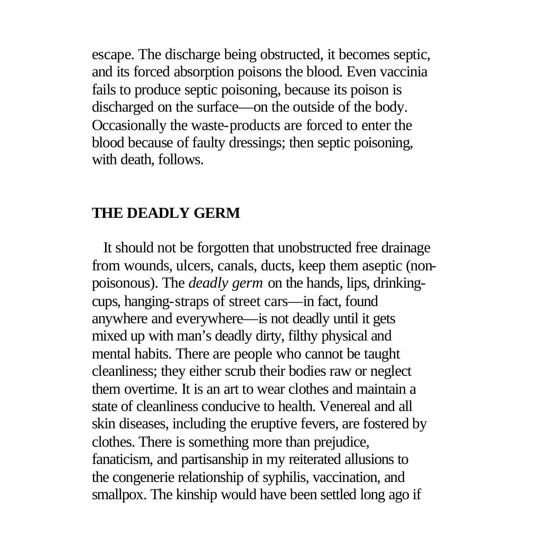escape. The discharge being obstructed, it becomes septic, and its forced absorption poisons the blood. Even vaccinia fails to produce septic poisoning, because its poison is discharged on the surface—on the outside of the body. Occasionally the waste-products are forced to enter the blood because of faulty dressings; then septic poisoning, with death, follows.

#### **THE DEADLY GERM**

 It should not be forgotten that unobstructed free drainage from wounds, ulcers, canals, ducts, keep them aseptic (nonpoisonous). The *deadly germ* on the hands, lips, drinkingcups, hanging-straps of street cars—in fact, found anywhere and everywhere—is not deadly until it gets mixed up with man's deadly dirty, filthy physical and mental habits. There are people who cannot be taught cleanliness; they either scrub their bodies raw or neglect them overtime. It is an art to wear clothes and maintain a state of cleanliness conducive to health. Venereal and all skin diseases, including the eruptive fevers, are fostered by clothes. There is something more than prejudice, fanaticism, and partisanship in my reiterated allusions to the congenerie relationship of syphilis, vaccination, and smallpox. The kinship would have been settled long ago if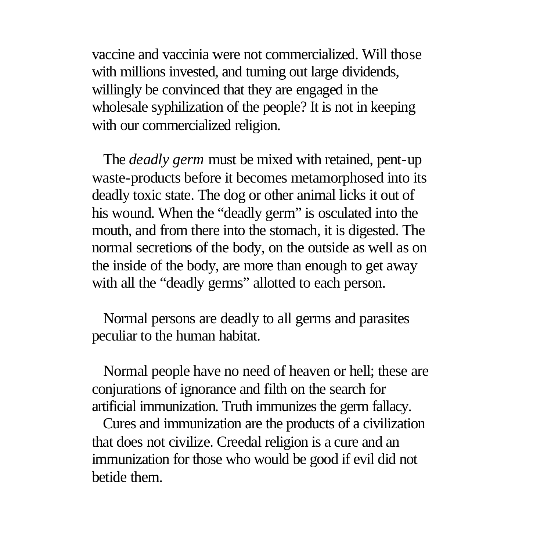vaccine and vaccinia were not commercialized. Will those with millions invested, and turning out large dividends, willingly be convinced that they are engaged in the wholesale syphilization of the people? It is not in keeping with our commercialized religion.

 The *deadly germ* must be mixed with retained, pent-up waste-products before it becomes metamorphosed into its deadly toxic state. The dog or other animal licks it out of his wound. When the "deadly germ" is osculated into the mouth, and from there into the stomach, it is digested. The normal secretions of the body, on the outside as well as on the inside of the body, are more than enough to get away with all the "deadly germs" allotted to each person.

 Normal persons are deadly to all germs and parasites peculiar to the human habitat.

 Normal people have no need of heaven or hell; these are conjurations of ignorance and filth on the search for artificial immunization. Truth immunizes the germ fallacy.

 Cures and immunization are the products of a civilization that does not civilize. Creedal religion is a cure and an immunization for those who would be good if evil did not betide them.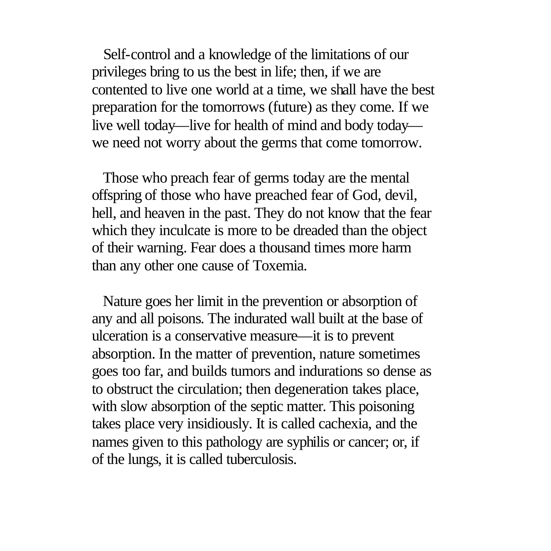Self-control and a knowledge of the limitations of our privileges bring to us the best in life; then, if we are contented to live one world at a time, we shall have the best preparation for the tomorrows (future) as they come. If we live well today—live for health of mind and body today we need not worry about the germs that come tomorrow.

 Those who preach fear of germs today are the mental offspring of those who have preached fear of God, devil, hell, and heaven in the past. They do not know that the fear which they inculcate is more to be dreaded than the object of their warning. Fear does a thousand times more harm than any other one cause of Toxemia.

 Nature goes her limit in the prevention or absorption of any and all poisons. The indurated wall built at the base of ulceration is a conservative measure—it is to prevent absorption. In the matter of prevention, nature sometimes goes too far, and builds tumors and indurations so dense as to obstruct the circulation; then degeneration takes place, with slow absorption of the septic matter. This poisoning takes place very insidiously. It is called cachexia, and the names given to this pathology are syphilis or cancer; or, if of the lungs, it is called tuberculosis.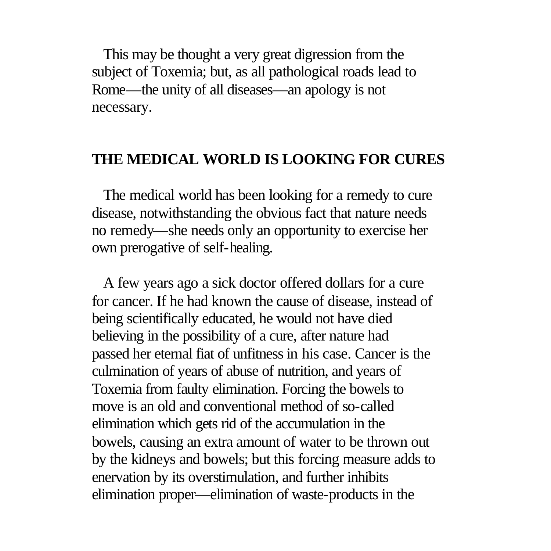This may be thought a very great digression from the subject of Toxemia; but, as all pathological roads lead to Rome—the unity of all diseases—an apology is not necessary.

#### **THE MEDICAL WORLD IS LOOKING FOR CURES**

 The medical world has been looking for a remedy to cure disease, notwithstanding the obvious fact that nature needs no remedy—she needs only an opportunity to exercise her own prerogative of self-healing.

 A few years ago a sick doctor offered dollars for a cure for cancer. If he had known the cause of disease, instead of being scientifically educated, he would not have died believing in the possibility of a cure, after nature had passed her eternal fiat of unfitness in his case. Cancer is the culmination of years of abuse of nutrition, and years of Toxemia from faulty elimination. Forcing the bowels to move is an old and conventional method of so-called elimination which gets rid of the accumulation in the bowels, causing an extra amount of water to be thrown out by the kidneys and bowels; but this forcing measure adds to enervation by its overstimulation, and further inhibits elimination proper—elimination of waste-products in the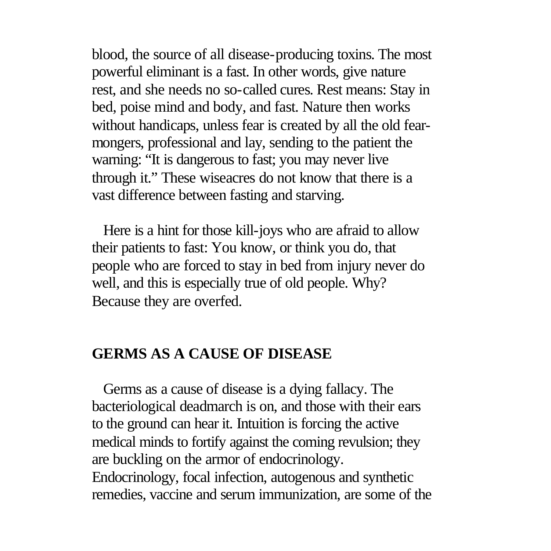blood, the source of all disease-producing toxins. The most powerful eliminant is a fast. In other words, give nature rest, and she needs no so-called cures. Rest means: Stay in bed, poise mind and body, and fast. Nature then works without handicaps, unless fear is created by all the old fearmongers, professional and lay, sending to the patient the warning: "It is dangerous to fast; you may never live through it." These wiseacres do not know that there is a vast difference between fasting and starving.

 Here is a hint for those kill-joys who are afraid to allow their patients to fast: You know, or think you do, that people who are forced to stay in bed from injury never do well, and this is especially true of old people. Why? Because they are overfed.

### **GERMS AS A CAUSE OF DISEASE**

 Germs as a cause of disease is a dying fallacy. The bacteriological deadmarch is on, and those with their ears to the ground can hear it. Intuition is forcing the active medical minds to fortify against the coming revulsion; they are buckling on the armor of endocrinology. Endocrinology, focal infection, autogenous and synthetic remedies, vaccine and serum immunization, are some of the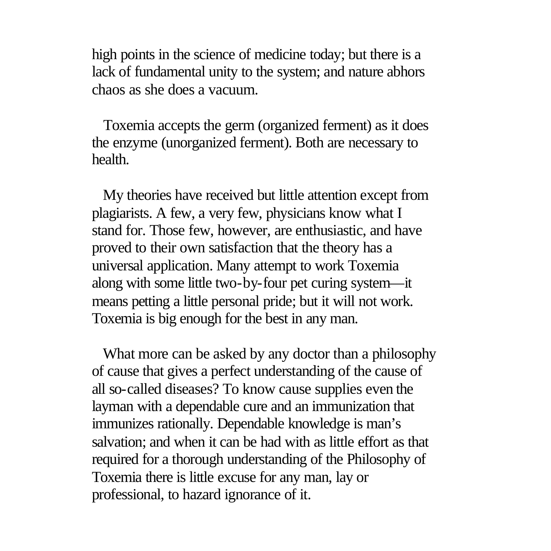high points in the science of medicine today; but there is a lack of fundamental unity to the system; and nature abhors chaos as she does a vacuum.

 Toxemia accepts the germ (organized ferment) as it does the enzyme (unorganized ferment). Both are necessary to health.

 My theories have received but little attention except from plagiarists. A few, a very few, physicians know what I stand for. Those few, however, are enthusiastic, and have proved to their own satisfaction that the theory has a universal application. Many attempt to work Toxemia along with some little two-by-four pet curing system—it means petting a little personal pride; but it will not work. Toxemia is big enough for the best in any man.

 What more can be asked by any doctor than a philosophy of cause that gives a perfect understanding of the cause of all so-called diseases? To know cause supplies even the layman with a dependable cure and an immunization that immunizes rationally. Dependable knowledge is man's salvation; and when it can be had with as little effort as that required for a thorough understanding of the Philosophy of Toxemia there is little excuse for any man, lay or professional, to hazard ignorance of it.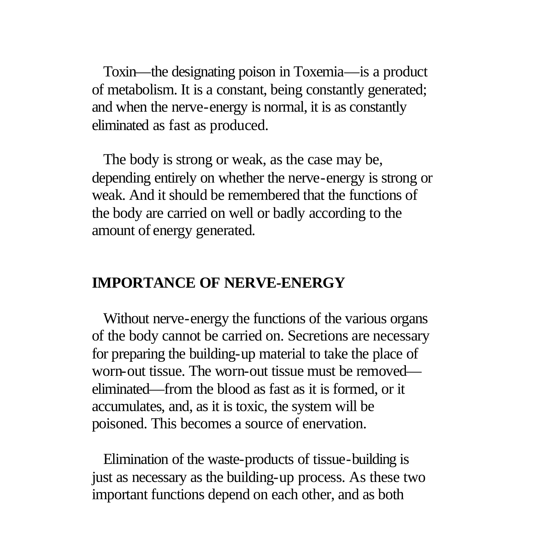Toxin—the designating poison in Toxemia—is a product of metabolism. It is a constant, being constantly generated; and when the nerve-energy is normal, it is as constantly eliminated as fast as produced.

 The body is strong or weak, as the case may be, depending entirely on whether the nerve-energy is strong or weak. And it should be remembered that the functions of the body are carried on well or badly according to the amount of energy generated.

## **IMPORTANCE OF NERVE-ENERGY**

 Without nerve-energy the functions of the various organs of the body cannot be carried on. Secretions are necessary for preparing the building-up material to take the place of worn-out tissue. The worn-out tissue must be removed eliminated—from the blood as fast as it is formed, or it accumulates, and, as it is toxic, the system will be poisoned. This becomes a source of enervation.

 Elimination of the waste-products of tissue-building is just as necessary as the building-up process. As these two important functions depend on each other, and as both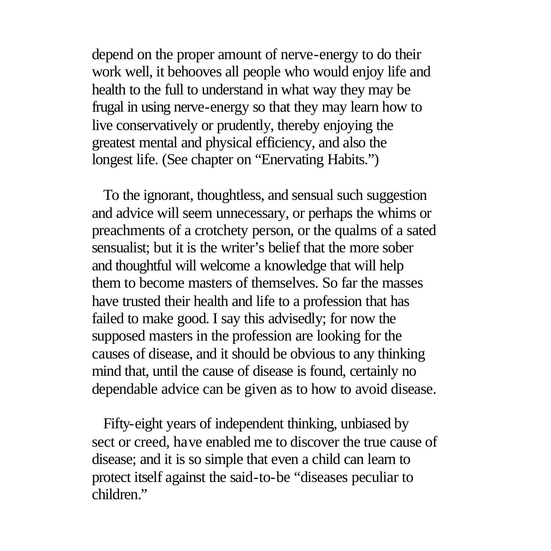depend on the proper amount of nerve-energy to do their work well, it behooves all people who would enjoy life and health to the full to understand in what way they may be frugal in using nerve-energy so that they may learn how to live conservatively or prudently, thereby enjoying the greatest mental and physical efficiency, and also the longest life. (See chapter on "Enervating Habits.")

 To the ignorant, thoughtless, and sensual such suggestion and advice will seem unnecessary, or perhaps the whims or preachments of a crotchety person, or the qualms of a sated sensualist; but it is the writer's belief that the more sober and thoughtful will welcome a knowledge that will help them to become masters of themselves. So far the masses have trusted their health and life to a profession that has failed to make good. I say this advisedly; for now the supposed masters in the profession are looking for the causes of disease, and it should be obvious to any thinking mind that, until the cause of disease is found, certainly no dependable advice can be given as to how to avoid disease.

 Fifty-eight years of independent thinking, unbiased by sect or creed, have enabled me to discover the true cause of disease; and it is so simple that even a child can learn to protect itself against the said-to-be "diseases peculiar to children<sup>"</sup>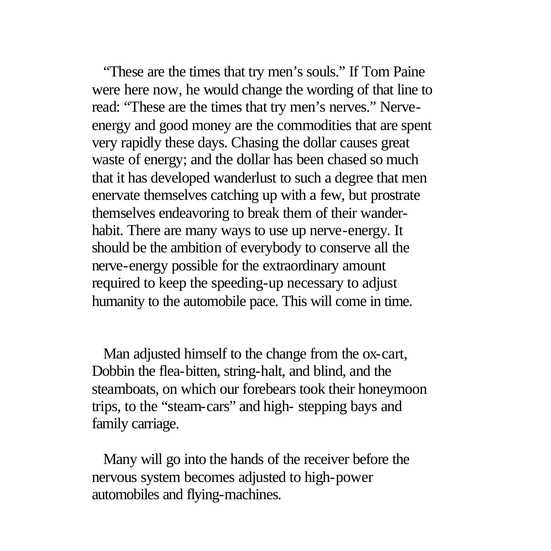"These are the times that try men's souls." If Tom Paine were here now, he would change the wording of that line to read: "These are the times that try men's nerves." Nerveenergy and good money are the commodities that are spent very rapidly these days. Chasing the dollar causes great waste of energy; and the dollar has been chased so much that it has developed wanderlust to such a degree that men enervate themselves catching up with a few, but prostrate themselves endeavoring to break them of their wanderhabit. There are many ways to use up nerve-energy. It should be the ambition of everybody to conserve all the nerve-energy possible for the extraordinary amount required to keep the speeding-up necessary to adjust humanity to the automobile pace. This will come in time.

 Man adjusted himself to the change from the ox-cart, Dobbin the flea-bitten, string-halt, and blind, and the steamboats, on which our forebears took their honeymoon trips, to the "steam-cars" and high- stepping bays and family carriage.

 Many will go into the hands of the receiver before the nervous system becomes adjusted to high-power automobiles and flying-machines.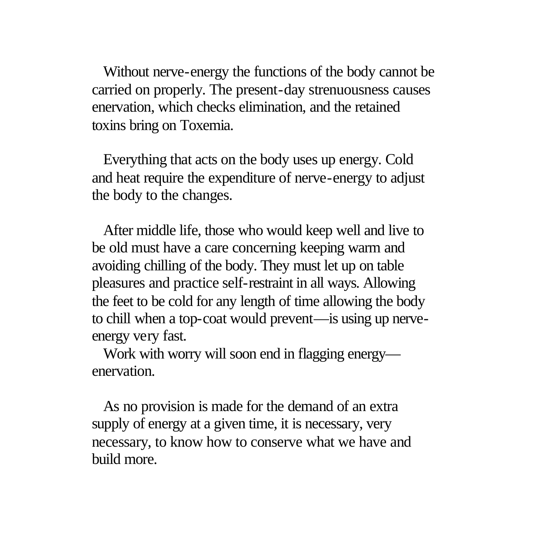Without nerve-energy the functions of the body cannot be carried on properly. The present-day strenuousness causes enervation, which checks elimination, and the retained toxins bring on Toxemia.

 Everything that acts on the body uses up energy. Cold and heat require the expenditure of nerve-energy to adjust the body to the changes.

 After middle life, those who would keep well and live to be old must have a care concerning keeping warm and avoiding chilling of the body. They must let up on table pleasures and practice self-restraint in all ways. Allowing the feet to be cold for any length of time allowing the body to chill when a top-coat would prevent—is using up nerveenergy very fast.

 Work with worry will soon end in flagging energy enervation.

 As no provision is made for the demand of an extra supply of energy at a given time, it is necessary, very necessary, to know how to conserve what we have and build more.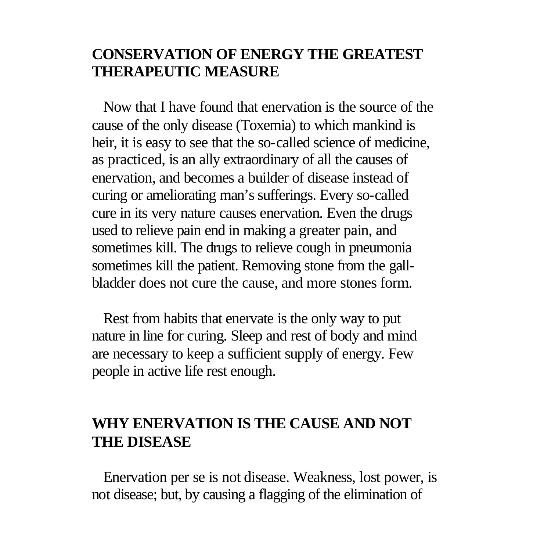# **CONSERVATION OF ENERGY THE GREATEST THERAPEUTIC MEASURE**

 Now that I have found that enervation is the source of the cause of the only disease (Toxemia) to which mankind is heir, it is easy to see that the so-called science of medicine, as practiced, is an ally extraordinary of all the causes of enervation, and becomes a builder of disease instead of curing or ameliorating man's sufferings. Every so-called cure in its very nature causes enervation. Even the drugs used to relieve pain end in making a greater pain, and sometimes kill. The drugs to relieve cough in pneumonia sometimes kill the patient. Removing stone from the gallbladder does not cure the cause, and more stones form.

 Rest from habits that enervate is the only way to put nature in line for curing. Sleep and rest of body and mind are necessary to keep a sufficient supply of energy. Few people in active life rest enough.

# **WHY ENERVATION IS THE CAUSE AND NOT THE DISEASE**

 Enervation per se is not disease. Weakness, lost power, is not disease; but, by causing a flagging of the elimination of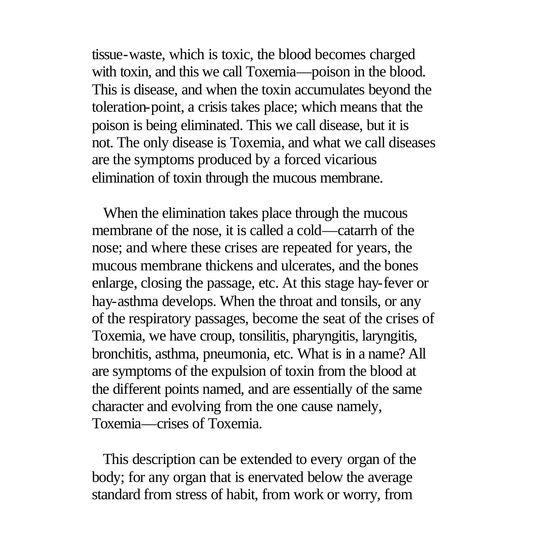tissue-waste, which is toxic, the blood becomes charged with toxin, and this we call Toxemia—poison in the blood. This is disease, and when the toxin accumulates beyond the toleration-point, a crisis takes place; which means that the poison is being eliminated. This we call disease, but it is not. The only disease is Toxemia, and what we call diseases are the symptoms produced by a forced vicarious elimination of toxin through the mucous membrane.

 When the elimination takes place through the mucous membrane of the nose, it is called a cold—catarrh of the nose; and where these crises are repeated for years, the mucous membrane thickens and ulcerates, and the bones enlarge, closing the passage, etc. At this stage hay-fever or hay-asthma develops. When the throat and tonsils, or any of the respiratory passages, become the seat of the crises of Toxemia, we have croup, tonsilitis, pharyngitis, laryngitis, bronchitis, asthma, pneumonia, etc. What is in a name? All are symptoms of the expulsion of toxin from the blood at the different points named, and are essentially of the same character and evolving from the one cause namely, Toxemia—crises of Toxemia.

 This description can be extended to every organ of the body; for any organ that is enervated below the average standard from stress of habit, from work or worry, from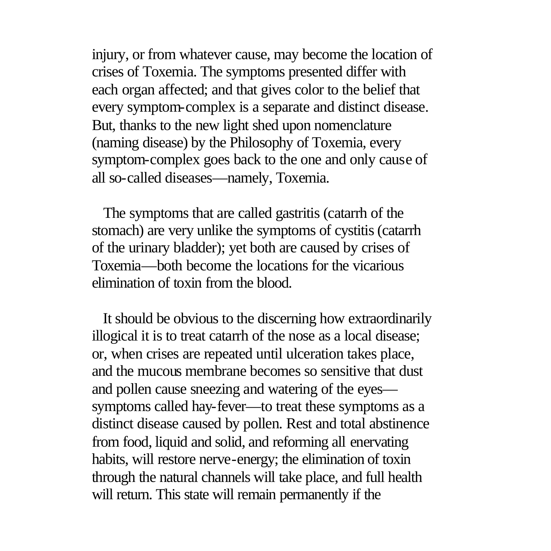injury, or from whatever cause, may become the location of crises of Toxemia. The symptoms presented differ with each organ affected; and that gives color to the belief that every symptom-complex is a separate and distinct disease. But, thanks to the new light shed upon nomenclature (naming disease) by the Philosophy of Toxemia, every symptom-complex goes back to the one and only cause of all so-called diseases—namely, Toxemia.

 The symptoms that are called gastritis (catarrh of the stomach) are very unlike the symptoms of cystitis (catarrh of the urinary bladder); yet both are caused by crises of Toxemia—both become the locations for the vicarious elimination of toxin from the blood.

 It should be obvious to the discerning how extraordinarily illogical it is to treat catarrh of the nose as a local disease; or, when crises are repeated until ulceration takes place, and the mucous membrane becomes so sensitive that dust and pollen cause sneezing and watering of the eyes symptoms called hay-fever—to treat these symptoms as a distinct disease caused by pollen. Rest and total abstinence from food, liquid and solid, and reforming all enervating habits, will restore nerve-energy; the elimination of toxin through the natural channels will take place, and full health will return. This state will remain permanently if the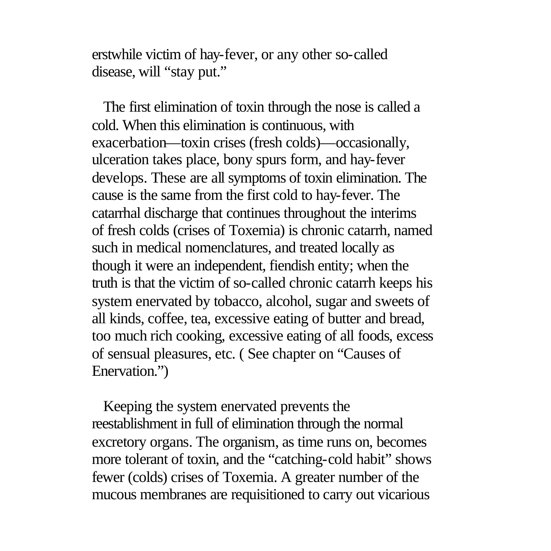erstwhile victim of hay-fever, or any other so-called disease, will "stay put."

 The first elimination of toxin through the nose is called a cold. When this elimination is continuous, with exacerbation—toxin crises (fresh colds)—occasionally, ulceration takes place, bony spurs form, and hay-fever develops. These are all symptoms of toxin elimination. The cause is the same from the first cold to hay-fever. The catarrhal discharge that continues throughout the interims of fresh colds (crises of Toxemia) is chronic catarrh, named such in medical nomenclatures, and treated locally as though it were an independent, fiendish entity; when the truth is that the victim of so-called chronic catarrh keeps his system enervated by tobacco, alcohol, sugar and sweets of all kinds, coffee, tea, excessive eating of butter and bread, too much rich cooking, excessive eating of all foods, excess of sensual pleasures, etc. ( See chapter on "Causes of Enervation.")

 Keeping the system enervated prevents the reestablishment in full of elimination through the normal excretory organs. The organism, as time runs on, becomes more tolerant of toxin, and the "catching-cold habit" shows fewer (colds) crises of Toxemia. A greater number of the mucous membranes are requisitioned to carry out vicarious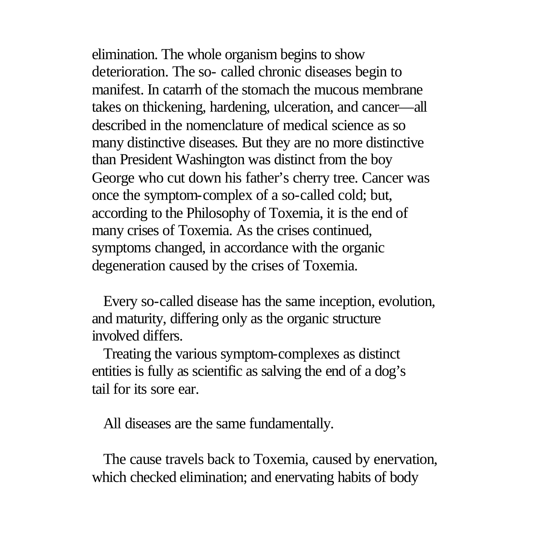elimination. The whole organism begins to show deterioration. The so- called chronic diseases begin to manifest. In catarrh of the stomach the mucous membrane takes on thickening, hardening, ulceration, and cancer—all described in the nomenclature of medical science as so many distinctive diseases. But they are no more distinctive than President Washington was distinct from the boy George who cut down his father's cherry tree. Cancer was once the symptom-complex of a so-called cold; but, according to the Philosophy of Toxemia, it is the end of many crises of Toxemia. As the crises continued, symptoms changed, in accordance with the organic degeneration caused by the crises of Toxemia.

 Every so-called disease has the same inception, evolution, and maturity, differing only as the organic structure involved differs.

 Treating the various symptom-complexes as distinct entities is fully as scientific as salving the end of a dog's tail for its sore ear.

All diseases are the same fundamentally.

 The cause travels back to Toxemia, caused by enervation, which checked elimination; and enervating habits of body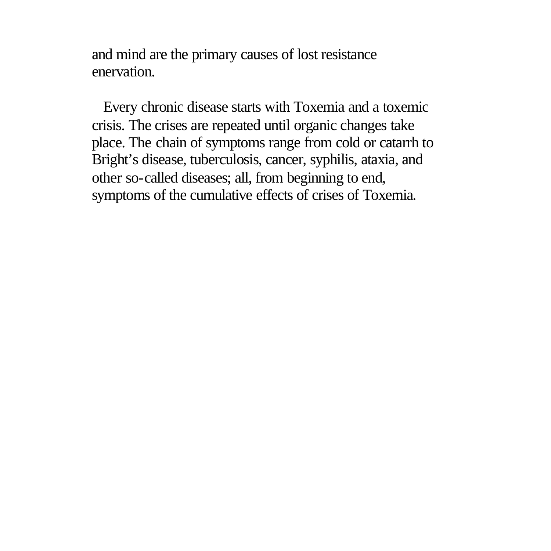and mind are the primary causes of lost resistance enervation.

 Every chronic disease starts with Toxemia and a toxemic crisis. The crises are repeated until organic changes take place. The chain of symptoms range from cold or catarrh to Bright's disease, tuberculosis, cancer, syphilis, ataxia, and other so-called diseases; all, from beginning to end, symptoms of the cumulative effects of crises of Toxemia.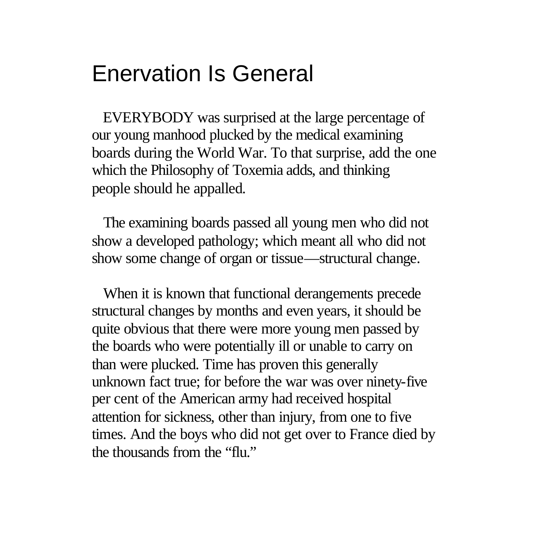# Enervation Is General

 EVERYBODY was surprised at the large percentage of our young manhood plucked by the medical examining boards during the World War. To that surprise, add the one which the Philosophy of Toxemia adds, and thinking people should he appalled.

 The examining boards passed all young men who did not show a developed pathology; which meant all who did not show some change of organ or tissue—structural change.

 When it is known that functional derangements precede structural changes by months and even years, it should be quite obvious that there were more young men passed by the boards who were potentially ill or unable to carry on than were plucked. Time has proven this generally unknown fact true; for before the war was over ninety-five per cent of the American army had received hospital attention for sickness, other than injury, from one to five times. And the boys who did not get over to France died by the thousands from the "flu."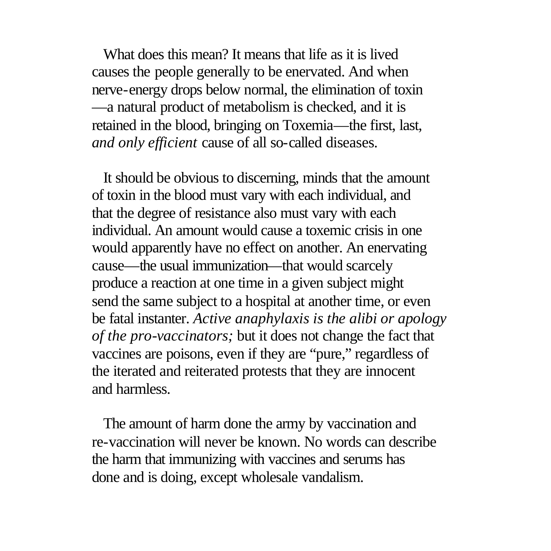What does this mean? It means that life as it is lived causes the people generally to be enervated. And when nerve-energy drops below normal, the elimination of toxin —a natural product of metabolism is checked, and it is retained in the blood, bringing on Toxemia—the first, last, *and only efficient* cause of all so-called diseases.

 It should be obvious to discerning, minds that the amount of toxin in the blood must vary with each individual, and that the degree of resistance also must vary with each individual. An amount would cause a toxemic crisis in one would apparently have no effect on another. An enervating cause—the usual immunization—that would scarcely produce a reaction at one time in a given subject might send the same subject to a hospital at another time, or even be fatal instanter. *Active anaphylaxis is the alibi or apology of the pro-vaccinators;* but it does not change the fact that vaccines are poisons, even if they are "pure," regardless of the iterated and reiterated protests that they are innocent and harmless.

 The amount of harm done the army by vaccination and re-vaccination will never be known. No words can describe the harm that immunizing with vaccines and serums has done and is doing, except wholesale vandalism.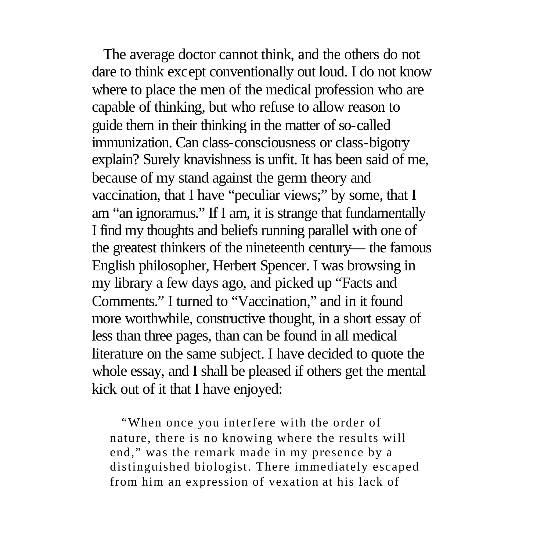The average doctor cannot think, and the others do not dare to think except conventionally out loud. I do not know where to place the men of the medical profession who are capable of thinking, but who refuse to allow reason to guide them in their thinking in the matter of so-called immunization. Can class-consciousness or class-bigotry explain? Surely knavishness is unfit. It has been said of me, because of my stand against the germ theory and vaccination, that I have "peculiar views;" by some, that I am "an ignoramus." If I am, it is strange that fundamentally I find my thoughts and beliefs running parallel with one of the greatest thinkers of the nineteenth century— the famous English philosopher, Herbert Spencer. I was browsing in my library a few days ago, and picked up "Facts and Comments." I turned to "Vaccination," and in it found more worthwhile, constructive thought, in a short essay of less than three pages, than can be found in all medical literature on the same subject. I have decided to quote the whole essay, and I shall be pleased if others get the mental kick out of it that I have enjoyed:

 "When once you interfere with the order of nature, there is no knowing where the results will end," was the remark made in my presence by a distinguished biologist. There immediately escaped from him an expression of vexation at his lack of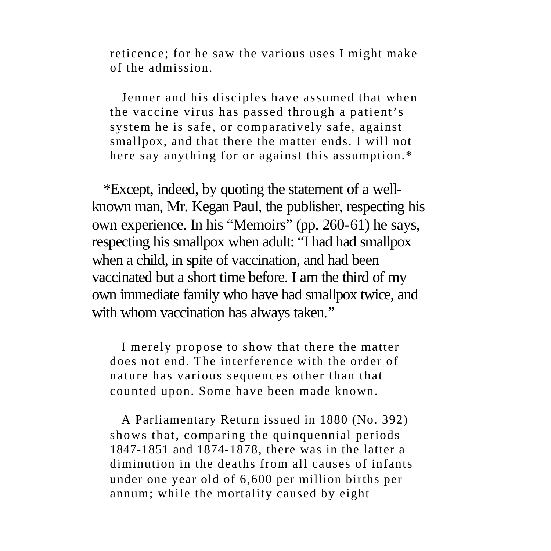reticence; for he saw the various uses I might make of the admission.

 Jenner and his disciples have assumed that when the vaccine virus has passed through a patient's system he is safe, or comparatively safe, against smallpox, and that there the matter ends. I will not here say anything for or against this assumption.\*

 \*Except, indeed, by quoting the statement of a wellknown man, Mr. Kegan Paul, the publisher, respecting his own experience. In his "Memoirs" (pp. 260-61) he says, respecting his smallpox when adult: "I had had smallpox when a child, in spite of vaccination, and had been vaccinated but a short time before. I am the third of my own immediate family who have had smallpox twice, and with whom vaccination has always taken."

 I merely propose to show that there the matter does not end. The interference with the order of nature has various sequences other than that counted upon. Some have been made known.

 A Parliamentary Return issued in 1880 (No. 392) shows that, comparing the quinquennial periods 1847-1851 and 1874-1878, there was in the latter a diminution in the deaths from all causes of infants under one year old of 6,600 per million births per annum; while the mortality caused by eight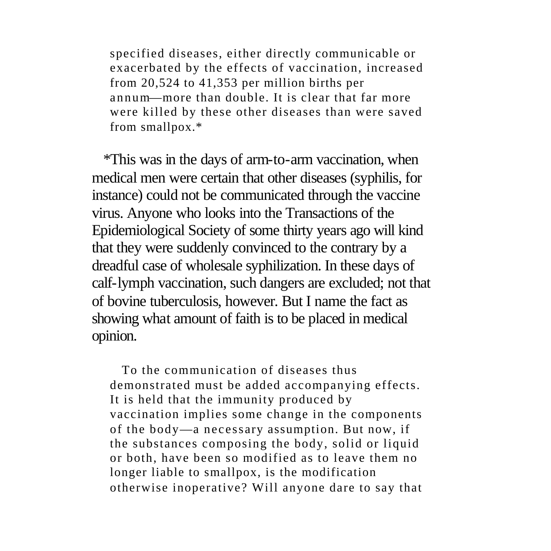specified diseases, either directly communicable or exacerbated by the effects of vaccination, increased from 20,524 to 41,353 per million births per annum—more than double. It is clear that far more were killed by these other diseases than were saved from smallpox.\*

 \*This was in the days of arm-to-arm vaccination, when medical men were certain that other diseases (syphilis, for instance) could not be communicated through the vaccine virus. Anyone who looks into the Transactions of the Epidemiological Society of some thirty years ago will kind that they were suddenly convinced to the contrary by a dreadful case of wholesale syphilization. In these days of calf-lymph vaccination, such dangers are excluded; not that of bovine tuberculosis, however. But I name the fact as showing what amount of faith is to be placed in medical opinion.

 To the communication of diseases thus demonstrated must be added accompanying effects. It is held that the immunity produced by vaccination implies some change in the components of the body—a necess ary assumption. But now, if the substances composing the body, solid or liquid or both, have been so modified as to leave them no longer liable to smallpox, is the modification otherwise inoperative? Will anyone dare to say that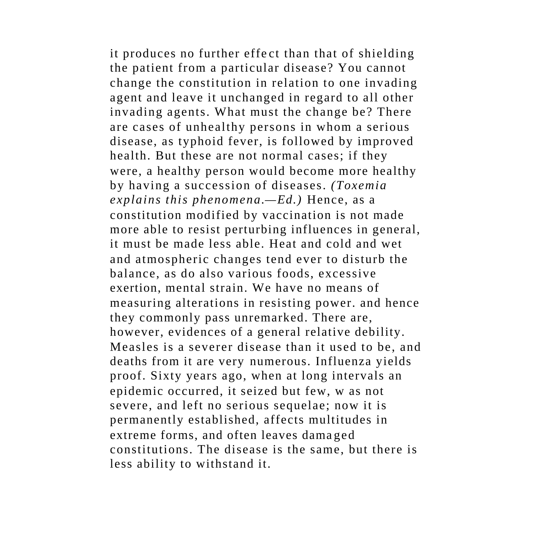it produces no further effe ct than that of shielding the patient from a particular disease? You cannot change the constitution in relation to one invading agent and leave it unchanged in regard to all other invading agents. What must the change be? There are cases of unhealthy persons in whom a serious disease, as typhoid fever, is followed by improved health. But these are not normal cases; if they were, a healthy person would become more healthy by having a succession of diseases. *(Toxemia explains this phenomena.—Ed.)* Hence, as a constitution modified by vaccination is not made more able to resist perturbing influences in general, it must be made less able. Heat and cold and wet and atmospheric changes tend ever to disturb the balance, as do also various foods, excessive exertion, mental strain. We have no means of measuring alterations in resisting power. and hence they commonly pass unremarked. There are, however, evidences of a general relative debility. Measles is a severer disease than it used to be, and deaths from it are very numerous. Influenza yields proof. Sixty years ago, when at long intervals an epidemic occurred, it seized but few, w as not severe, and left no serious sequelae; now it is permanently established, affects multitudes in extreme forms, and often leaves dama ged constitutions. The disease is the same, but there is less ability to withstand it.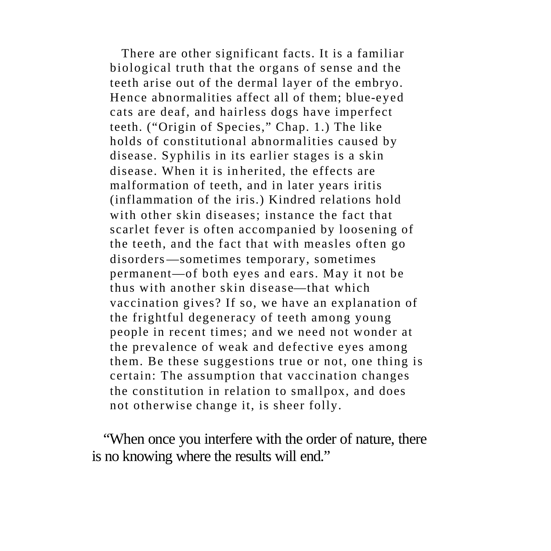There are other significant facts. It is a familiar biological truth that the organs of sense and the teeth arise out of the dermal layer of the embryo. Hence abnormalities affect all of them; blue-eyed cats are deaf, and hairless dogs have imperfect teeth. ("Origin of Species," Chap. 1.) The like holds of constitutional abnormalities caused by disease. Syphilis in its earlier stages is a skin disease. When it is in herited, the effects are malformation of teeth, and in later years iritis (inflammation of the iris.) Kindred relations hold with other skin diseases; instance the fact that scarlet fever is often accompanied by loosening of the teeth, and the fact that with measles often go disorders—sometimes temporary, sometimes permanent—of both eyes and ears. May it not be thus with another skin disease—that which vaccination gives? If so, we have an explanation of the frightful degeneracy of teeth among young people in recent times; and we need not wonder at the prevalence of weak and defective eyes among them. Be these suggestions true or not, one thing is certain: The assumption that vaccination changes the constitution in relation to smallpox, and does not otherwise change it, is sheer folly.

 "When once you interfere with the order of nature, there is no knowing where the results will end."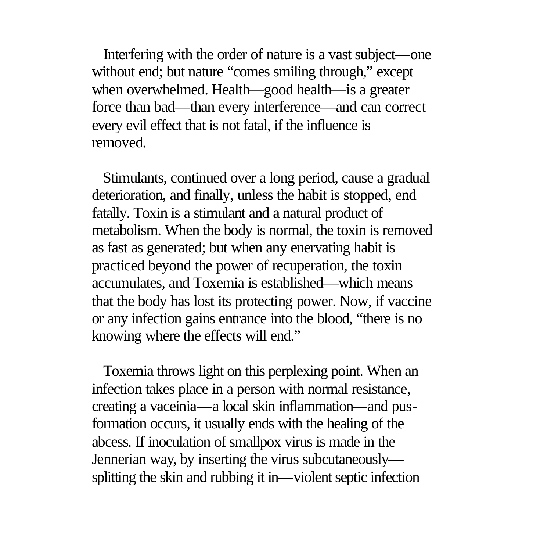Interfering with the order of nature is a vast subject—one without end; but nature "comes smiling through," except when overwhelmed. Health—good health—is a greater force than bad—than every interference—and can correct every evil effect that is not fatal, if the influence is removed.

 Stimulants, continued over a long period, cause a gradual deterioration, and finally, unless the habit is stopped, end fatally. Toxin is a stimulant and a natural product of metabolism. When the body is normal, the toxin is removed as fast as generated; but when any enervating habit is practiced beyond the power of recuperation, the toxin accumulates, and Toxemia is established—which means that the body has lost its protecting power. Now, if vaccine or any infection gains entrance into the blood, "there is no knowing where the effects will end."

 Toxemia throws light on this perplexing point. When an infection takes place in a person with normal resistance, creating a vaceinia—a local skin inflammation—and pusformation occurs, it usually ends with the healing of the abcess. If inoculation of smallpox virus is made in the Jennerian way, by inserting the virus subcutaneously splitting the skin and rubbing it in—violent septic infection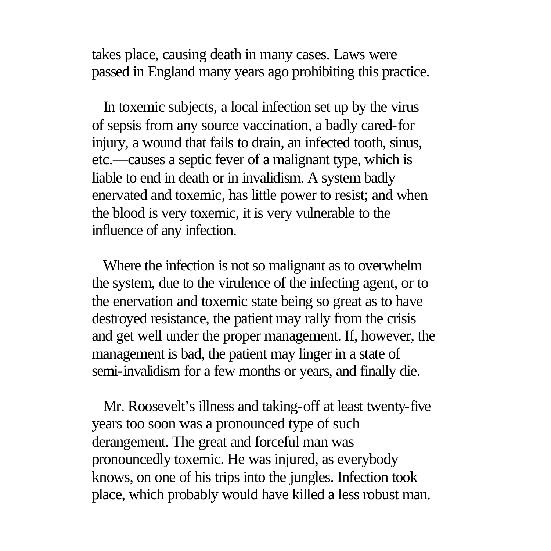takes place, causing death in many cases. Laws were passed in England many years ago prohibiting this practice.

 In toxemic subjects, a local infection set up by the virus of sepsis from any source vaccination, a badly cared-for injury, a wound that fails to drain, an infected tooth, sinus, etc.—causes a septic fever of a malignant type, which is liable to end in death or in invalidism. A system badly enervated and toxemic, has little power to resist; and when the blood is very toxemic, it is very vulnerable to the influence of any infection.

 Where the infection is not so malignant as to overwhelm the system, due to the virulence of the infecting agent, or to the enervation and toxemic state being so great as to have destroyed resistance, the patient may rally from the crisis and get well under the proper management. If, however, the management is bad, the patient may linger in a state of semi-invalidism for a few months or years, and finally die.

 Mr. Roosevelt's illness and taking-off at least twenty-five years too soon was a pronounced type of such derangement. The great and forceful man was pronouncedly toxemic. He was injured, as everybody knows, on one of his trips into the jungles. Infection took place, which probably would have killed a less robust man.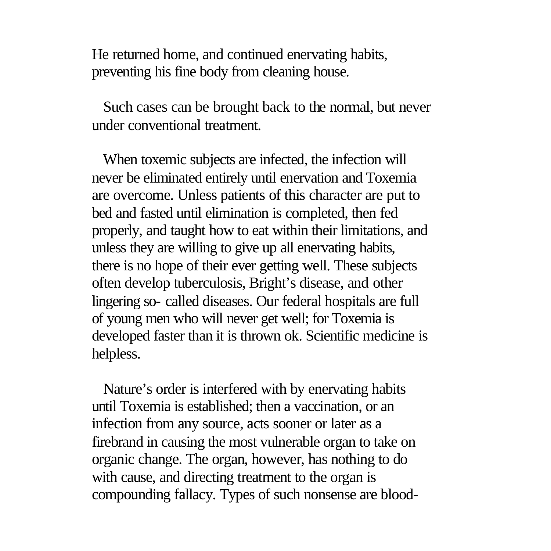He returned home, and continued enervating habits, preventing his fine body from cleaning house.

 Such cases can be brought back to the normal, but never under conventional treatment.

 When toxemic subjects are infected, the infection will never be eliminated entirely until enervation and Toxemia are overcome. Unless patients of this character are put to bed and fasted until elimination is completed, then fed properly, and taught how to eat within their limitations, and unless they are willing to give up all enervating habits, there is no hope of their ever getting well. These subjects often develop tuberculosis, Bright's disease, and other lingering so- called diseases. Our federal hospitals are full of young men who will never get well; for Toxemia is developed faster than it is thrown ok. Scientific medicine is helpless.

 Nature's order is interfered with by enervating habits until Toxemia is established; then a vaccination, or an infection from any source, acts sooner or later as a firebrand in causing the most vulnerable organ to take on organic change. The organ, however, has nothing to do with cause, and directing treatment to the organ is compounding fallacy. Types of such nonsense are blood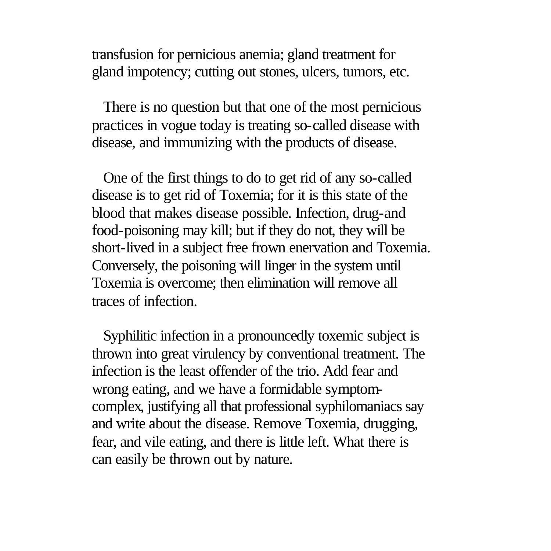transfusion for pernicious anemia; gland treatment for gland impotency; cutting out stones, ulcers, tumors, etc.

 There is no question but that one of the most pernicious practices in vogue today is treating so-called disease with disease, and immunizing with the products of disease.

 One of the first things to do to get rid of any so-called disease is to get rid of Toxemia; for it is this state of the blood that makes disease possible. Infection, drug-and food-poisoning may kill; but if they do not, they will be short-lived in a subject free frown enervation and Toxemia. Conversely, the poisoning will linger in the system until Toxemia is overcome; then elimination will remove all traces of infection.

 Syphilitic infection in a pronouncedly toxemic subject is thrown into great virulency by conventional treatment. The infection is the least offender of the trio. Add fear and wrong eating, and we have a formidable symptomcomplex, justifying all that professional syphilomaniacs say and write about the disease. Remove Toxemia, drugging, fear, and vile eating, and there is little left. What there is can easily be thrown out by nature.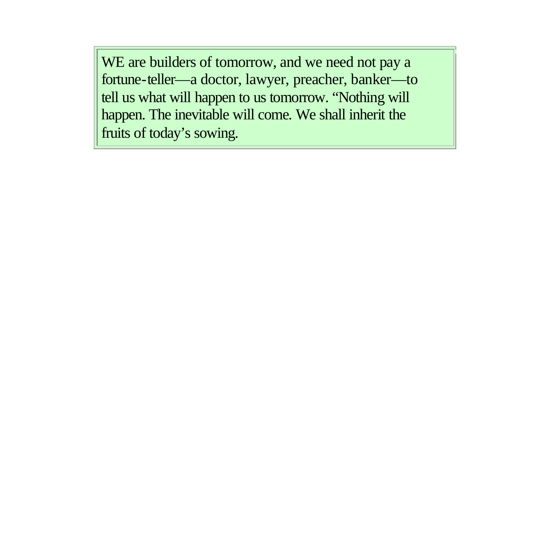WE are builders of tomorrow, and we need not pay a fortune-teller—a doctor, lawyer, preacher, banker—to tell us what will happen to us tomorrow. "Nothing will happen. The inevitable will come. We shall inherit the fruits of today's sowing.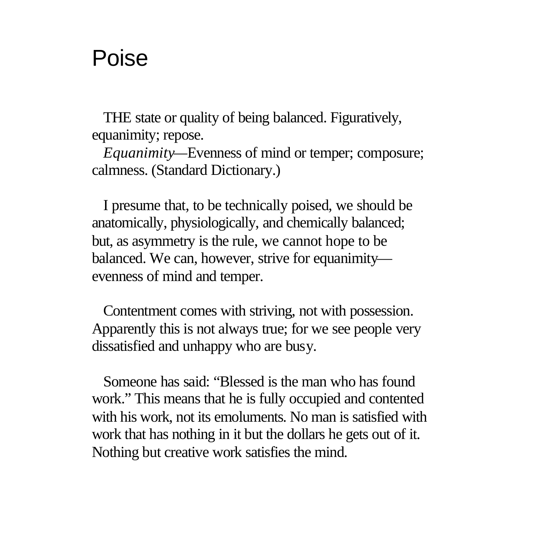# Poise

 THE state or quality of being balanced. Figuratively, equanimity; repose.

 *Equanimity—*Evenness of mind or temper; composure; calmness. (Standard Dictionary.)

 I presume that, to be technically poised, we should be anatomically, physiologically, and chemically balanced; but, as asymmetry is the rule, we cannot hope to be balanced. We can, however, strive for equanimity evenness of mind and temper.

 Contentment comes with striving, not with possession. Apparently this is not always true; for we see people very dissatisfied and unhappy who are busy.

 Someone has said: "Blessed is the man who has found work." This means that he is fully occupied and contented with his work, not its emoluments. No man is satisfied with work that has nothing in it but the dollars he gets out of it. Nothing but creative work satisfies the mind.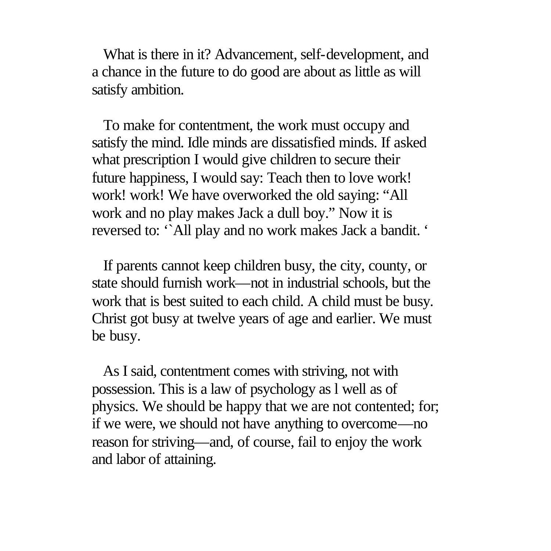What is there in it? Advancement, self-development, and a chance in the future to do good are about as little as will satisfy ambition.

 To make for contentment, the work must occupy and satisfy the mind. Idle minds are dissatisfied minds. If asked what prescription I would give children to secure their future happiness, I would say: Teach then to love work! work! work! We have overworked the old saying: "All work and no play makes Jack a dull boy." Now it is reversed to: '`All play and no work makes Jack a bandit. '

 If parents cannot keep children busy, the city, county, or state should furnish work—not in industrial schools, but the work that is best suited to each child. A child must be busy. Christ got busy at twelve years of age and earlier. We must be busy.

 As I said, contentment comes with striving, not with possession. This is a law of psychology as l well as of physics. We should be happy that we are not contented; for; if we were, we should not have anything to overcome—no reason for striving—and, of course, fail to enjoy the work and labor of attaining.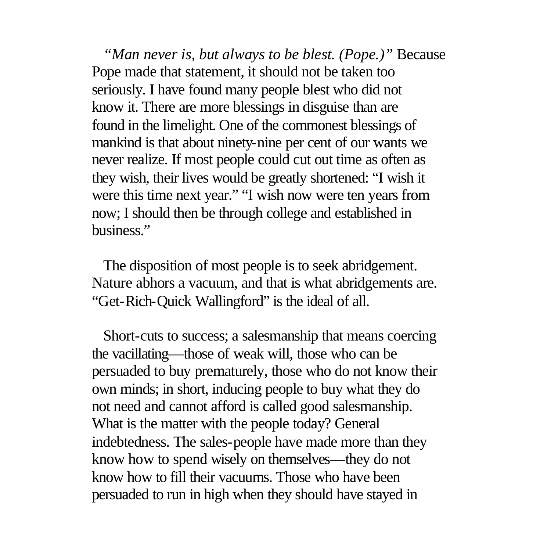*"Man never is, but always to be blest. (Pope.)"* Because Pope made that statement, it should not be taken too seriously. I have found many people blest who did not know it. There are more blessings in disguise than are found in the limelight. One of the commonest blessings of mankind is that about ninety-nine per cent of our wants we never realize. If most people could cut out time as often as they wish, their lives would be greatly shortened: "I wish it were this time next year." "I wish now were ten years from now; I should then be through college and established in business."

 The disposition of most people is to seek abridgement. Nature abhors a vacuum, and that is what abridgements are. "Get-Rich-Quick Wallingford" is the ideal of all.

 Short-cuts to success; a salesmanship that means coercing the vacillating—those of weak will, those who can be persuaded to buy prematurely, those who do not know their own minds; in short, inducing people to buy what they do not need and cannot afford is called good salesmanship. What is the matter with the people today? General indebtedness. The sales-people have made more than they know how to spend wisely on themselves—they do not know how to fill their vacuums. Those who have been persuaded to run in high when they should have stayed in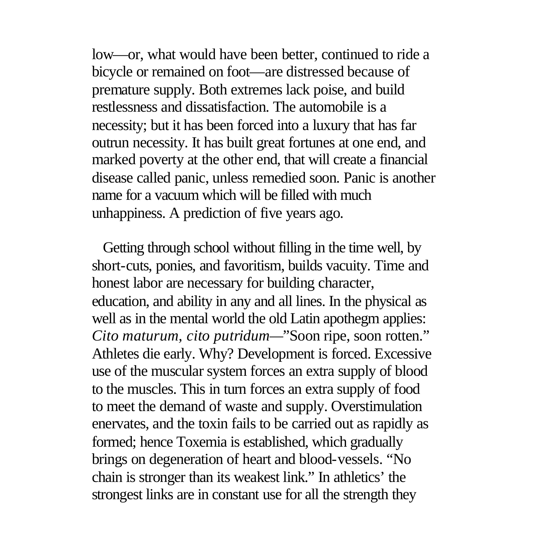low—or, what would have been better, continued to ride a bicycle or remained on foot—are distressed because of premature supply. Both extremes lack poise, and build restlessness and dissatisfaction. The automobile is a necessity; but it has been forced into a luxury that has far outrun necessity. It has built great fortunes at one end, and marked poverty at the other end, that will create a financial disease called panic, unless remedied soon. Panic is another name for a vacuum which will be filled with much unhappiness. A prediction of five years ago.

 Getting through school without filling in the time well, by short-cuts, ponies, and favoritism, builds vacuity. Time and honest labor are necessary for building character, education, and ability in any and all lines. In the physical as well as in the mental world the old Latin apothegm applies: *Cito maturum, cito putridum—*"Soon ripe, soon rotten." Athletes die early. Why? Development is forced. Excessive use of the muscular system forces an extra supply of blood to the muscles. This in turn forces an extra supply of food to meet the demand of waste and supply. Overstimulation enervates, and the toxin fails to be carried out as rapidly as formed; hence Toxemia is established, which gradually brings on degeneration of heart and blood-vessels. "No chain is stronger than its weakest link." In athletics' the strongest links are in constant use for all the strength they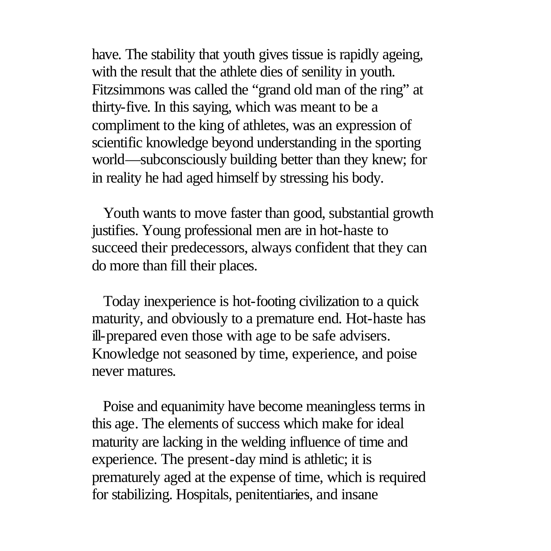have. The stability that youth gives tissue is rapidly ageing, with the result that the athlete dies of senility in youth. Fitzsimmons was called the "grand old man of the ring" at thirty-five. In this saying, which was meant to be a compliment to the king of athletes, was an expression of scientific knowledge beyond understanding in the sporting world—subconsciously building better than they knew; for in reality he had aged himself by stressing his body.

 Youth wants to move faster than good, substantial growth justifies. Young professional men are in hot-haste to succeed their predecessors, always confident that they can do more than fill their places.

 Today inexperience is hot-footing civilization to a quick maturity, and obviously to a premature end. Hot-haste has ill-prepared even those with age to be safe advisers. Knowledge not seasoned by time, experience, and poise never matures.

 Poise and equanimity have become meaningless terms in this age. The elements of success which make for ideal maturity are lacking in the welding influence of time and experience. The present-day mind is athletic; it is prematurely aged at the expense of time, which is required for stabilizing. Hospitals, penitentiaries, and insane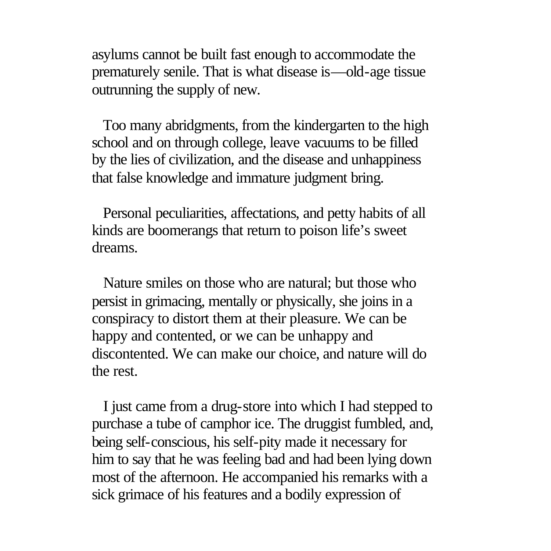asylums cannot be built fast enough to accommodate the prematurely senile. That is what disease is—old-age tissue outrunning the supply of new.

 Too many abridgments, from the kindergarten to the high school and on through college, leave vacuums to be filled by the lies of civilization, and the disease and unhappiness that false knowledge and immature judgment bring.

 Personal peculiarities, affectations, and petty habits of all kinds are boomerangs that return to poison life's sweet dreams.

 Nature smiles on those who are natural; but those who persist in grimacing, mentally or physically, she joins in a conspiracy to distort them at their pleasure. We can be happy and contented, or we can be unhappy and discontented. We can make our choice, and nature will do the rest.

 I just came from a drug-store into which I had stepped to purchase a tube of camphor ice. The druggist fumbled, and, being self-conscious, his self-pity made it necessary for him to say that he was feeling bad and had been lying down most of the afternoon. He accompanied his remarks with a sick grimace of his features and a bodily expression of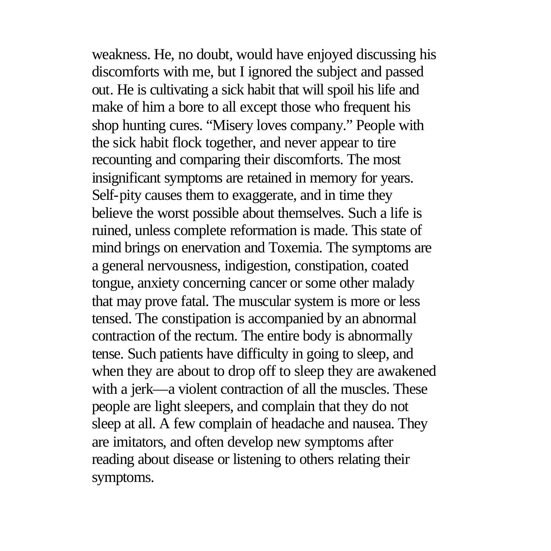weakness. He, no doubt, would have enjoyed discussing his discomforts with me, but I ignored the subject and passed out. He is cultivating a sick habit that will spoil his life and make of him a bore to all except those who frequent his shop hunting cures. "Misery loves company." People with the sick habit flock together, and never appear to tire recounting and comparing their discomforts. The most insignificant symptoms are retained in memory for years. Self-pity causes them to exaggerate, and in time they believe the worst possible about themselves. Such a life is ruined, unless complete reformation is made. This state of mind brings on enervation and Toxemia. The symptoms are a general nervousness, indigestion, constipation, coated tongue, anxiety concerning cancer or some other malady that may prove fatal. The muscular system is more or less tensed. The constipation is accompanied by an abnormal contraction of the rectum. The entire body is abnormally tense. Such patients have difficulty in going to sleep, and when they are about to drop off to sleep they are awakened with a jerk—a violent contraction of all the muscles. These people are light sleepers, and complain that they do not sleep at all. A few complain of headache and nausea. They are imitators, and often develop new symptoms after reading about disease or listening to others relating their symptoms.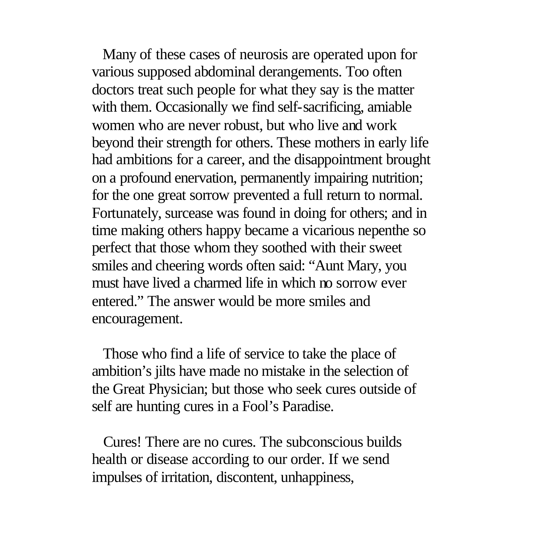Many of these cases of neurosis are operated upon for various supposed abdominal derangements. Too often doctors treat such people for what they say is the matter with them. Occasionally we find self-sacrificing, amiable women who are never robust, but who live and work beyond their strength for others. These mothers in early life had ambitions for a career, and the disappointment brought on a profound enervation, permanently impairing nutrition; for the one great sorrow prevented a full return to normal. Fortunately, surcease was found in doing for others; and in time making others happy became a vicarious nepenthe so perfect that those whom they soothed with their sweet smiles and cheering words often said: "Aunt Mary, you must have lived a charmed life in which no sorrow ever entered." The answer would be more smiles and encouragement.

 Those who find a life of service to take the place of ambition's jilts have made no mistake in the selection of the Great Physician; but those who seek cures outside of self are hunting cures in a Fool's Paradise.

 Cures! There are no cures. The subconscious builds health or disease according to our order. If we send impulses of irritation, discontent, unhappiness,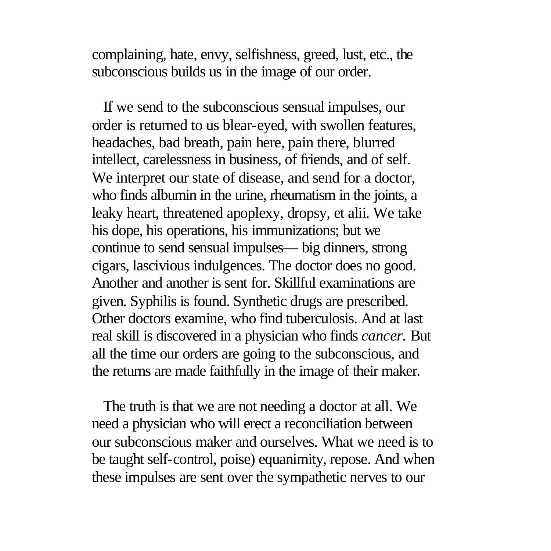complaining, hate, envy, selfishness, greed, lust, etc., the subconscious builds us in the image of our order.

 If we send to the subconscious sensual impulses, our order is returned to us blear-eyed, with swollen features, headaches, bad breath, pain here, pain there, blurred intellect, carelessness in business, of friends, and of self. We interpret our state of disease, and send for a doctor, who finds albumin in the urine, rheumatism in the joints, a leaky heart, threatened apoplexy, dropsy, et alii. We take his dope, his operations, his immunizations; but we continue to send sensual impulses— big dinners, strong cigars, lascivious indulgences. The doctor does no good. Another and another is sent for. Skillful examinations are given. Syphilis is found. Synthetic drugs are prescribed. Other doctors examine, who find tuberculosis. And at last real skill is discovered in a physician who finds *cancer.* But all the time our orders are going to the subconscious, and the returns are made faithfully in the image of their maker.

 The truth is that we are not needing a doctor at all. We need a physician who will erect a reconciliation between our subconscious maker and ourselves. What we need is to be taught self-control, poise) equanimity, repose. And when these impulses are sent over the sympathetic nerves to our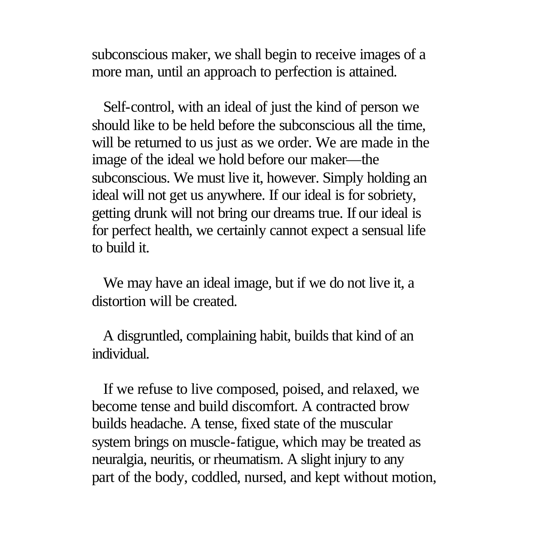subconscious maker, we shall begin to receive images of a more man, until an approach to perfection is attained.

 Self-control, with an ideal of just the kind of person we should like to be held before the subconscious all the time, will be returned to us just as we order. We are made in the image of the ideal we hold before our maker—the subconscious. We must live it, however. Simply holding an ideal will not get us anywhere. If our ideal is for sobriety, getting drunk will not bring our dreams true. If our ideal is for perfect health, we certainly cannot expect a sensual life to build it.

 We may have an ideal image, but if we do not live it, a distortion will be created.

 A disgruntled, complaining habit, builds that kind of an individual.

 If we refuse to live composed, poised, and relaxed, we become tense and build discomfort. A contracted brow builds headache. A tense, fixed state of the muscular system brings on muscle-fatigue, which may be treated as neuralgia, neuritis, or rheumatism. A slight injury to any part of the body, coddled, nursed, and kept without motion,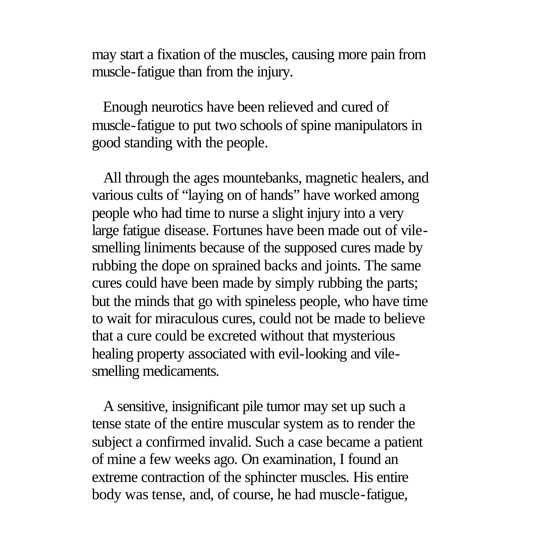may start a fixation of the muscles, causing more pain from muscle-fatigue than from the injury.

 Enough neurotics have been relieved and cured of muscle-fatigue to put two schools of spine manipulators in good standing with the people.

 All through the ages mountebanks, magnetic healers, and various cults of "laying on of hands" have worked among people who had time to nurse a slight injury into a very large fatigue disease. Fortunes have been made out of vilesmelling liniments because of the supposed cures made by rubbing the dope on sprained backs and joints. The same cures could have been made by simply rubbing the parts; but the minds that go with spineless people, who have time to wait for miraculous cures, could not be made to believe that a cure could be excreted without that mysterious healing property associated with evil-looking and vilesmelling medicaments.

 A sensitive, insignificant pile tumor may set up such a tense state of the entire muscular system as to render the subject a confirmed invalid. Such a case became a patient of mine a few weeks ago. On examination, I found an extreme contraction of the sphincter muscles. His entire body was tense, and, of course, he had muscle-fatigue,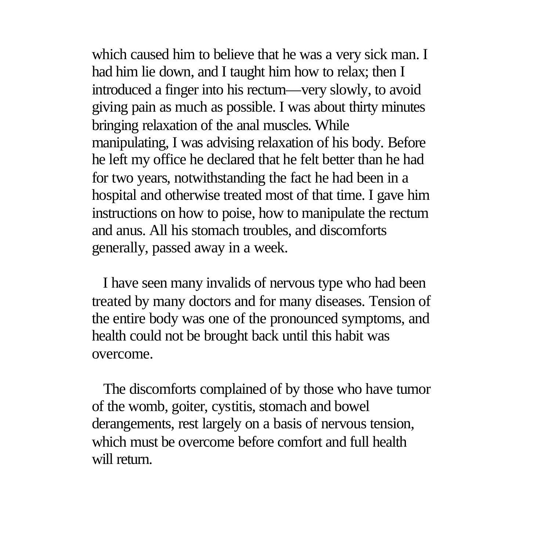which caused him to believe that he was a very sick man. I had him lie down, and I taught him how to relax; then I introduced a finger into his rectum—very slowly, to avoid giving pain as much as possible. I was about thirty minutes bringing relaxation of the anal muscles. While manipulating, I was advising relaxation of his body. Before he left my office he declared that he felt better than he had for two years, notwithstanding the fact he had been in a hospital and otherwise treated most of that time. I gave him instructions on how to poise, how to manipulate the rectum and anus. All his stomach troubles, and discomforts generally, passed away in a week.

 I have seen many invalids of nervous type who had been treated by many doctors and for many diseases. Tension of the entire body was one of the pronounced symptoms, and health could not be brought back until this habit was overcome.

 The discomforts complained of by those who have tumor of the womb, goiter, cystitis, stomach and bowel derangements, rest largely on a basis of nervous tension, which must be overcome before comfort and full health will return.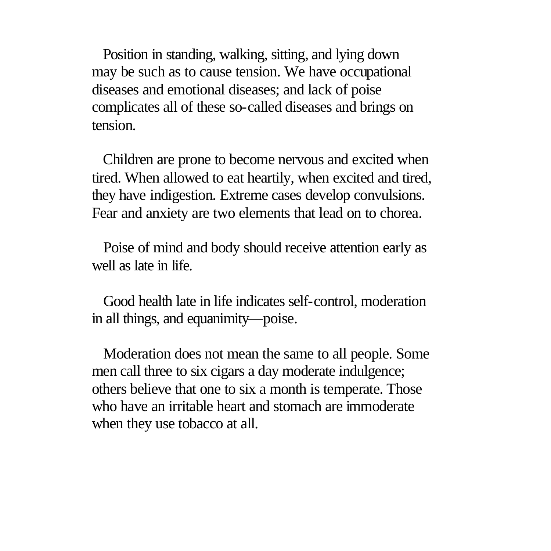Position in standing, walking, sitting, and lying down may be such as to cause tension. We have occupational diseases and emotional diseases; and lack of poise complicates all of these so-called diseases and brings on tension.

 Children are prone to become nervous and excited when tired. When allowed to eat heartily, when excited and tired, they have indigestion. Extreme cases develop convulsions. Fear and anxiety are two elements that lead on to chorea.

 Poise of mind and body should receive attention early as well as late in life.

 Good health late in life indicates self-control, moderation in all things, and equanimity—poise.

 Moderation does not mean the same to all people. Some men call three to six cigars a day moderate indulgence; others believe that one to six a month is temperate. Those who have an irritable heart and stomach are immoderate when they use tobacco at all.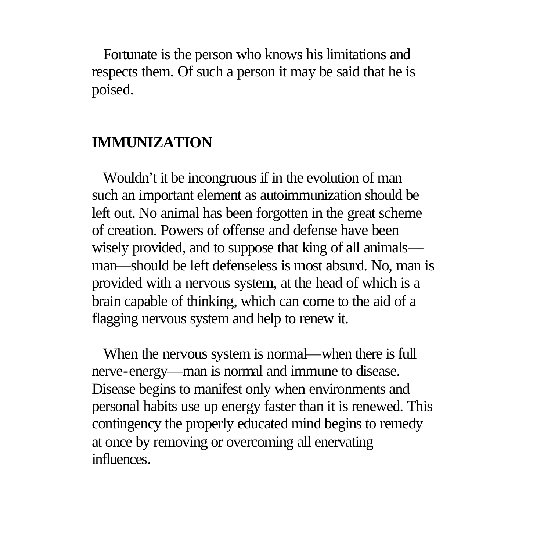Fortunate is the person who knows his limitations and respects them. Of such a person it may be said that he is poised.

## **IMMUNIZATION**

 Wouldn't it be incongruous if in the evolution of man such an important element as autoimmunization should be left out. No animal has been forgotten in the great scheme of creation. Powers of offense and defense have been wisely provided, and to suppose that king of all animals man—should be left defenseless is most absurd. No, man is provided with a nervous system, at the head of which is a brain capable of thinking, which can come to the aid of a flagging nervous system and help to renew it.

 When the nervous system is normal—when there is full nerve-energy—man is normal and immune to disease. Disease begins to manifest only when environments and personal habits use up energy faster than it is renewed. This contingency the properly educated mind begins to remedy at once by removing or overcoming all enervating influences.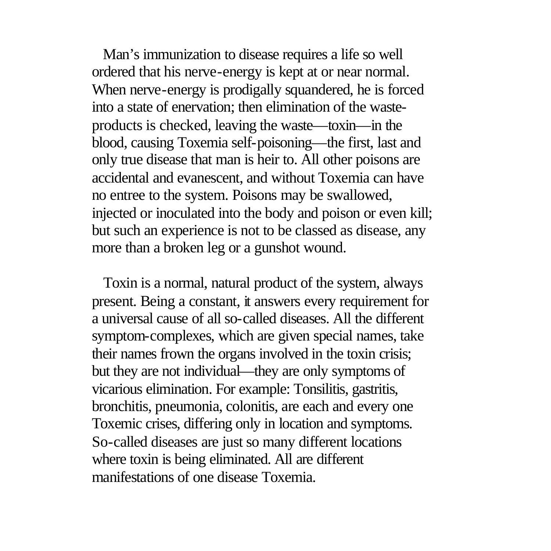Man's immunization to disease requires a life so well ordered that his nerve-energy is kept at or near normal. When nerve-energy is prodigally squandered, he is forced into a state of enervation; then elimination of the wasteproducts is checked, leaving the waste—toxin—in the blood, causing Toxemia self-poisoning—the first, last and only true disease that man is heir to. All other poisons are accidental and evanescent, and without Toxemia can have no entree to the system. Poisons may be swallowed, injected or inoculated into the body and poison or even kill; but such an experience is not to be classed as disease, any more than a broken leg or a gunshot wound.

 Toxin is a normal, natural product of the system, always present. Being a constant, it answers every requirement for a universal cause of all so-called diseases. All the different symptom-complexes, which are given special names, take their names frown the organs involved in the toxin crisis; but they are not individual—they are only symptoms of vicarious elimination. For example: Tonsilitis, gastritis, bronchitis, pneumonia, colonitis, are each and every one Toxemic crises, differing only in location and symptoms. So-called diseases are just so many different locations where toxin is being eliminated. All are different manifestations of one disease Toxemia.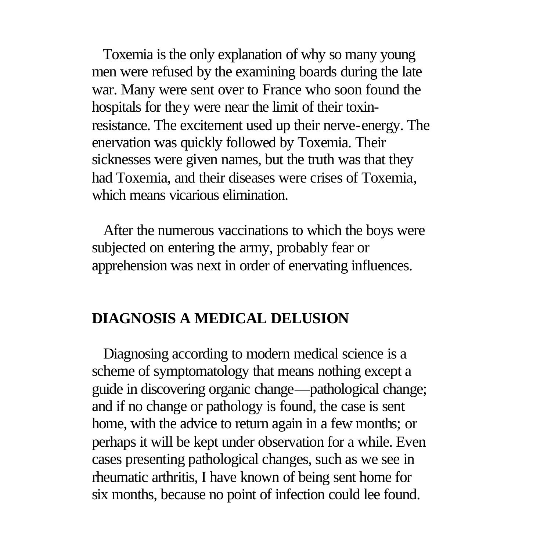Toxemia is the only explanation of why so many young men were refused by the examining boards during the late war. Many were sent over to France who soon found the hospitals for they were near the limit of their toxinresistance. The excitement used up their nerve-energy. The enervation was quickly followed by Toxemia. Their sicknesses were given names, but the truth was that they had Toxemia, and their diseases were crises of Toxemia, which means vicarious elimination.

 After the numerous vaccinations to which the boys were subjected on entering the army, probably fear or apprehension was next in order of enervating influences.

### **DIAGNOSIS A MEDICAL DELUSION**

 Diagnosing according to modern medical science is a scheme of symptomatology that means nothing except a guide in discovering organic change—pathological change; and if no change or pathology is found, the case is sent home, with the advice to return again in a few months; or perhaps it will be kept under observation for a while. Even cases presenting pathological changes, such as we see in rheumatic arthritis, I have known of being sent home for six months, because no point of infection could lee found.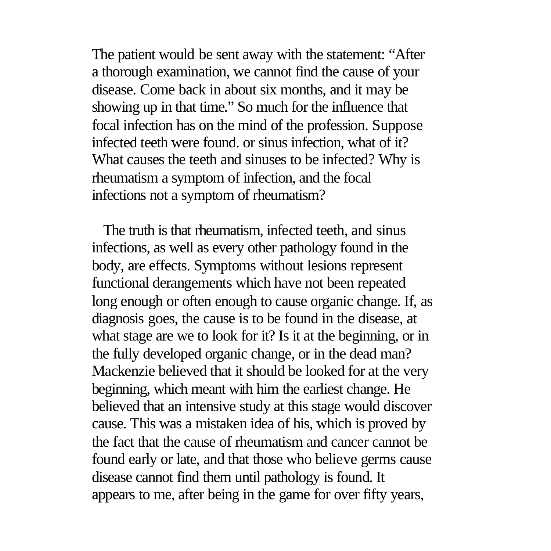The patient would be sent away with the statement: "After a thorough examination, we cannot find the cause of your disease. Come back in about six months, and it may be showing up in that time." So much for the influence that focal infection has on the mind of the profession. Suppose infected teeth were found. or sinus infection, what of it? What causes the teeth and sinuses to be infected? Why is rheumatism a symptom of infection, and the focal infections not a symptom of rheumatism?

 The truth is that rheumatism, infected teeth, and sinus infections, as well as every other pathology found in the body, are effects. Symptoms without lesions represent functional derangements which have not been repeated long enough or often enough to cause organic change. If, as diagnosis goes, the cause is to be found in the disease, at what stage are we to look for it? Is it at the beginning, or in the fully developed organic change, or in the dead man? Mackenzie believed that it should be looked for at the very beginning, which meant with him the earliest change. He believed that an intensive study at this stage would discover cause. This was a mistaken idea of his, which is proved by the fact that the cause of rheumatism and cancer cannot be found early or late, and that those who believe germs cause disease cannot find them until pathology is found. It appears to me, after being in the game for over fifty years,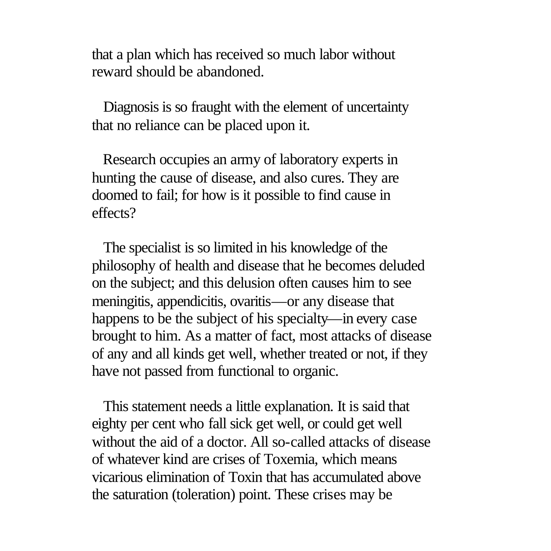that a plan which has received so much labor without reward should be abandoned.

 Diagnosis is so fraught with the element of uncertainty that no reliance can be placed upon it.

 Research occupies an army of laboratory experts in hunting the cause of disease, and also cures. They are doomed to fail; for how is it possible to find cause in effects?

 The specialist is so limited in his knowledge of the philosophy of health and disease that he becomes deluded on the subject; and this delusion often causes him to see meningitis, appendicitis, ovaritis—or any disease that happens to be the subject of his specialty—in every case brought to him. As a matter of fact, most attacks of disease of any and all kinds get well, whether treated or not, if they have not passed from functional to organic.

 This statement needs a little explanation. It is said that eighty per cent who fall sick get well, or could get well without the aid of a doctor. All so-called attacks of disease of whatever kind are crises of Toxemia, which means vicarious elimination of Toxin that has accumulated above the saturation (toleration) point. These crises may be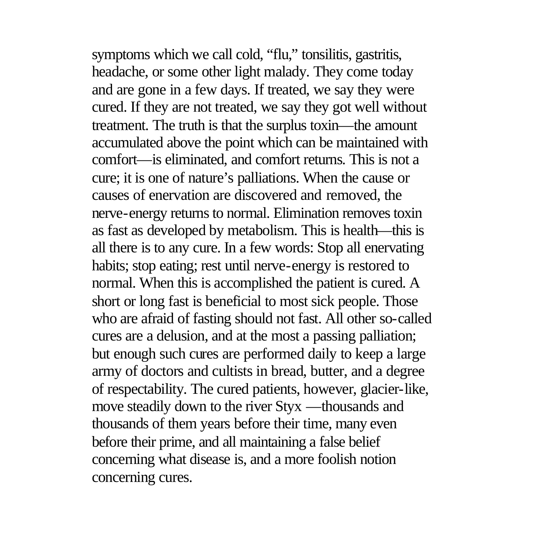symptoms which we call cold, "flu," tonsilitis, gastritis, headache, or some other light malady. They come today and are gone in a few days. If treated, we say they were cured. If they are not treated, we say they got well without treatment. The truth is that the surplus toxin—the amount accumulated above the point which can be maintained with comfort—is eliminated, and comfort returns. This is not a cure; it is one of nature's palliations. When the cause or causes of enervation are discovered and removed, the nerve-energy returns to normal. Elimination removes toxin as fast as developed by metabolism. This is health—this is all there is to any cure. In a few words: Stop all enervating habits; stop eating; rest until nerve-energy is restored to normal. When this is accomplished the patient is cured. A short or long fast is beneficial to most sick people. Those who are afraid of fasting should not fast. All other so-called cures are a delusion, and at the most a passing palliation; but enough such cures are performed daily to keep a large army of doctors and cultists in bread, butter, and a degree of respectability. The cured patients, however, glacier-like, move steadily down to the river Styx —thousands and thousands of them years before their time, many even before their prime, and all maintaining a false belief concerning what disease is, and a more foolish notion concerning cures.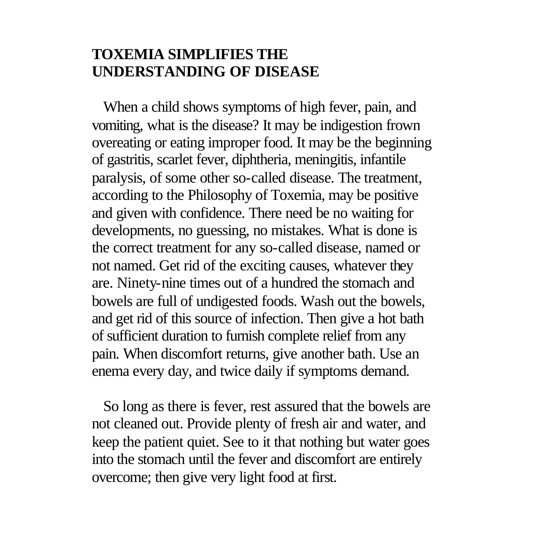### **TOXEMIA SIMPLIFIES THE UNDERSTANDING OF DISEASE**

 When a child shows symptoms of high fever, pain, and vomiting, what is the disease? It may be indigestion frown overeating or eating improper food. It may be the beginning of gastritis, scarlet fever, diphtheria, meningitis, infantile paralysis, of some other so-called disease. The treatment, according to the Philosophy of Toxemia, may be positive and given with confidence. There need be no waiting for developments, no guessing, no mistakes. What is done is the correct treatment for any so-called disease, named or not named. Get rid of the exciting causes, whatever they are. Ninety-nine times out of a hundred the stomach and bowels are full of undigested foods. Wash out the bowels, and get rid of this source of infection. Then give a hot bath of sufficient duration to furnish complete relief from any pain. When discomfort returns, give another bath. Use an enema every day, and twice daily if symptoms demand.

 So long as there is fever, rest assured that the bowels are not cleaned out. Provide plenty of fresh air and water, and keep the patient quiet. See to it that nothing but water goes into the stomach until the fever and discomfort are entirely overcome; then give very light food at first.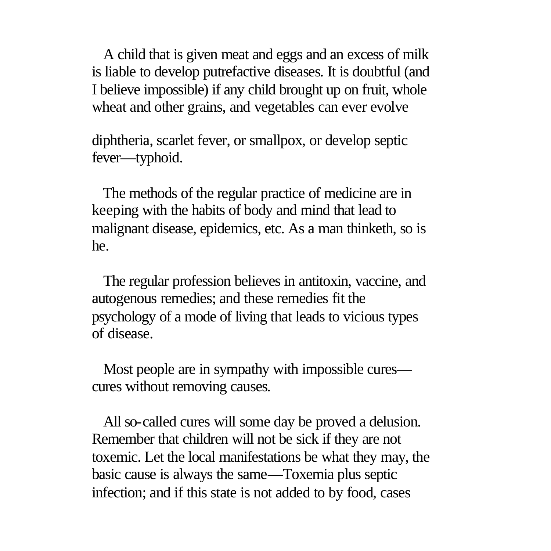A child that is given meat and eggs and an excess of milk is liable to develop putrefactive diseases. It is doubtful (and I believe impossible) if any child brought up on fruit, whole wheat and other grains, and vegetables can ever evolve

diphtheria, scarlet fever, or smallpox, or develop septic fever—typhoid.

 The methods of the regular practice of medicine are in keeping with the habits of body and mind that lead to malignant disease, epidemics, etc. As a man thinketh, so is he.

 The regular profession believes in antitoxin, vaccine, and autogenous remedies; and these remedies fit the psychology of a mode of living that leads to vicious types of disease.

 Most people are in sympathy with impossible cures cures without removing causes.

 All so-called cures will some day be proved a delusion. Remember that children will not be sick if they are not toxemic. Let the local manifestations be what they may, the basic cause is always the same—Toxemia plus septic infection; and if this state is not added to by food, cases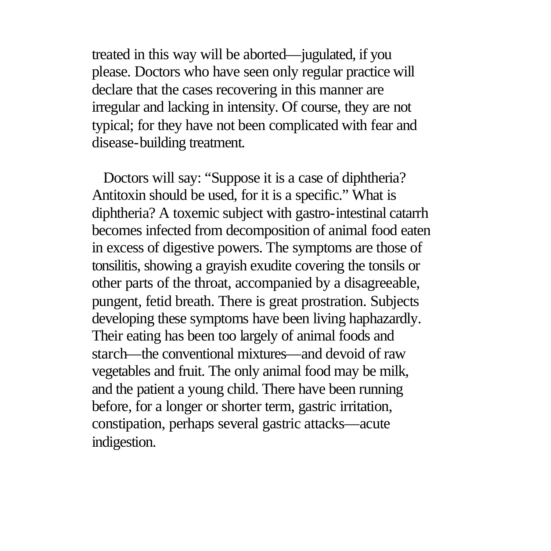treated in this way will be aborted—jugulated, if you please. Doctors who have seen only regular practice will declare that the cases recovering in this manner are irregular and lacking in intensity. Of course, they are not typical; for they have not been complicated with fear and disease-building treatment.

 Doctors will say: "Suppose it is a case of diphtheria? Antitoxin should be used, for it is a specific." What is diphtheria? A toxemic subject with gastro-intestinal catarrh becomes infected from decomposition of animal food eaten in excess of digestive powers. The symptoms are those of tonsilitis, showing a grayish exudite covering the tonsils or other parts of the throat, accompanied by a disagreeable, pungent, fetid breath. There is great prostration. Subjects developing these symptoms have been living haphazardly. Their eating has been too largely of animal foods and starch—the conventional mixtures—and devoid of raw vegetables and fruit. The only animal food may be milk, and the patient a young child. There have been running before, for a longer or shorter term, gastric irritation, constipation, perhaps several gastric attacks—acute indigestion.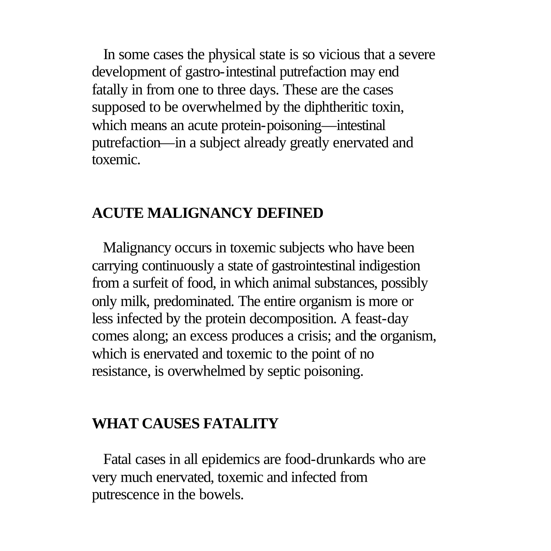In some cases the physical state is so vicious that a severe development of gastro-intestinal putrefaction may end fatally in from one to three days. These are the cases supposed to be overwhelmed by the diphtheritic toxin, which means an acute protein-poisoning—intestinal putrefaction—in a subject already greatly enervated and toxemic.

#### **ACUTE MALIGNANCY DEFINED**

 Malignancy occurs in toxemic subjects who have been carrying continuously a state of gastrointestinal indigestion from a surfeit of food, in which animal substances, possibly only milk, predominated. The entire organism is more or less infected by the protein decomposition. A feast-day comes along; an excess produces a crisis; and the organism, which is enervated and toxemic to the point of no resistance, is overwhelmed by septic poisoning.

### **WHAT CAUSES FATALITY**

 Fatal cases in all epidemics are food-drunkards who are very much enervated, toxemic and infected from putrescence in the bowels.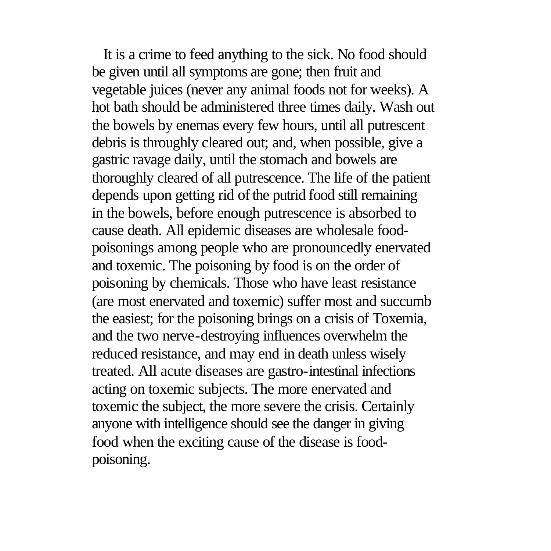It is a crime to feed anything to the sick. No food should be given until all symptoms are gone; then fruit and vegetable juices (never any animal foods not for weeks). A hot bath should be administered three times daily. Wash out the bowels by enemas every few hours, until all putrescent debris is throughly cleared out; and, when possible, give a gastric ravage daily, until the stomach and bowels are thoroughly cleared of all putrescence. The life of the patient depends upon getting rid of the putrid food still remaining in the bowels, before enough putrescence is absorbed to cause death. All epidemic diseases are wholesale foodpoisonings among people who are pronouncedly enervated and toxemic. The poisoning by food is on the order of poisoning by chemicals. Those who have least resistance (are most enervated and toxemic) suffer most and succumb the easiest; for the poisoning brings on a crisis of Toxemia, and the two nerve-destroying influences overwhelm the reduced resistance, and may end in death unless wisely treated. All acute diseases are gastro-intestinal infections acting on toxemic subjects. The more enervated and toxemic the subject, the more severe the crisis. Certainly anyone with intelligence should see the danger in giving food when the exciting cause of the disease is foodpoisoning.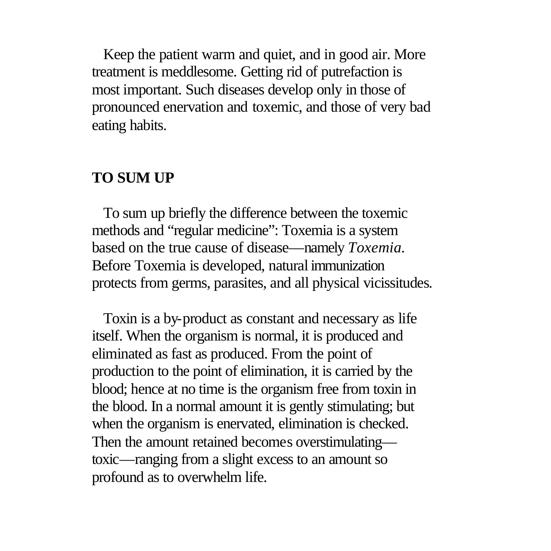Keep the patient warm and quiet, and in good air. More treatment is meddlesome. Getting rid of putrefaction is most important. Such diseases develop only in those of pronounced enervation and toxemic, and those of very bad eating habits.

### **TO SUM UP**

 To sum up briefly the difference between the toxemic methods and "regular medicine": Toxemia is a system based on the true cause of disease—namely *Toxemia.* Before Toxemia is developed, natural immunization protects from germs, parasites, and all physical vicissitudes.

 Toxin is a by-product as constant and necessary as life itself. When the organism is normal, it is produced and eliminated as fast as produced. From the point of production to the point of elimination, it is carried by the blood; hence at no time is the organism free from toxin in the blood. In a normal amount it is gently stimulating; but when the organism is enervated, elimination is checked. Then the amount retained becomes overstimulating toxic—ranging from a slight excess to an amount so profound as to overwhelm life.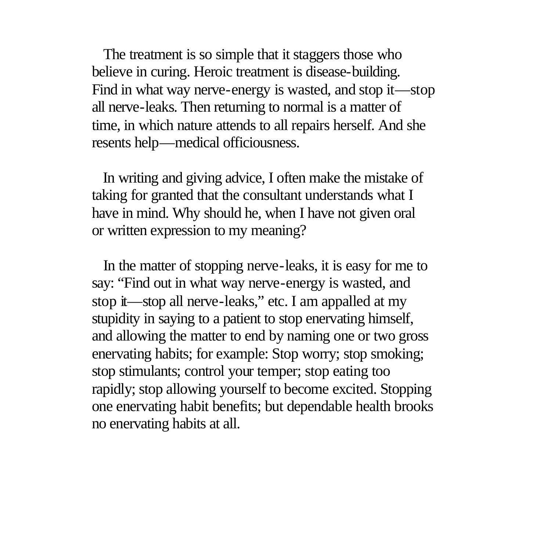The treatment is so simple that it staggers those who believe in curing. Heroic treatment is disease-building. Find in what way nerve-energy is wasted, and stop it—stop all nerve-leaks. Then returning to normal is a matter of time, in which nature attends to all repairs herself. And she resents help—medical officiousness.

 In writing and giving advice, I often make the mistake of taking for granted that the consultant understands what I have in mind. Why should he, when I have not given oral or written expression to my meaning?

 In the matter of stopping nerve-leaks, it is easy for me to say: "Find out in what way nerve-energy is wasted, and stop it—stop all nerve-leaks," etc. I am appalled at my stupidity in saying to a patient to stop enervating himself, and allowing the matter to end by naming one or two gross enervating habits; for example: Stop worry; stop smoking; stop stimulants; control your temper; stop eating too rapidly; stop allowing yourself to become excited. Stopping one enervating habit benefits; but dependable health brooks no enervating habits at all.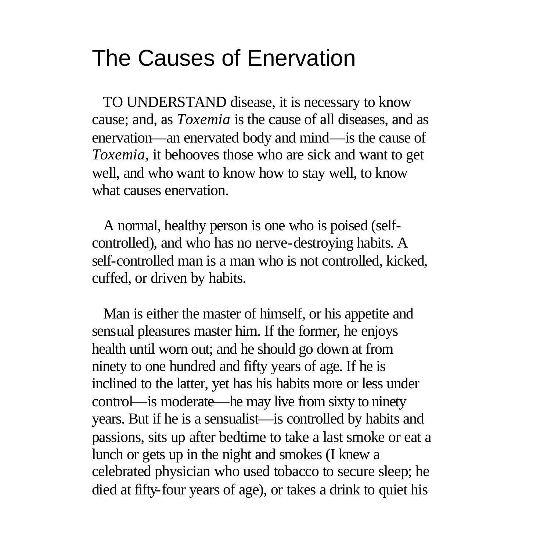## The Causes of Enervation

 TO UNDERSTAND disease, it is necessary to know cause; and, as *Toxemia* is the cause of all diseases, and as enervation—an enervated body and mind—is the cause of *Toxemia,* it behooves those who are sick and want to get well, and who want to know how to stay well, to know what causes enervation.

 A normal, healthy person is one who is poised (selfcontrolled), and who has no nerve-destroying habits. A self-controlled man is a man who is not controlled, kicked, cuffed, or driven by habits.

 Man is either the master of himself, or his appetite and sensual pleasures master him. If the former, he enjoys health until worn out; and he should go down at from ninety to one hundred and fifty years of age. If he is inclined to the latter, yet has his habits more or less under control—is moderate—he may live from sixty to ninety years. But if he is a sensualist—is controlled by habits and passions, sits up after bedtime to take a last smoke or eat a lunch or gets up in the night and smokes (I knew a celebrated physician who used tobacco to secure sleep; he died at fifty-four years of age), or takes a drink to quiet his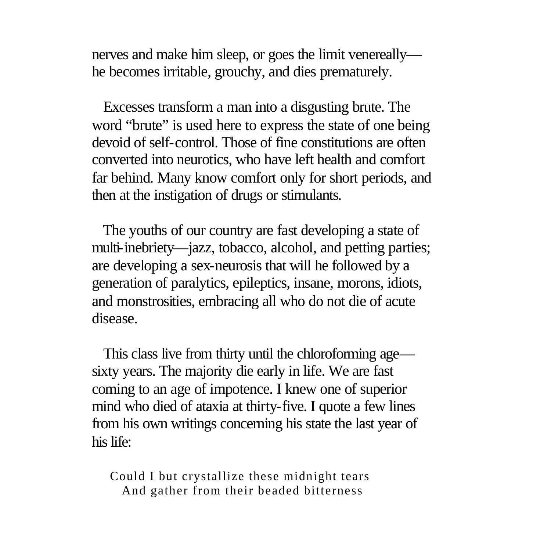nerves and make him sleep, or goes the limit venereally he becomes irritable, grouchy, and dies prematurely.

 Excesses transform a man into a disgusting brute. The word "brute" is used here to express the state of one being devoid of self-control. Those of fine constitutions are often converted into neurotics, who have left health and comfort far behind. Many know comfort only for short periods, and then at the instigation of drugs or stimulants.

 The youths of our country are fast developing a state of multi-inebriety—jazz, tobacco, alcohol, and petting parties; are developing a sex-neurosis that will he followed by a generation of paralytics, epileptics, insane, morons, idiots, and monstrosities, embracing all who do not die of acute disease.

 This class live from thirty until the chloroforming age sixty years. The majority die early in life. We are fast coming to an age of impotence. I knew one of superior mind who died of ataxia at thirty-five. I quote a few lines from his own writings concerning his state the last year of his life:

Could I but crystallize these midnight tears And gather from their beaded bitterness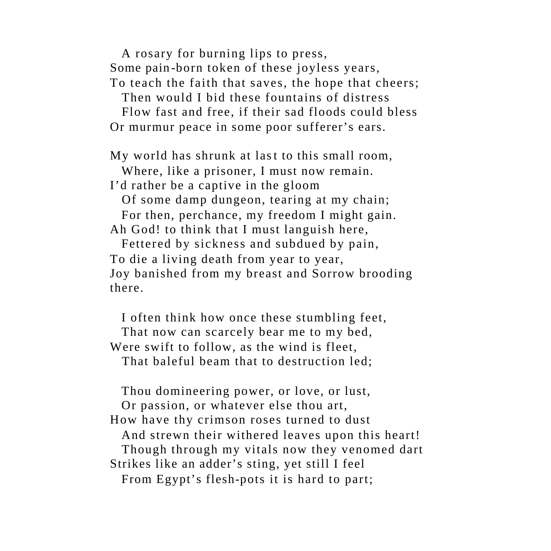A rosary for burning lips to press, Some pain -born token of these joyless years, To teach the faith that saves, the hope that cheers;

Then would I bid these fountains of distress

 Flow fast and free, if their sad floods could bless Or murmur peace in some poor sufferer's ears.

My world has shrunk at last to this small room,

Where, like a prisoner, I must now remain.

I'd rather be a captive in the gloom

 Of some damp dungeon, tearing at my chain; For then, perchance, my freedom I might gain. Ah God! to think that I must languish here,

 Fettered by sickness and subdued by pain, To die a living death from year to year, Joy banished from my breast and Sorrow brooding there.

 I often think how once these stumbling feet, That now can scarcely bear me to my bed, Were swift to follow, as the wind is fleet, That baleful beam that to destruction led;

 Thou domineering power, or love, or lust, Or passion, or whatever else thou art, How have thy crimson roses turned to dust And strewn their withered leaves upon this heart! Though through my vitals now they venomed dart Strikes like an adder's sting, yet still I feel From Egypt's flesh-pots it is hard to part;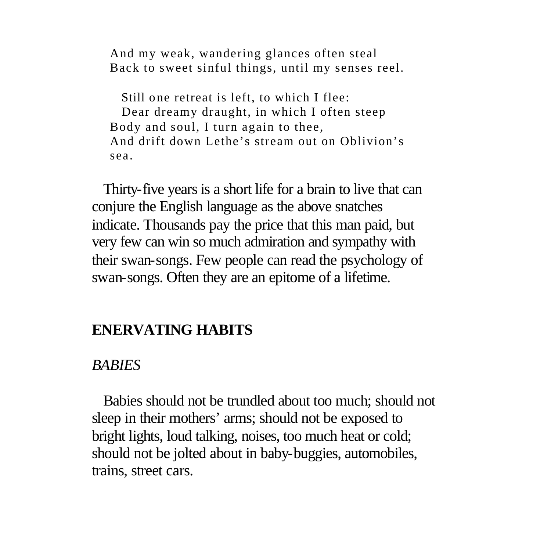And my weak, wandering glances often steal Back to sweet sinful things, until my senses reel.

Still one retreat is left, to which I flee: Dear dreamy draught, in which I often steep Body and soul, I turn again to thee, And drift down Lethe's stream out on Oblivion's sea.

 Thirty-five years is a short life for a brain to live that can conjure the English language as the above snatches indicate. Thousands pay the price that this man paid, but very few can win so much admiration and sympathy with their swan-songs. Few people can read the psychology of swan-songs. Often they are an epitome of a lifetime.

## **ENERVATING HABITS**

#### *BABIES*

 Babies should not be trundled about too much; should not sleep in their mothers' arms; should not be exposed to bright lights, loud talking, noises, too much heat or cold; should not be jolted about in baby-buggies, automobiles, trains, street cars.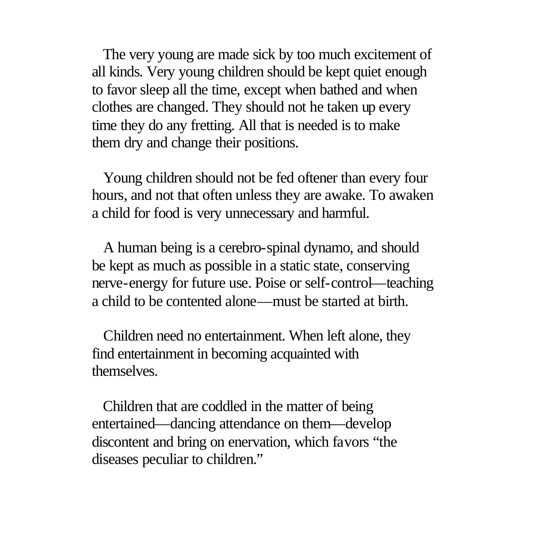The very young are made sick by too much excitement of all kinds. Very young children should be kept quiet enough to favor sleep all the time, except when bathed and when clothes are changed. They should not he taken up every time they do any fretting. All that is needed is to make them dry and change their positions.

 Young children should not be fed oftener than every four hours, and not that often unless they are awake. To awaken a child for food is very unnecessary and harmful.

 A human being is a cerebro-spinal dynamo, and should be kept as much as possible in a static state, conserving nerve-energy for future use. Poise or self-control—teaching a child to be contented alone—must be started at birth.

 Children need no entertainment. When left alone, they find entertainment in becoming acquainted with themselves.

 Children that are coddled in the matter of being entertained—dancing attendance on them—develop discontent and bring on enervation, which favors "the diseases peculiar to children."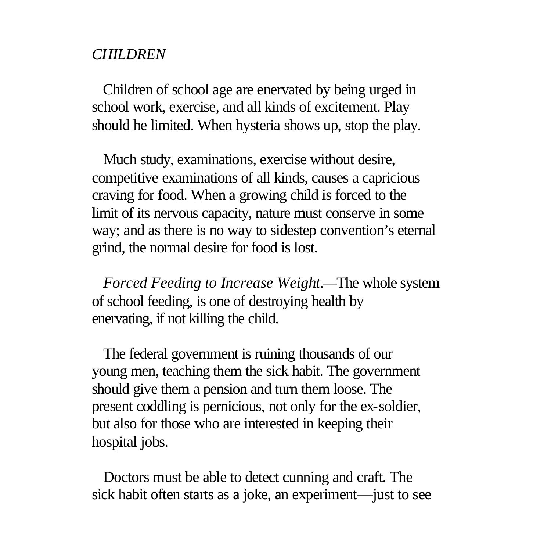#### *CHILDREN*

 Children of school age are enervated by being urged in school work, exercise, and all kinds of excitement. Play should he limited. When hysteria shows up, stop the play.

 Much study, examinations, exercise without desire, competitive examinations of all kinds, causes a capricious craving for food. When a growing child is forced to the limit of its nervous capacity, nature must conserve in some way; and as there is no way to sidestep convention's eternal grind, the normal desire for food is lost.

 *Forced Feeding to Increase Weight.—*The whole system of school feeding, is one of destroying health by enervating, if not killing the child.

 The federal government is ruining thousands of our young men, teaching them the sick habit. The government should give them a pension and turn them loose. The present coddling is pernicious, not only for the ex-soldier, but also for those who are interested in keeping their hospital jobs.

 Doctors must be able to detect cunning and craft. The sick habit often starts as a joke, an experiment—just to see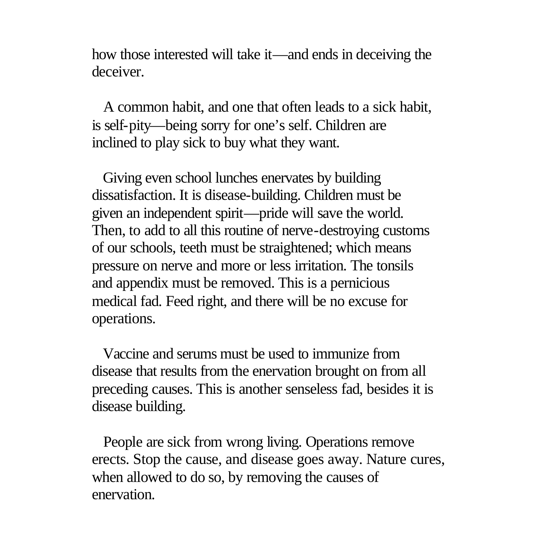how those interested will take it—and ends in deceiving the deceiver.

 A common habit, and one that often leads to a sick habit, is self-pity—being sorry for one's self. Children are inclined to play sick to buy what they want.

 Giving even school lunches enervates by building dissatisfaction. It is disease-building. Children must be given an independent spirit—pride will save the world. Then, to add to all this routine of nerve-destroying customs of our schools, teeth must be straightened; which means pressure on nerve and more or less irritation. The tonsils and appendix must be removed. This is a pernicious medical fad. Feed right, and there will be no excuse for operations.

 Vaccine and serums must be used to immunize from disease that results from the enervation brought on from all preceding causes. This is another senseless fad, besides it is disease building.

 People are sick from wrong living. Operations remove erects. Stop the cause, and disease goes away. Nature cures, when allowed to do so, by removing the causes of enervation.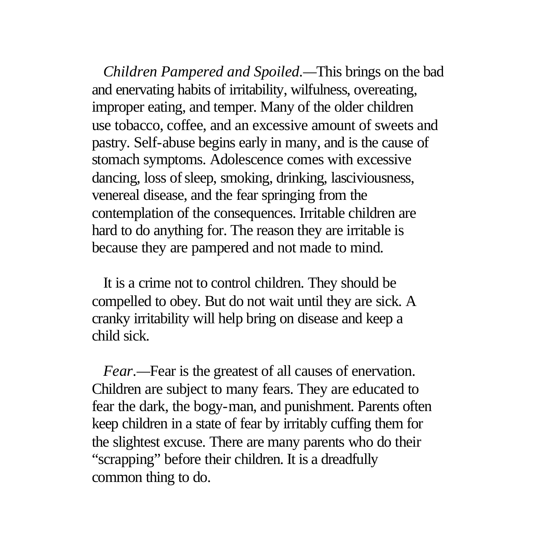*Children Pampered and Spoiled.—*This brings on the bad and enervating habits of irritability, wilfulness, overeating, improper eating, and temper. Many of the older children use tobacco, coffee, and an excessive amount of sweets and pastry. Self-abuse begins early in many, and is the cause of stomach symptoms. Adolescence comes with excessive dancing, loss of sleep, smoking, drinking, lasciviousness, venereal disease, and the fear springing from the contemplation of the consequences. Irritable children are hard to do anything for. The reason they are irritable is because they are pampered and not made to mind.

 It is a crime not to control children. They should be compelled to obey. But do not wait until they are sick. A cranky irritability will help bring on disease and keep a child sick.

 *Fear.—*Fear is the greatest of all causes of enervation. Children are subject to many fears. They are educated to fear the dark, the bogy-man, and punishment. Parents often keep children in a state of fear by irritably cuffing them for the slightest excuse. There are many parents who do their "scrapping" before their children. It is a dreadfully common thing to do.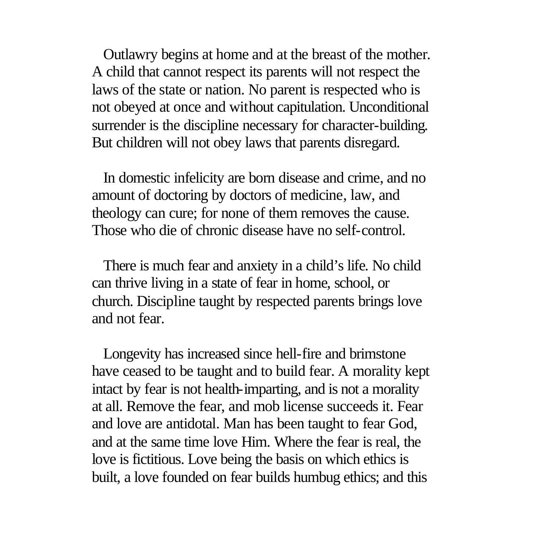Outlawry begins at home and at the breast of the mother. A child that cannot respect its parents will not respect the laws of the state or nation. No parent is respected who is not obeyed at once and without capitulation. Unconditional surrender is the discipline necessary for character-building. But children will not obey laws that parents disregard.

 In domestic infelicity are born disease and crime, and no amount of doctoring by doctors of medicine, law, and theology can cure; for none of them removes the cause. Those who die of chronic disease have no self-control.

 There is much fear and anxiety in a child's life. No child can thrive living in a state of fear in home, school, or church. Discipline taught by respected parents brings love and not fear.

 Longevity has increased since hell-fire and brimstone have ceased to be taught and to build fear. A morality kept intact by fear is not health-imparting, and is not a morality at all. Remove the fear, and mob license succeeds it. Fear and love are antidotal. Man has been taught to fear God, and at the same time love Him. Where the fear is real, the love is fictitious. Love being the basis on which ethics is built, a love founded on fear builds humbug ethics; and this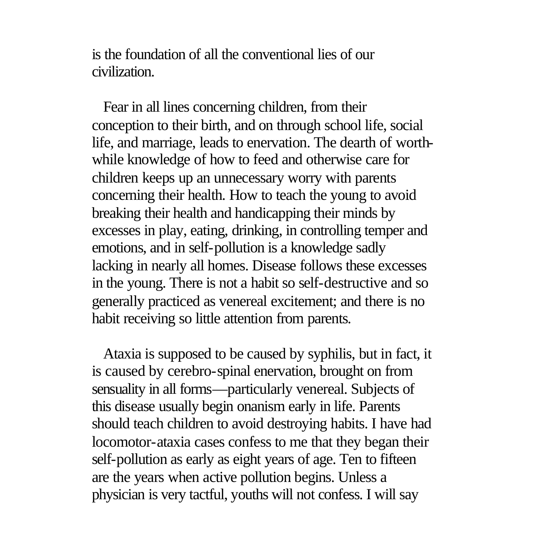is the foundation of all the conventional lies of our civilization.

 Fear in all lines concerning children, from their conception to their birth, and on through school life, social life, and marriage, leads to enervation. The dearth of worthwhile knowledge of how to feed and otherwise care for children keeps up an unnecessary worry with parents concerning their health. How to teach the young to avoid breaking their health and handicapping their minds by excesses in play, eating, drinking, in controlling temper and emotions, and in self-pollution is a knowledge sadly lacking in nearly all homes. Disease follows these excesses in the young. There is not a habit so self-destructive and so generally practiced as venereal excitement; and there is no habit receiving so little attention from parents.

 Ataxia is supposed to be caused by syphilis, but in fact, it is caused by cerebro-spinal enervation, brought on from sensuality in all forms—particularly venereal. Subjects of this disease usually begin onanism early in life. Parents should teach children to avoid destroying habits. I have had locomotor-ataxia cases confess to me that they began their self-pollution as early as eight years of age. Ten to fifteen are the years when active pollution begins. Unless a physician is very tactful, youths will not confess. I will say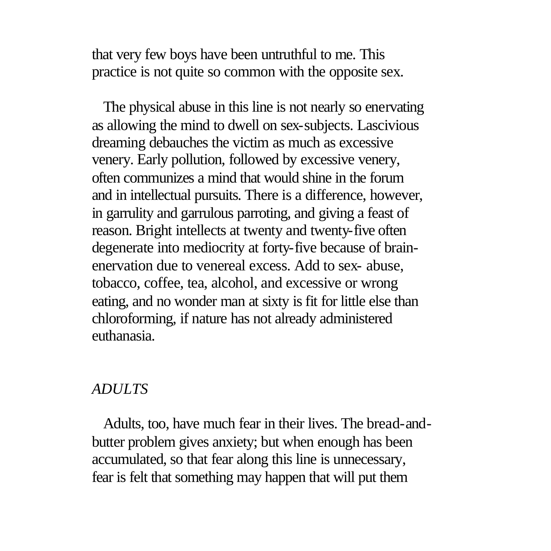that very few boys have been untruthful to me. This practice is not quite so common with the opposite sex.

 The physical abuse in this line is not nearly so enervating as allowing the mind to dwell on sex-subjects. Lascivious dreaming debauches the victim as much as excessive venery. Early pollution, followed by excessive venery, often communizes a mind that would shine in the forum and in intellectual pursuits. There is a difference, however, in garrulity and garrulous parroting, and giving a feast of reason. Bright intellects at twenty and twenty-five often degenerate into mediocrity at forty-five because of brainenervation due to venereal excess. Add to sex- abuse, tobacco, coffee, tea, alcohol, and excessive or wrong eating, and no wonder man at sixty is fit for little else than chloroforming, if nature has not already administered euthanasia.

#### *ADULTS*

 Adults, too, have much fear in their lives. The bread-andbutter problem gives anxiety; but when enough has been accumulated, so that fear along this line is unnecessary, fear is felt that something may happen that will put them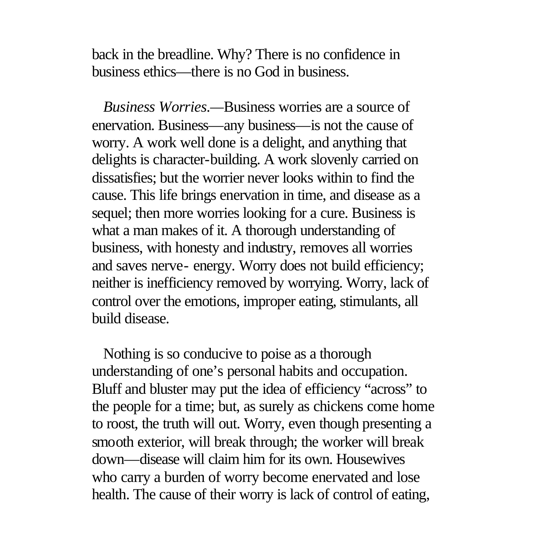back in the breadline. Why? There is no confidence in business ethics—there is no God in business.

 *Business Worries.—*Business worries are a source of enervation. Business—any business—is not the cause of worry. A work well done is a delight, and anything that delights is character-building. A work slovenly carried on dissatisfies; but the worrier never looks within to find the cause. This life brings enervation in time, and disease as a sequel; then more worries looking for a cure. Business is what a man makes of it. A thorough understanding of business, with honesty and industry, removes all worries and saves nerve- energy. Worry does not build efficiency; neither is inefficiency removed by worrying. Worry, lack of control over the emotions, improper eating, stimulants, all build disease.

 Nothing is so conducive to poise as a thorough understanding of one's personal habits and occupation. Bluff and bluster may put the idea of efficiency "across" to the people for a time; but, as surely as chickens come home to roost, the truth will out. Worry, even though presenting a smooth exterior, will break through; the worker will break down—disease will claim him for its own. Housewives who carry a burden of worry become enervated and lose health. The cause of their worry is lack of control of eating,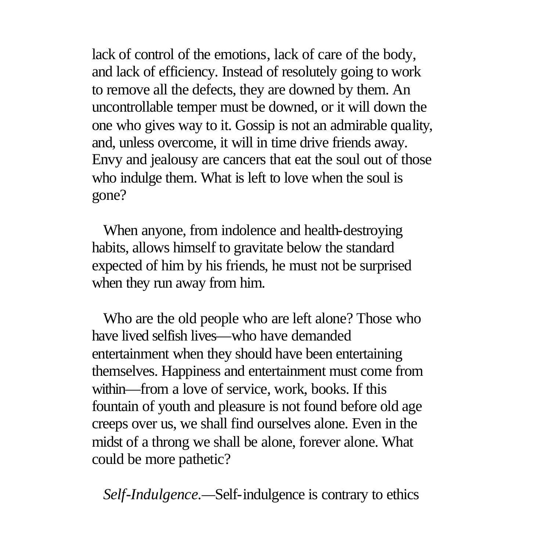lack of control of the emotions, lack of care of the body, and lack of efficiency. Instead of resolutely going to work to remove all the defects, they are downed by them. An uncontrollable temper must be downed, or it will down the one who gives way to it. Gossip is not an admirable quality, and, unless overcome, it will in time drive friends away. Envy and jealousy are cancers that eat the soul out of those who indulge them. What is left to love when the soul is gone?

 When anyone, from indolence and health-destroying habits, allows himself to gravitate below the standard expected of him by his friends, he must not be surprised when they run away from him.

 Who are the old people who are left alone? Those who have lived selfish lives—who have demanded entertainment when they should have been entertaining themselves. Happiness and entertainment must come from within—from a love of service, work, books. If this fountain of youth and pleasure is not found before old age creeps over us, we shall find ourselves alone. Even in the midst of a throng we shall be alone, forever alone. What could be more pathetic?

*Self-Indulgence.—*Self-indulgence is contrary to ethics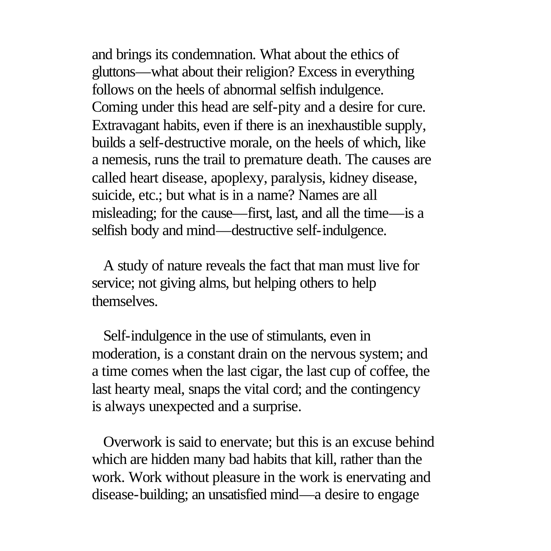and brings its condemnation. What about the ethics of gluttons—what about their religion? Excess in everything follows on the heels of abnormal selfish indulgence. Coming under this head are self-pity and a desire for cure. Extravagant habits, even if there is an inexhaustible supply, builds a self-destructive morale, on the heels of which, like a nemesis, runs the trail to premature death. The causes are called heart disease, apoplexy, paralysis, kidney disease, suicide, etc.; but what is in a name? Names are all misleading; for the cause—first, last, and all the time—is a selfish body and mind—destructive self-indulgence.

 A study of nature reveals the fact that man must live for service; not giving alms, but helping others to help themselves.

 Self-indulgence in the use of stimulants, even in moderation, is a constant drain on the nervous system; and a time comes when the last cigar, the last cup of coffee, the last hearty meal, snaps the vital cord; and the contingency is always unexpected and a surprise.

 Overwork is said to enervate; but this is an excuse behind which are hidden many bad habits that kill, rather than the work. Work without pleasure in the work is enervating and disease-building; an unsatisfied mind—a desire to engage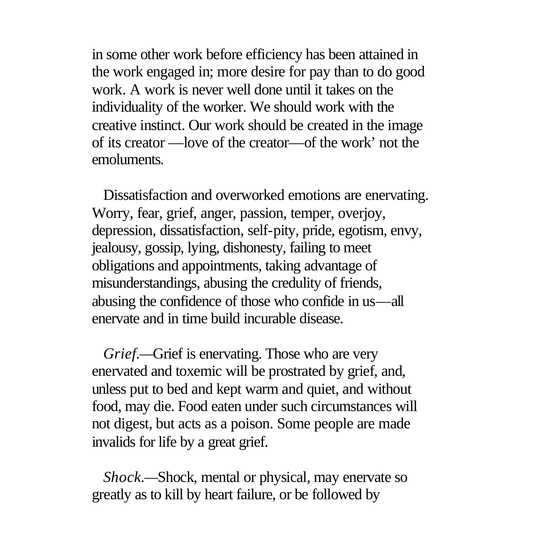in some other work before efficiency has been attained in the work engaged in; more desire for pay than to do good work. A work is never well done until it takes on the individuality of the worker. We should work with the creative instinct. Our work should be created in the image of its creator —love of the creator—of the work' not the emoluments.

 Dissatisfaction and overworked emotions are enervating. Worry, fear, grief, anger, passion, temper, overjoy, depression, dissatisfaction, self-pity, pride, egotism, envy, jealousy, gossip, lying, dishonesty, failing to meet obligations and appointments, taking advantage of misunderstandings, abusing the credulity of friends, abusing the confidence of those who confide in us—all enervate and in time build incurable disease.

 *Grief.—*Grief is enervating. Those who are very enervated and toxemic will be prostrated by grief, and, unless put to bed and kept warm and quiet, and without food, may die. Food eaten under such circumstances will not digest, but acts as a poison. Some people are made invalids for life by a great grief.

 *Shock.—*Shock, mental or physical, may enervate so greatly as to kill by heart failure, or be followed by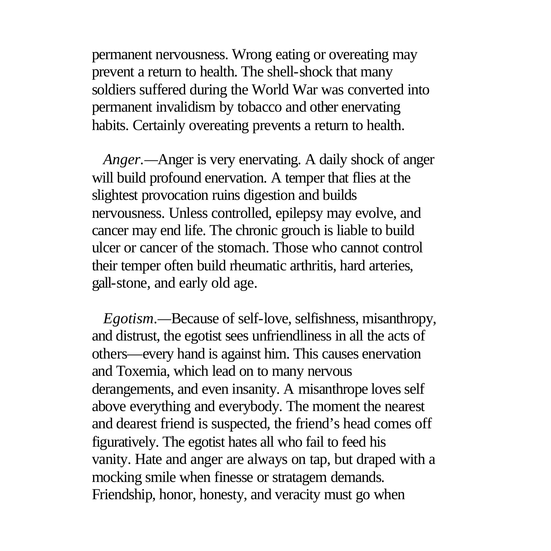permanent nervousness. Wrong eating or overeating may prevent a return to health. The shell-shock that many soldiers suffered during the World War was converted into permanent invalidism by tobacco and other enervating habits. Certainly overeating prevents a return to health.

 *Anger.—*Anger is very enervating. A daily shock of anger will build profound enervation. A temper that flies at the slightest provocation ruins digestion and builds nervousness. Unless controlled, epilepsy may evolve, and cancer may end life. The chronic grouch is liable to build ulcer or cancer of the stomach. Those who cannot control their temper often build rheumatic arthritis, hard arteries, gall-stone, and early old age.

 *Egotism.—*Because of self-love, selfishness, misanthropy, and distrust, the egotist sees unfriendliness in all the acts of others—every hand is against him. This causes enervation and Toxemia, which lead on to many nervous derangements, and even insanity. A misanthrope loves self above everything and everybody. The moment the nearest and dearest friend is suspected, the friend's head comes off figuratively. The egotist hates all who fail to feed his vanity. Hate and anger are always on tap, but draped with a mocking smile when finesse or stratagem demands. Friendship, honor, honesty, and veracity must go when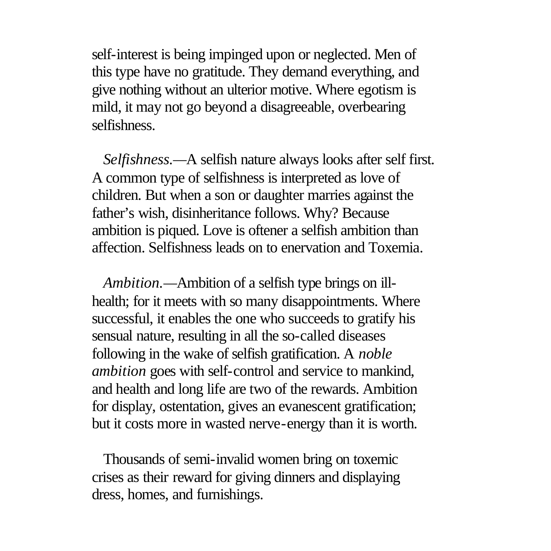self-interest is being impinged upon or neglected. Men of this type have no gratitude. They demand everything, and give nothing without an ulterior motive. Where egotism is mild, it may not go beyond a disagreeable, overbearing selfishness.

 *Selfishness.—*A selfish nature always looks after self first. A common type of selfishness is interpreted as love of children. But when a son or daughter marries against the father's wish, disinheritance follows. Why? Because ambition is piqued. Love is oftener a selfish ambition than affection. Selfishness leads on to enervation and Toxemia.

 *Ambition.—*Ambition of a selfish type brings on illhealth; for it meets with so many disappointments. Where successful, it enables the one who succeeds to gratify his sensual nature, resulting in all the so-called diseases following in the wake of selfish gratification. A *noble ambition* goes with self-control and service to mankind, and health and long life are two of the rewards. Ambition for display, ostentation, gives an evanescent gratification; but it costs more in wasted nerve-energy than it is worth.

 Thousands of semi-invalid women bring on toxemic crises as their reward for giving dinners and displaying dress, homes, and furnishings.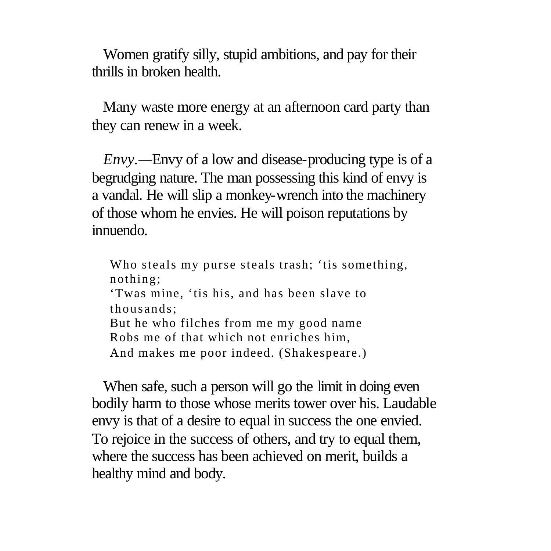Women gratify silly, stupid ambitions, and pay for their thrills in broken health.

 Many waste more energy at an afternoon card party than they can renew in a week.

 *Envy.—*Envy of a low and disease-producing type is of a begrudging nature. The man possessing this kind of envy is a vandal. He will slip a monkey-wrench into the machinery of those whom he envies. He will poison reputations by innuendo.

Who steals my purse steals trash; 'tis something, nothing; 'Twas mine, 'tis his, and has been slave to thousands; But he who filches from me my good name Robs me of that which not enriches him, And makes me poor indeed. (Shakespeare.)

 When safe, such a person will go the limit in doing even bodily harm to those whose merits tower over his. Laudable envy is that of a desire to equal in success the one envied. To rejoice in the success of others, and try to equal them, where the success has been achieved on merit, builds a healthy mind and body.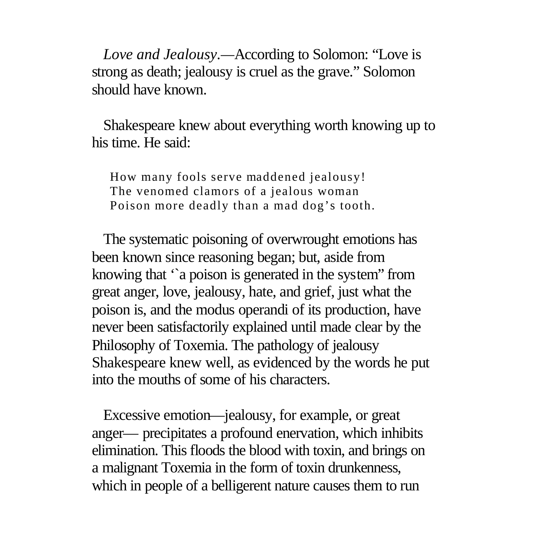*Love and Jealousy.—*According to Solomon: "Love is strong as death; jealousy is cruel as the grave." Solomon should have known.

 Shakespeare knew about everything worth knowing up to his time. He said:

How many fools serve maddened jealousy! The venomed clamors of a jealous woman Poison more deadly than a mad dog's tooth.

 The systematic poisoning of overwrought emotions has been known since reasoning began; but, aside from knowing that '`a poison is generated in the system" from great anger, love, jealousy, hate, and grief, just what the poison is, and the modus operandi of its production, have never been satisfactorily explained until made clear by the Philosophy of Toxemia. The pathology of jealousy Shakespeare knew well, as evidenced by the words he put into the mouths of some of his characters.

 Excessive emotion—jealousy, for example, or great anger— precipitates a profound enervation, which inhibits elimination. This floods the blood with toxin, and brings on a malignant Toxemia in the form of toxin drunkenness, which in people of a belligerent nature causes them to run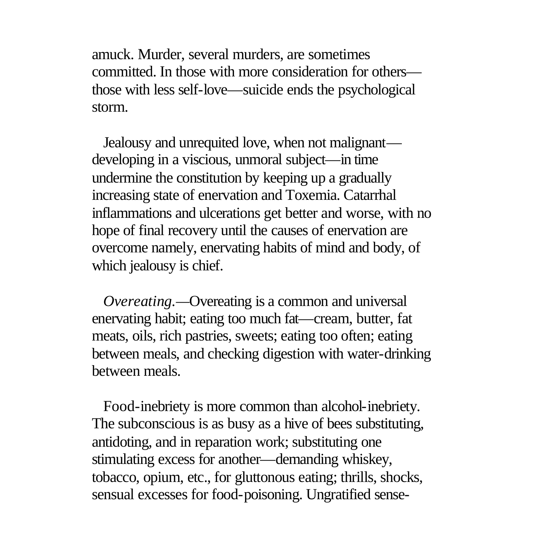amuck. Murder, several murders, are sometimes committed. In those with more consideration for others those with less self-love—suicide ends the psychological storm.

 Jealousy and unrequited love, when not malignant developing in a viscious, unmoral subject—in time undermine the constitution by keeping up a gradually increasing state of enervation and Toxemia. Catarrhal inflammations and ulcerations get better and worse, with no hope of final recovery until the causes of enervation are overcome namely, enervating habits of mind and body, of which jealousy is chief.

 *Overeating.—*Overeating is a common and universal enervating habit; eating too much fat—cream, butter, fat meats, oils, rich pastries, sweets; eating too often; eating between meals, and checking digestion with water-drinking between meals.

 Food-inebriety is more common than alcohol-inebriety. The subconscious is as busy as a hive of bees substituting, antidoting, and in reparation work; substituting one stimulating excess for another—demanding whiskey, tobacco, opium, etc., for gluttonous eating; thrills, shocks, sensual excesses for food-poisoning. Ungratified sense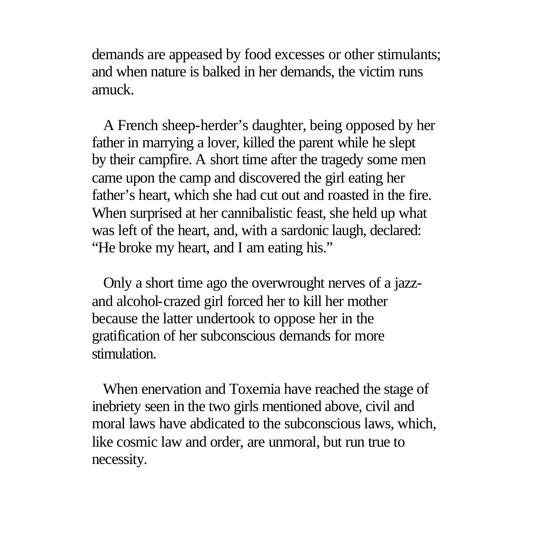demands are appeased by food excesses or other stimulants; and when nature is balked in her demands, the victim runs amuck.

 A French sheep-herder's daughter, being opposed by her father in marrying a lover, killed the parent while he slept by their campfire. A short time after the tragedy some men came upon the camp and discovered the girl eating her father's heart, which she had cut out and roasted in the fire. When surprised at her cannibalistic feast, she held up what was left of the heart, and, with a sardonic laugh, declared: "He broke my heart, and I am eating his."

 Only a short time ago the overwrought nerves of a jazzand alcohol-crazed girl forced her to kill her mother because the latter undertook to oppose her in the gratification of her subconscious demands for more stimulation.

 When enervation and Toxemia have reached the stage of inebriety seen in the two girls mentioned above, civil and moral laws have abdicated to the subconscious laws, which, like cosmic law and order, are unmoral, but run true to necessity.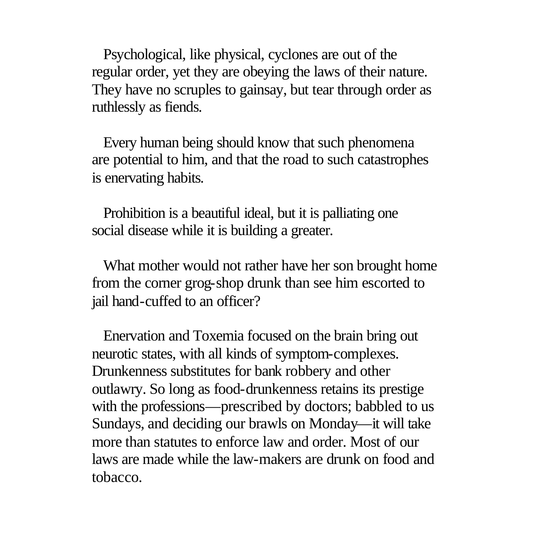Psychological, like physical, cyclones are out of the regular order, yet they are obeying the laws of their nature. They have no scruples to gainsay, but tear through order as ruthlessly as fiends.

 Every human being should know that such phenomena are potential to him, and that the road to such catastrophes is enervating habits.

 Prohibition is a beautiful ideal, but it is palliating one social disease while it is building a greater.

 What mother would not rather have her son brought home from the corner grog-shop drunk than see him escorted to jail hand-cuffed to an officer?

 Enervation and Toxemia focused on the brain bring out neurotic states, with all kinds of symptom-complexes. Drunkenness substitutes for bank robbery and other outlawry. So long as food-drunkenness retains its prestige with the professions—prescribed by doctors; babbled to us Sundays, and deciding our brawls on Monday—it will take more than statutes to enforce law and order. Most of our laws are made while the law-makers are drunk on food and tobacco.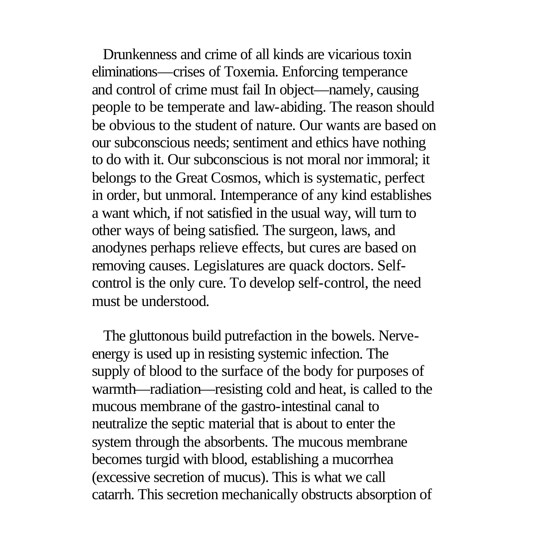Drunkenness and crime of all kinds are vicarious toxin eliminations—crises of Toxemia. Enforcing temperance and control of crime must fail In object—namely, causing people to be temperate and law-abiding. The reason should be obvious to the student of nature. Our wants are based on our subconscious needs; sentiment and ethics have nothing to do with it. Our subconscious is not moral nor immoral; it belongs to the Great Cosmos, which is systematic, perfect in order, but unmoral. Intemperance of any kind establishes a want which, if not satisfied in the usual way, will turn to other ways of being satisfied. The surgeon, laws, and anodynes perhaps relieve effects, but cures are based on removing causes. Legislatures are quack doctors. Selfcontrol is the only cure. To develop self-control, the need must be understood.

 The gluttonous build putrefaction in the bowels. Nerveenergy is used up in resisting systemic infection. The supply of blood to the surface of the body for purposes of warmth—radiation—resisting cold and heat, is called to the mucous membrane of the gastro-intestinal canal to neutralize the septic material that is about to enter the system through the absorbents. The mucous membrane becomes turgid with blood, establishing a mucorrhea (excessive secretion of mucus). This is what we call catarrh. This secretion mechanically obstructs absorption of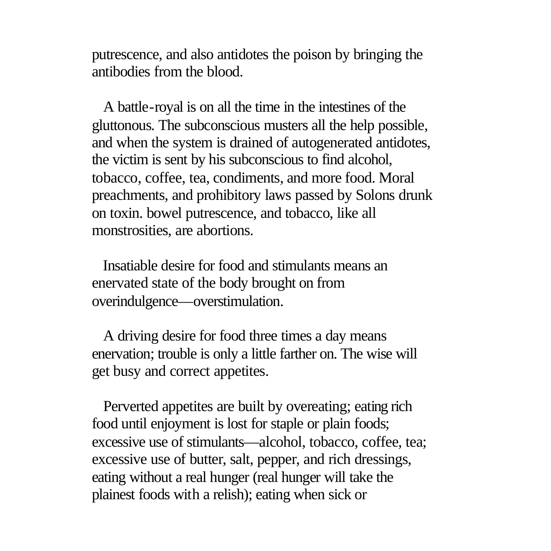putrescence, and also antidotes the poison by bringing the antibodies from the blood.

 A battle-royal is on all the time in the intestines of the gluttonous. The subconscious musters all the help possible, and when the system is drained of autogenerated antidotes, the victim is sent by his subconscious to find alcohol, tobacco, coffee, tea, condiments, and more food. Moral preachments, and prohibitory laws passed by Solons drunk on toxin. bowel putrescence, and tobacco, like all monstrosities, are abortions.

 Insatiable desire for food and stimulants means an enervated state of the body brought on from overindulgence—overstimulation.

 A driving desire for food three times a day means enervation; trouble is only a little farther on. The wise will get busy and correct appetites.

 Perverted appetites are built by overeating; eating rich food until enjoyment is lost for staple or plain foods; excessive use of stimulants—alcohol, tobacco, coffee, tea; excessive use of butter, salt, pepper, and rich dressings, eating without a real hunger (real hunger will take the plainest foods with a relish); eating when sick or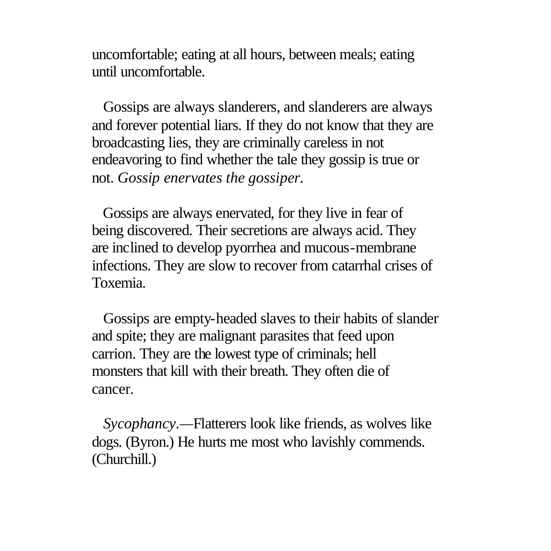uncomfortable; eating at all hours, between meals; eating until uncomfortable.

 Gossips are always slanderers, and slanderers are always and forever potential liars. If they do not know that they are broadcasting lies, they are criminally careless in not endeavoring to find whether the tale they gossip is true or not. *Gossip enervates the gossiper.*

 Gossips are always enervated, for they live in fear of being discovered. Their secretions are always acid. They are inclined to develop pyorrhea and mucous-membrane infections. They are slow to recover from catarrhal crises of Toxemia.

 Gossips are empty-headed slaves to their habits of slander and spite; they are malignant parasites that feed upon carrion. They are the lowest type of criminals; hell monsters that kill with their breath. They often die of cancer.

 *Sycophancy.—*Flatterers look like friends, as wolves like dogs. (Byron.) He hurts me most who lavishly commends. (Churchill.)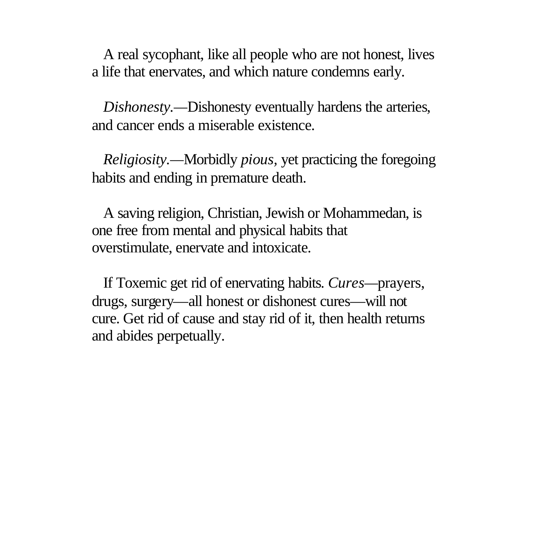A real sycophant, like all people who are not honest, lives a life that enervates, and which nature condemns early.

 *Dishonesty.—*Dishonesty eventually hardens the arteries, and cancer ends a miserable existence.

 *Religiosity.—*Morbidly *pious,* yet practicing the foregoing habits and ending in premature death.

 A saving religion, Christian, Jewish or Mohammedan, is one free from mental and physical habits that overstimulate, enervate and intoxicate.

 If Toxemic get rid of enervating habits. *Cures—*prayers, drugs, surgery—all honest or dishonest cures—will not cure. Get rid of cause and stay rid of it, then health returns and abides perpetually.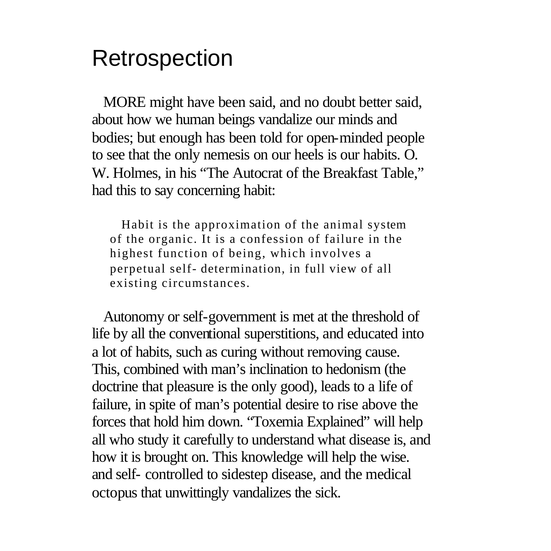## Retrospection

 MORE might have been said, and no doubt better said, about how we human beings vandalize our minds and bodies; but enough has been told for open-minded people to see that the only nemesis on our heels is our habits. O. W. Holmes, in his "The Autocrat of the Breakfast Table," had this to say concerning habit:

 Habit is the approximation of the animal system of the organic. It is a confession of failure in the highest function of being, which involves a perpetual self- determination, in full view of all existing circumstances.

 Autonomy or self-government is met at the threshold of life by all the conventional superstitions, and educated into a lot of habits, such as curing without removing cause. This, combined with man's inclination to hedonism (the doctrine that pleasure is the only good), leads to a life of failure, in spite of man's potential desire to rise above the forces that hold him down. "Toxemia Explained" will help all who study it carefully to understand what disease is, and how it is brought on. This knowledge will help the wise. and self- controlled to sidestep disease, and the medical octopus that unwittingly vandalizes the sick.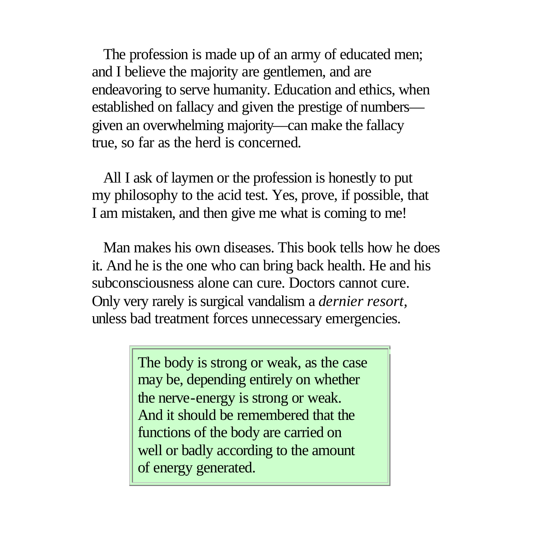The profession is made up of an army of educated men; and I believe the majority are gentlemen, and are endeavoring to serve humanity. Education and ethics, when established on fallacy and given the prestige of numbers given an overwhelming majority—can make the fallacy true, so far as the herd is concerned.

 All I ask of laymen or the profession is honestly to put my philosophy to the acid test. Yes, prove, if possible, that I am mistaken, and then give me what is coming to me!

 Man makes his own diseases. This book tells how he does it. And he is the one who can bring back health. He and his subconsciousness alone can cure. Doctors cannot cure. Only very rarely is surgical vandalism a *dernier resort,* unless bad treatment forces unnecessary emergencies.

> The body is strong or weak, as the case may be, depending entirely on whether the nerve-energy is strong or weak. And it should be remembered that the functions of the body are carried on well or badly according to the amount of energy generated.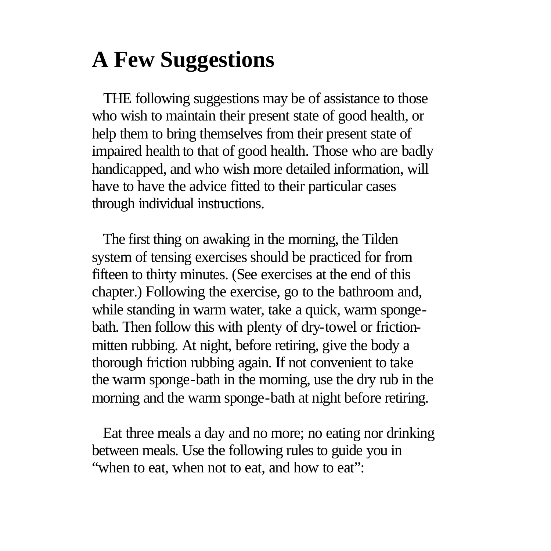# **A Few Suggestions**

 THE following suggestions may be of assistance to those who wish to maintain their present state of good health, or help them to bring themselves from their present state of impaired health to that of good health. Those who are badly handicapped, and who wish more detailed information, will have to have the advice fitted to their particular cases through individual instructions.

 The first thing on awaking in the morning, the Tilden system of tensing exercises should be practiced for from fifteen to thirty minutes. (See exercises at the end of this chapter.) Following the exercise, go to the bathroom and, while standing in warm water, take a quick, warm spongebath. Then follow this with plenty of dry-towel or frictionmitten rubbing. At night, before retiring, give the body a thorough friction rubbing again. If not convenient to take the warm sponge-bath in the morning, use the dry rub in the morning and the warm sponge-bath at night before retiring.

 Eat three meals a day and no more; no eating nor drinking between meals. Use the following rules to guide you in "when to eat, when not to eat, and how to eat":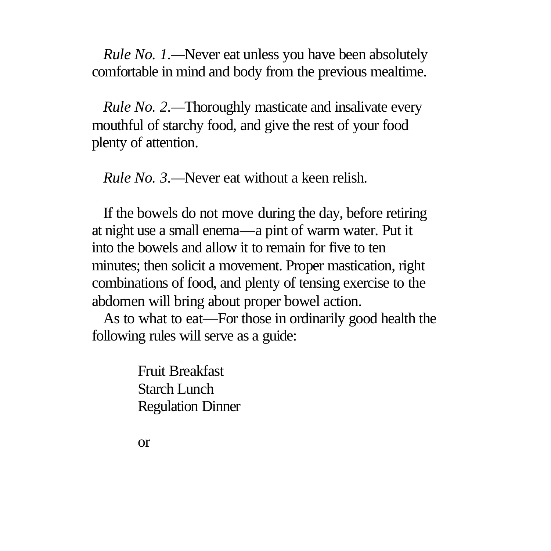*Rule No. 1.*—Never eat unless you have been absolutely comfortable in mind and body from the previous mealtime.

 *Rule No. 2.—*Thoroughly masticate and insalivate every mouthful of starchy food, and give the rest of your food plenty of attention.

*Rule No. 3.—*Never eat without a keen relish.

 If the bowels do not move during the day, before retiring at night use a small enema—a pint of warm water. Put it into the bowels and allow it to remain for five to ten minutes; then solicit a movement. Proper mastication, right combinations of food, and plenty of tensing exercise to the abdomen will bring about proper bowel action.

 As to what to eat—For those in ordinarily good health the following rules will serve as a guide:

> Fruit Breakfast Starch Lunch Regulation Dinner

or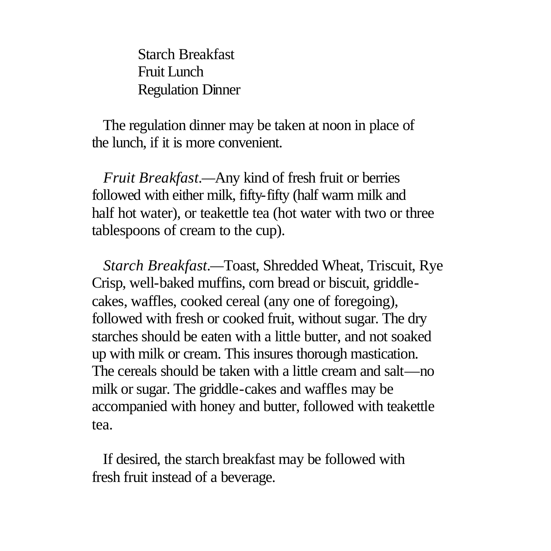Starch Breakfast Fruit Lunch Regulation Dinner

 The regulation dinner may be taken at noon in place of the lunch, if it is more convenient.

 *Fruit Breakfast.—*Any kind of fresh fruit or berries followed with either milk, fifty-fifty (half warm milk and half hot water), or teakettle tea (hot water with two or three tablespoons of cream to the cup).

 *Starch Breakfast.—*Toast, Shredded Wheat, Triscuit, Rye Crisp, well-baked muffins, corn bread or biscuit, griddlecakes, waffles, cooked cereal (any one of foregoing), followed with fresh or cooked fruit, without sugar. The dry starches should be eaten with a little butter, and not soaked up with milk or cream. This insures thorough mastication. The cereals should be taken with a little cream and salt—no milk or sugar. The griddle-cakes and waffles may be accompanied with honey and butter, followed with teakettle tea.

 If desired, the starch breakfast may be followed with fresh fruit instead of a beverage.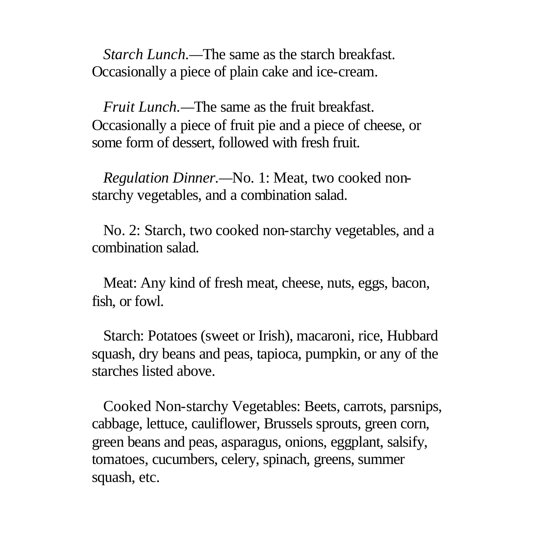*Starch Lunch.—*The same as the starch breakfast. Occasionally a piece of plain cake and ice-cream.

 *Fruit Lunch.—*The same as the fruit breakfast. Occasionally a piece of fruit pie and a piece of cheese, or some form of dessert, followed with fresh fruit.

 *Regulation Dinner.—*No. 1: Meat, two cooked nonstarchy vegetables, and a combination salad.

 No. 2: Starch, two cooked non-starchy vegetables, and a combination salad.

 Meat: Any kind of fresh meat, cheese, nuts, eggs, bacon, fish, or fowl.

 Starch: Potatoes (sweet or Irish), macaroni, rice, Hubbard squash, dry beans and peas, tapioca, pumpkin, or any of the starches listed above.

 Cooked Non-starchy Vegetables: Beets, carrots, parsnips, cabbage, lettuce, cauliflower, Brussels sprouts, green corn, green beans and peas, asparagus, onions, eggplant, salsify, tomatoes, cucumbers, celery, spinach, greens, summer squash, etc.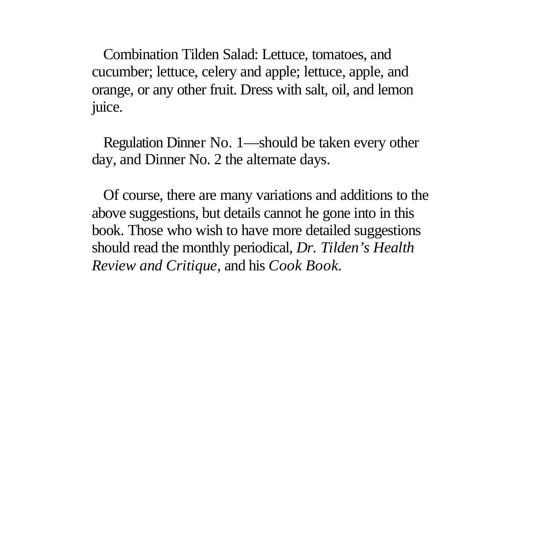Combination Tilden Salad: Lettuce, tomatoes, and cucumber; lettuce, celery and apple; lettuce, apple, and orange, or any other fruit. Dress with salt, oil, and lemon juice.

 Regulation Dinner No. 1—should be taken every other day, and Dinner No. 2 the alternate days.

 Of course, there are many variations and additions to the above suggestions, but details cannot he gone into in this book. Those who wish to have more detailed suggestions should read the monthly periodical, *Dr. Tilden's Health Review and Critique,* and his *Cook Book.*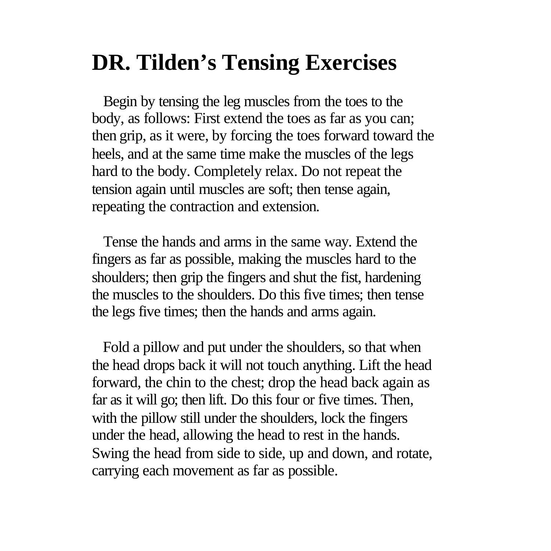## **DR. Tilden's Tensing Exercises**

 Begin by tensing the leg muscles from the toes to the body, as follows: First extend the toes as far as you can; then grip, as it were, by forcing the toes forward toward the heels, and at the same time make the muscles of the legs hard to the body. Completely relax. Do not repeat the tension again until muscles are soft; then tense again, repeating the contraction and extension.

 Tense the hands and arms in the same way. Extend the fingers as far as possible, making the muscles hard to the shoulders; then grip the fingers and shut the fist, hardening the muscles to the shoulders. Do this five times; then tense the legs five times; then the hands and arms again.

 Fold a pillow and put under the shoulders, so that when the head drops back it will not touch anything. Lift the head forward, the chin to the chest; drop the head back again as far as it will go; then lift. Do this four or five times. Then, with the pillow still under the shoulders, lock the fingers under the head, allowing the head to rest in the hands. Swing the head from side to side, up and down, and rotate, carrying each movement as far as possible.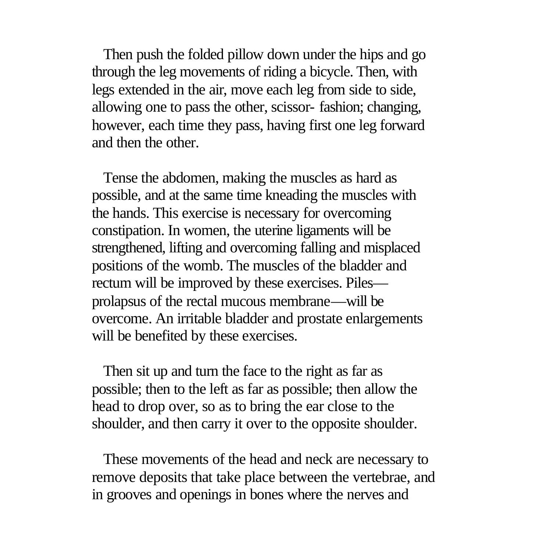Then push the folded pillow down under the hips and go through the leg movements of riding a bicycle. Then, with legs extended in the air, move each leg from side to side, allowing one to pass the other, scissor- fashion; changing, however, each time they pass, having first one leg forward and then the other.

 Tense the abdomen, making the muscles as hard as possible, and at the same time kneading the muscles with the hands. This exercise is necessary for overcoming constipation. In women, the uterine ligaments will be strengthened, lifting and overcoming falling and misplaced positions of the womb. The muscles of the bladder and rectum will be improved by these exercises. Piles prolapsus of the rectal mucous membrane—will be overcome. An irritable bladder and prostate enlargements will be benefited by these exercises.

 Then sit up and turn the face to the right as far as possible; then to the left as far as possible; then allow the head to drop over, so as to bring the ear close to the shoulder, and then carry it over to the opposite shoulder.

 These movements of the head and neck are necessary to remove deposits that take place between the vertebrae, and in grooves and openings in bones where the nerves and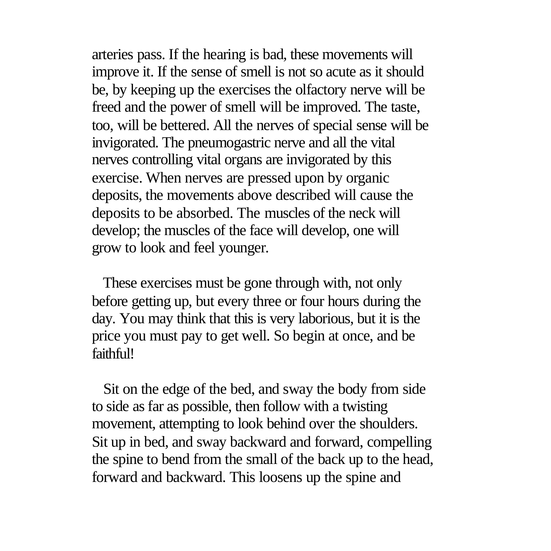arteries pass. If the hearing is bad, these movements will improve it. If the sense of smell is not so acute as it should be, by keeping up the exercises the olfactory nerve will be freed and the power of smell will be improved. The taste, too, will be bettered. All the nerves of special sense will be invigorated. The pneumogastric nerve and all the vital nerves controlling vital organs are invigorated by this exercise. When nerves are pressed upon by organic deposits, the movements above described will cause the deposits to be absorbed. The muscles of the neck will develop; the muscles of the face will develop, one will grow to look and feel younger.

 These exercises must be gone through with, not only before getting up, but every three or four hours during the day. You may think that this is very laborious, but it is the price you must pay to get well. So begin at once, and be faithful!

 Sit on the edge of the bed, and sway the body from side to side as far as possible, then follow with a twisting movement, attempting to look behind over the shoulders. Sit up in bed, and sway backward and forward, compelling the spine to bend from the small of the back up to the head, forward and backward. This loosens up the spine and